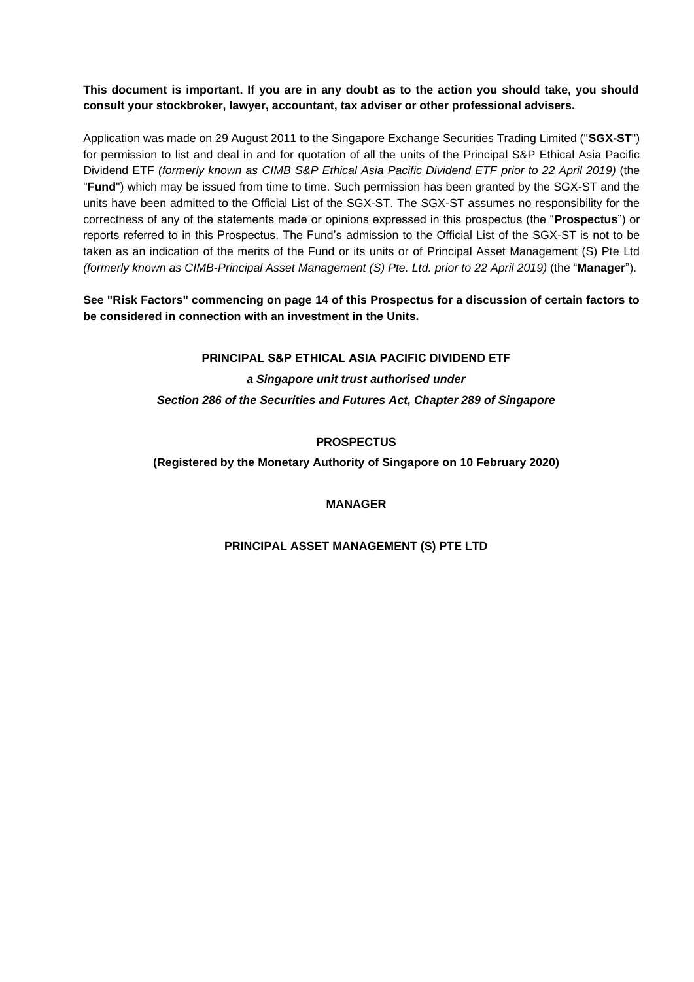## **This document is important. If you are in any doubt as to the action you should take, you should consult your stockbroker, lawyer, accountant, tax adviser or other professional advisers.**

Application was made on 29 August 2011 to the Singapore Exchange Securities Trading Limited ("**SGX-ST**") for permission to list and deal in and for quotation of all the units of the Principal S&P Ethical Asia Pacific Dividend ETF *(formerly known as CIMB S&P Ethical Asia Pacific Dividend ETF prior to 22 April 2019)* (the "**Fund**") which may be issued from time to time. Such permission has been granted by the SGX-ST and the units have been admitted to the Official List of the SGX-ST. The SGX-ST assumes no responsibility for the correctness of any of the statements made or opinions expressed in this prospectus (the "**Prospectus**") or reports referred to in this Prospectus. The Fund's admission to the Official List of the SGX-ST is not to be taken as an indication of the merits of the Fund or its units or of Principal Asset Management (S) Pte Ltd *(formerly known as CIMB-Principal Asset Management (S) Pte. Ltd. prior to 22 April 2019)* (the "**Manager**").

# **See "Risk Factors" commencing on page 14 of this Prospectus for a discussion of certain factors to be considered in connection with an investment in the Units.**

**PRINCIPAL S&P ETHICAL ASIA PACIFIC DIVIDEND ETF** *a Singapore unit trust authorised under Section 286 of the Securities and Futures Act, Chapter 289 of Singapore*

# **PROSPECTUS**

**(Registered by the Monetary Authority of Singapore on 10 February 2020)**

## **MANAGER**

## **PRINCIPAL ASSET MANAGEMENT (S) PTE LTD**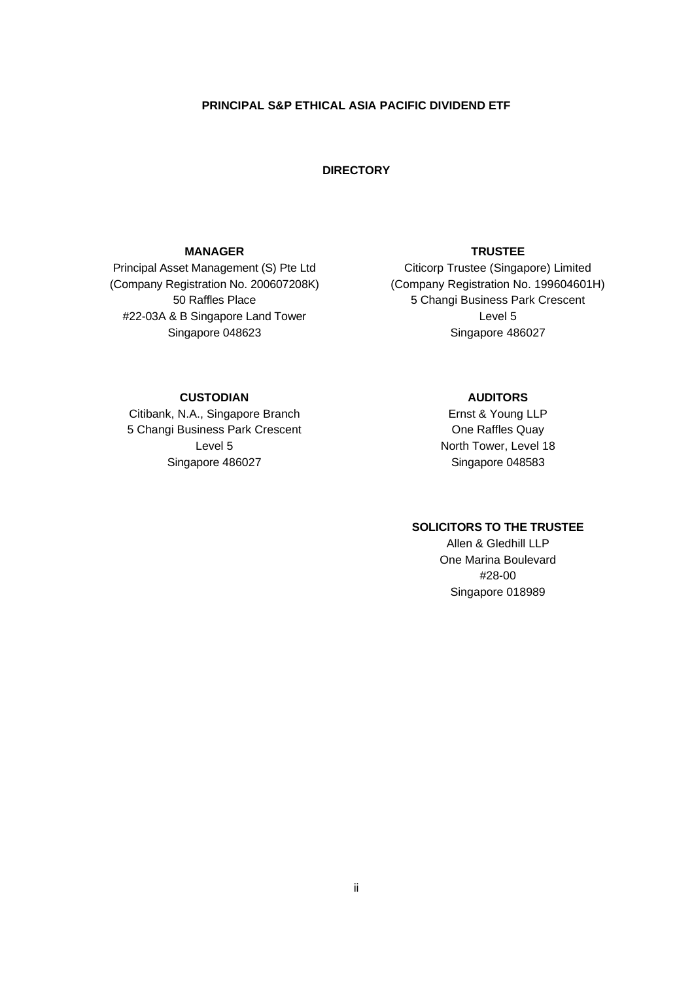### **PRINCIPAL S&P ETHICAL ASIA PACIFIC DIVIDEND ETF**

## **DIRECTORY**

## **MANAGER**

Principal Asset Management (S) Pte Ltd (Company Registration No. [200607208K\)](https://www.psi.gov.sg/NASApp/tmf/TMFServlet?app=MYBIZFILE-SHOP-CART&gotoPage=CompanyProdcutPage&lnkCoNo=200607208K&lnkCoName=CIMB-PRINCIPAL%20ASSET%20MANAGEMENT%20(S)%20PTE.%20LTD.&lnkCoStName=RAFFLES%20PLACE&lnkStatus=Live&lnkType=Company&page=RCBBIZCONAMELSTNEW&navTransList=Y&index=1&S=&D=&prn_userid=MYBIZFILE-COMPL-CERT&Param_Fromtype=RegisteredEntity) 50 Raffles Place #22-03A & B Singapore Land Tower Singapore 048623

# **TRUSTEE**

Citicorp Trustee (Singapore) Limited (Company Registration No. 199604601H) 5 Changi Business Park Crescent Level 5 Singapore 486027

## **CUSTODIAN**

Citibank, N.A., Singapore Branch 5 Changi Business Park Crescent Level 5 Singapore 486027

## **AUDITORS**

Ernst & Young LLP One Raffles Quay North Tower, Level 18 Singapore 048583

## **SOLICITORS TO THE TRUSTEE**

Allen & Gledhill LLP One Marina Boulevard #28-00 Singapore 018989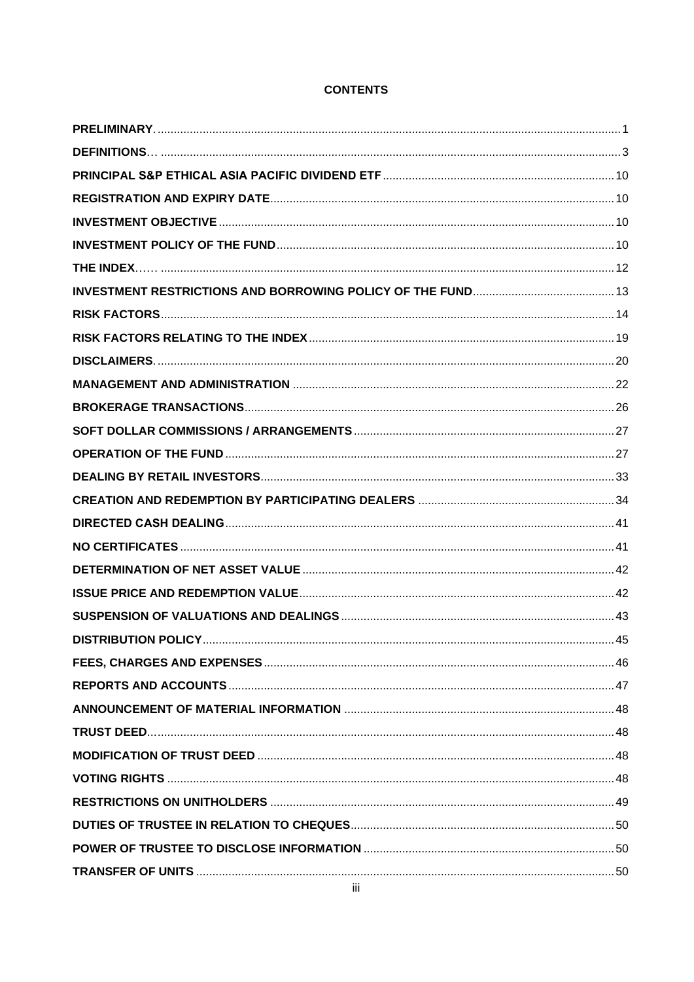## **CONTENTS**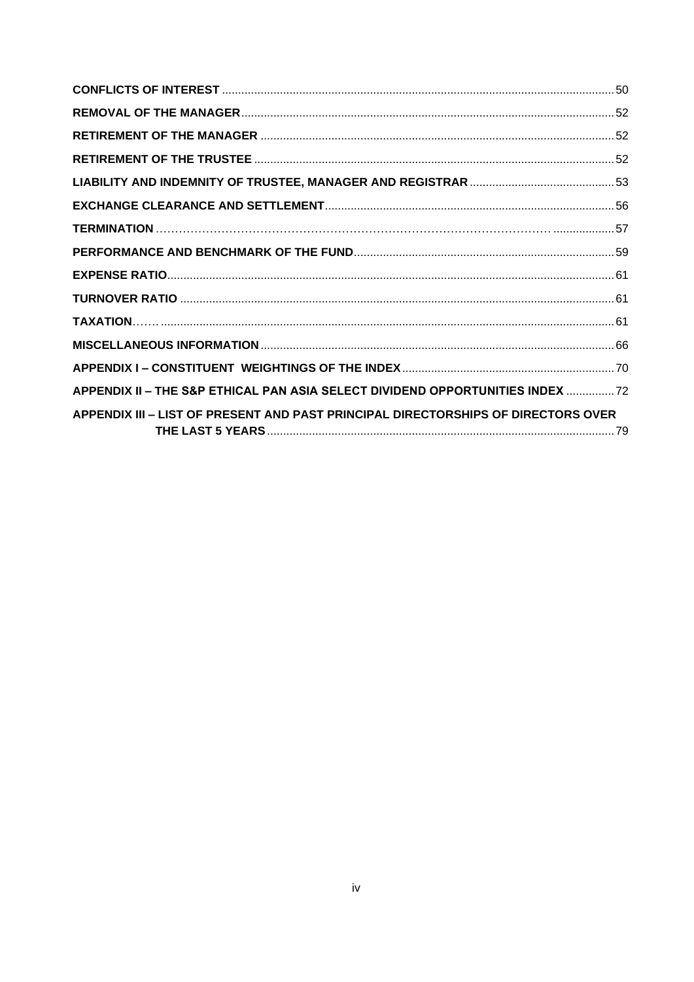| APPENDIX II - THE S&P ETHICAL PAN ASIA SELECT DIVIDEND OPPORTUNITIES INDEX 72     |
|-----------------------------------------------------------------------------------|
| APPENDIX III - LIST OF PRESENT AND PAST PRINCIPAL DIRECTORSHIPS OF DIRECTORS OVER |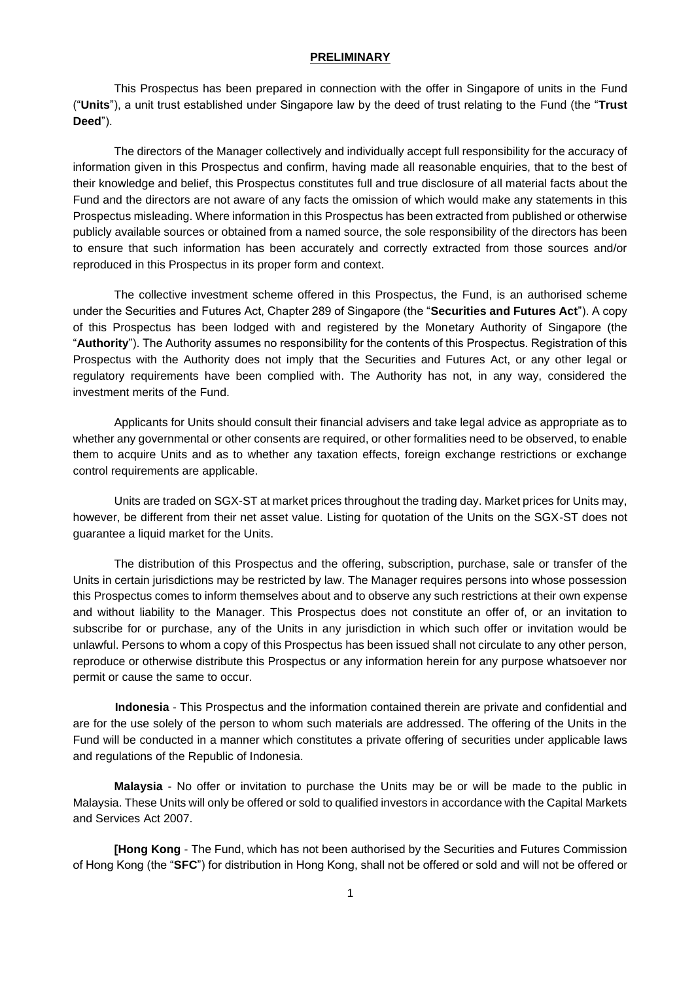### **PRELIMINARY**

<span id="page-4-0"></span>This Prospectus has been prepared in connection with the offer in Singapore of units in the Fund ("**Units**"), a unit trust established under Singapore law by the deed of trust relating to the Fund (the "**Trust Deed**").

The directors of the Manager collectively and individually accept full responsibility for the accuracy of information given in this Prospectus and confirm, having made all reasonable enquiries, that to the best of their knowledge and belief, this Prospectus constitutes full and true disclosure of all material facts about the Fund and the directors are not aware of any facts the omission of which would make any statements in this Prospectus misleading. Where information in this Prospectus has been extracted from published or otherwise publicly available sources or obtained from a named source, the sole responsibility of the directors has been to ensure that such information has been accurately and correctly extracted from those sources and/or reproduced in this Prospectus in its proper form and context.

The collective investment scheme offered in this Prospectus, the Fund, is an authorised scheme under the Securities and Futures Act, Chapter 289 of Singapore (the "**Securities and Futures Act**"). A copy of this Prospectus has been lodged with and registered by the Monetary Authority of Singapore (the "**Authority**"). The Authority assumes no responsibility for the contents of this Prospectus. Registration of this Prospectus with the Authority does not imply that the Securities and Futures Act, or any other legal or regulatory requirements have been complied with. The Authority has not, in any way, considered the investment merits of the Fund.

Applicants for Units should consult their financial advisers and take legal advice as appropriate as to whether any governmental or other consents are required, or other formalities need to be observed, to enable them to acquire Units and as to whether any taxation effects, foreign exchange restrictions or exchange control requirements are applicable.

Units are traded on SGX-ST at market prices throughout the trading day. Market prices for Units may, however, be different from their net asset value. Listing for quotation of the Units on the SGX-ST does not guarantee a liquid market for the Units.

The distribution of this Prospectus and the offering, subscription, purchase, sale or transfer of the Units in certain jurisdictions may be restricted by law. The Manager requires persons into whose possession this Prospectus comes to inform themselves about and to observe any such restrictions at their own expense and without liability to the Manager. This Prospectus does not constitute an offer of, or an invitation to subscribe for or purchase, any of the Units in any jurisdiction in which such offer or invitation would be unlawful. Persons to whom a copy of this Prospectus has been issued shall not circulate to any other person, reproduce or otherwise distribute this Prospectus or any information herein for any purpose whatsoever nor permit or cause the same to occur.

**Indonesia** - This Prospectus and the information contained therein are private and confidential and are for the use solely of the person to whom such materials are addressed. The offering of the Units in the Fund will be conducted in a manner which constitutes a private offering of securities under applicable laws and regulations of the Republic of Indonesia.

**Malaysia** - No offer or invitation to purchase the Units may be or will be made to the public in Malaysia. These Units will only be offered or sold to qualified investors in accordance with the Capital Markets and Services Act 2007.

**[Hong Kong** - The Fund, which has not been authorised by the Securities and Futures Commission of Hong Kong (the "**SFC**") for distribution in Hong Kong, shall not be offered or sold and will not be offered or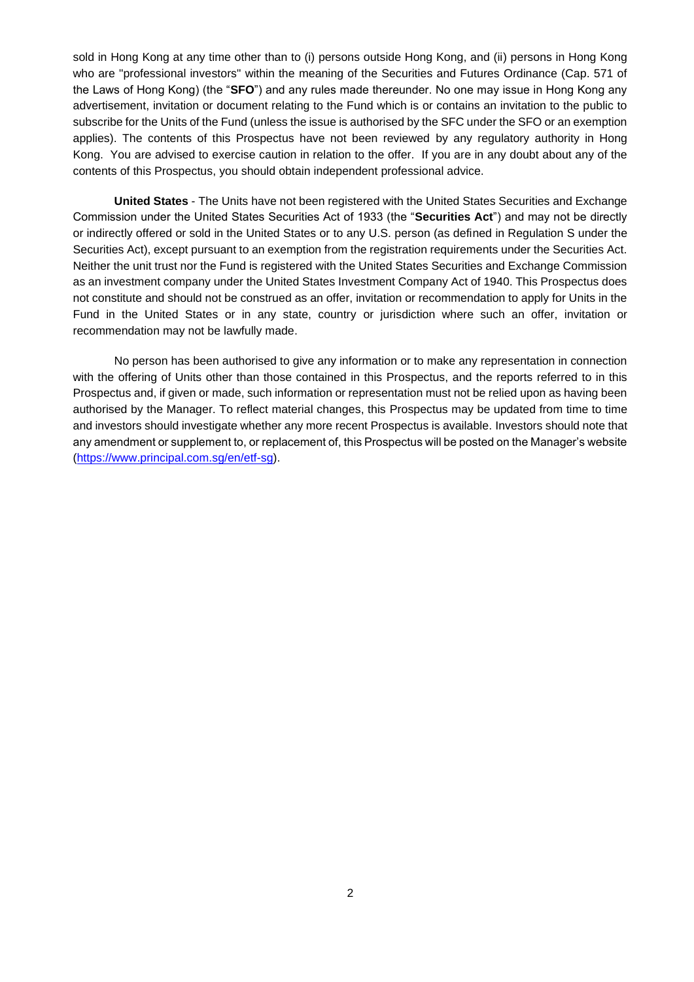sold in Hong Kong at any time other than to (i) persons outside Hong Kong, and (ii) persons in Hong Kong who are "professional investors" within the meaning of the Securities and Futures Ordinance (Cap. 571 of the Laws of Hong Kong) (the "**SFO**") and any rules made thereunder. No one may issue in Hong Kong any advertisement, invitation or document relating to the Fund which is or contains an invitation to the public to subscribe for the Units of the Fund (unless the issue is authorised by the SFC under the SFO or an exemption applies). The contents of this Prospectus have not been reviewed by any regulatory authority in Hong Kong. You are advised to exercise caution in relation to the offer. If you are in any doubt about any of the contents of this Prospectus, you should obtain independent professional advice.

**United States** - The Units have not been registered with the United States Securities and Exchange Commission under the United States Securities Act of 1933 (the "**Securities Act**") and may not be directly or indirectly offered or sold in the United States or to any U.S. person (as defined in Regulation S under the Securities Act), except pursuant to an exemption from the registration requirements under the Securities Act. Neither the unit trust nor the Fund is registered with the United States Securities and Exchange Commission as an investment company under the United States Investment Company Act of 1940. This Prospectus does not constitute and should not be construed as an offer, invitation or recommendation to apply for Units in the Fund in the United States or in any state, country or jurisdiction where such an offer, invitation or recommendation may not be lawfully made.

No person has been authorised to give any information or to make any representation in connection with the offering of Units other than those contained in this Prospectus, and the reports referred to in this Prospectus and, if given or made, such information or representation must not be relied upon as having been authorised by the Manager. To reflect material changes, this Prospectus may be updated from time to time and investors should investigate whether any more recent Prospectus is available. Investors should note that any amendment or supplement to, or replacement of, this Prospectus will be posted on the Manager's website [\(https://www.principal.com.sg/en/etf-sg\)](https://www.principal.com.sg/en/etf-sg).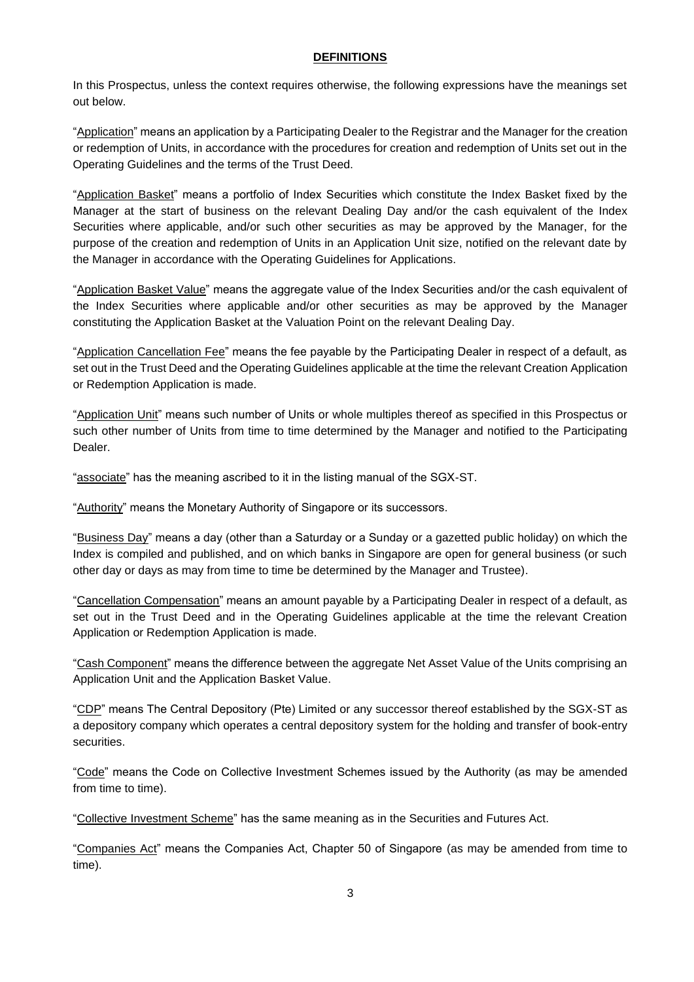### **DEFINITIONS**

<span id="page-6-0"></span>In this Prospectus, unless the context requires otherwise, the following expressions have the meanings set out below.

"Application" means an application by a Participating Dealer to the Registrar and the Manager for the creation or redemption of Units, in accordance with the procedures for creation and redemption of Units set out in the Operating Guidelines and the terms of the Trust Deed.

"Application Basket" means a portfolio of Index Securities which constitute the Index Basket fixed by the Manager at the start of business on the relevant Dealing Day and/or the cash equivalent of the Index Securities where applicable, and/or such other securities as may be approved by the Manager, for the purpose of the creation and redemption of Units in an Application Unit size, notified on the relevant date by the Manager in accordance with the Operating Guidelines for Applications.

"Application Basket Value" means the aggregate value of the Index Securities and/or the cash equivalent of the Index Securities where applicable and/or other securities as may be approved by the Manager constituting the Application Basket at the Valuation Point on the relevant Dealing Day.

"Application Cancellation Fee" means the fee payable by the Participating Dealer in respect of a default, as set out in the Trust Deed and the Operating Guidelines applicable at the time the relevant Creation Application or Redemption Application is made.

"Application Unit" means such number of Units or whole multiples thereof as specified in this Prospectus or such other number of Units from time to time determined by the Manager and notified to the Participating Dealer.

"associate" has the meaning ascribed to it in the listing manual of the SGX-ST.

"Authority" means the Monetary Authority of Singapore or its successors.

"Business Day" means a day (other than a Saturday or a Sunday or a gazetted public holiday) on which the Index is compiled and published, and on which banks in Singapore are open for general business (or such other day or days as may from time to time be determined by the Manager and Trustee).

"Cancellation Compensation" means an amount payable by a Participating Dealer in respect of a default, as set out in the Trust Deed and in the Operating Guidelines applicable at the time the relevant Creation Application or Redemption Application is made.

"Cash Component" means the difference between the aggregate Net Asset Value of the Units comprising an Application Unit and the Application Basket Value.

"CDP" means The Central Depository (Pte) Limited or any successor thereof established by the SGX-ST as a depository company which operates a central depository system for the holding and transfer of book-entry securities.

"Code" means the Code on Collective Investment Schemes issued by the Authority (as may be amended from time to time).

"Collective Investment Scheme" has the same meaning as in the Securities and Futures Act.

"Companies Act" means the Companies Act, Chapter 50 of Singapore (as may be amended from time to time).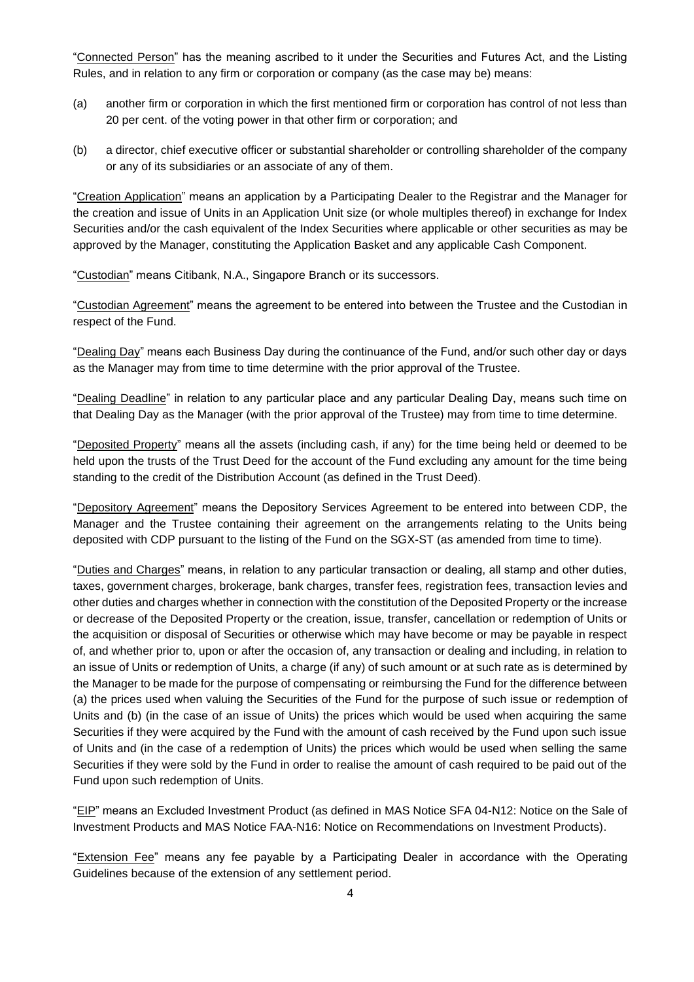"Connected Person" has the meaning ascribed to it under the Securities and Futures Act, and the Listing Rules, and in relation to any firm or corporation or company (as the case may be) means:

- (a) another firm or corporation in which the first mentioned firm or corporation has control of not less than 20 per cent. of the voting power in that other firm or corporation; and
- (b) a director, chief executive officer or substantial shareholder or controlling shareholder of the company or any of its subsidiaries or an associate of any of them.

"Creation Application" means an application by a Participating Dealer to the Registrar and the Manager for the creation and issue of Units in an Application Unit size (or whole multiples thereof) in exchange for Index Securities and/or the cash equivalent of the Index Securities where applicable or other securities as may be approved by the Manager, constituting the Application Basket and any applicable Cash Component.

"Custodian" means Citibank, N.A., Singapore Branch or its successors.

"Custodian Agreement" means the agreement to be entered into between the Trustee and the Custodian in respect of the Fund.

"Dealing Day" means each Business Day during the continuance of the Fund, and/or such other day or days as the Manager may from time to time determine with the prior approval of the Trustee.

"Dealing Deadline" in relation to any particular place and any particular Dealing Day, means such time on that Dealing Day as the Manager (with the prior approval of the Trustee) may from time to time determine.

"Deposited Property" means all the assets (including cash, if any) for the time being held or deemed to be held upon the trusts of the Trust Deed for the account of the Fund excluding any amount for the time being standing to the credit of the Distribution Account (as defined in the Trust Deed).

"Depository Agreement" means the Depository Services Agreement to be entered into between CDP, the Manager and the Trustee containing their agreement on the arrangements relating to the Units being deposited with CDP pursuant to the listing of the Fund on the SGX-ST (as amended from time to time).

"Duties and Charges" means, in relation to any particular transaction or dealing, all stamp and other duties, taxes, government charges, brokerage, bank charges, transfer fees, registration fees, transaction levies and other duties and charges whether in connection with the constitution of the Deposited Property or the increase or decrease of the Deposited Property or the creation, issue, transfer, cancellation or redemption of Units or the acquisition or disposal of Securities or otherwise which may have become or may be payable in respect of, and whether prior to, upon or after the occasion of, any transaction or dealing and including, in relation to an issue of Units or redemption of Units, a charge (if any) of such amount or at such rate as is determined by the Manager to be made for the purpose of compensating or reimbursing the Fund for the difference between (a) the prices used when valuing the Securities of the Fund for the purpose of such issue or redemption of Units and (b) (in the case of an issue of Units) the prices which would be used when acquiring the same Securities if they were acquired by the Fund with the amount of cash received by the Fund upon such issue of Units and (in the case of a redemption of Units) the prices which would be used when selling the same Securities if they were sold by the Fund in order to realise the amount of cash required to be paid out of the Fund upon such redemption of Units.

"EIP" means an Excluded Investment Product (as defined in MAS Notice SFA 04-N12: Notice on the Sale of Investment Products and MAS Notice FAA-N16: Notice on Recommendations on Investment Products).

"Extension Fee" means any fee payable by a Participating Dealer in accordance with the Operating Guidelines because of the extension of any settlement period.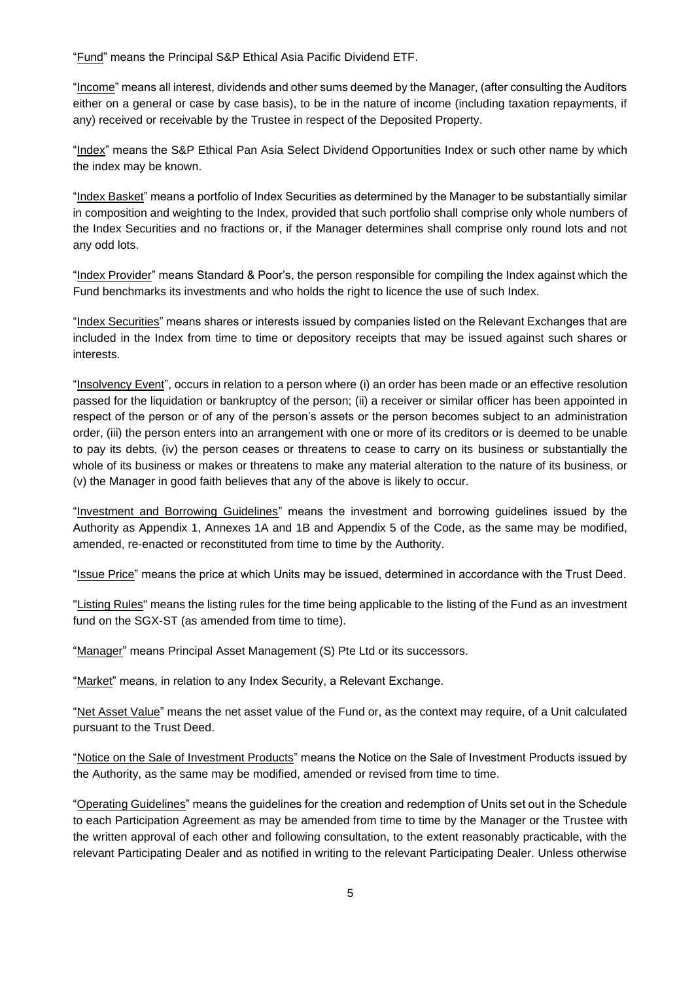"Fund" means the Principal S&P Ethical Asia Pacific Dividend ETF.

"Income" means all interest, dividends and other sums deemed by the Manager, (after consulting the Auditors either on a general or case by case basis), to be in the nature of income (including taxation repayments, if any) received or receivable by the Trustee in respect of the Deposited Property.

"Index" means the S&P Ethical Pan Asia Select Dividend Opportunities Index or such other name by which the index may be known.

"Index Basket" means a portfolio of Index Securities as determined by the Manager to be substantially similar in composition and weighting to the Index, provided that such portfolio shall comprise only whole numbers of the Index Securities and no fractions or, if the Manager determines shall comprise only round lots and not any odd lots.

"Index Provider" means Standard & Poor's, the person responsible for compiling the Index against which the Fund benchmarks its investments and who holds the right to licence the use of such Index.

"Index Securities" means shares or interests issued by companies listed on the Relevant Exchanges that are included in the Index from time to time or depository receipts that may be issued against such shares or interests.

"Insolvency Event", occurs in relation to a person where (i) an order has been made or an effective resolution passed for the liquidation or bankruptcy of the person; (ii) a receiver or similar officer has been appointed in respect of the person or of any of the person's assets or the person becomes subject to an administration order, (iii) the person enters into an arrangement with one or more of its creditors or is deemed to be unable to pay its debts, (iv) the person ceases or threatens to cease to carry on its business or substantially the whole of its business or makes or threatens to make any material alteration to the nature of its business, or (v) the Manager in good faith believes that any of the above is likely to occur.

"Investment and Borrowing Guidelines" means the investment and borrowing guidelines issued by the Authority as Appendix 1, Annexes 1A and 1B and Appendix 5 of the Code, as the same may be modified, amended, re-enacted or reconstituted from time to time by the Authority.

"Issue Price" means the price at which Units may be issued, determined in accordance with the Trust Deed.

"Listing Rules" means the listing rules for the time being applicable to the listing of the Fund as an investment fund on the SGX-ST (as amended from time to time).

"Manager" means Principal Asset Management (S) Pte Ltd or its successors.

"Market" means, in relation to any Index Security, a Relevant Exchange.

"Net Asset Value" means the net asset value of the Fund or, as the context may require, of a Unit calculated pursuant to the Trust Deed.

"Notice on the Sale of Investment Products" means the Notice on the Sale of Investment Products issued by the Authority, as the same may be modified, amended or revised from time to time.

"Operating Guidelines" means the guidelines for the creation and redemption of Units set out in the Schedule to each Participation Agreement as may be amended from time to time by the Manager or the Trustee with the written approval of each other and following consultation, to the extent reasonably practicable, with the relevant Participating Dealer and as notified in writing to the relevant Participating Dealer. Unless otherwise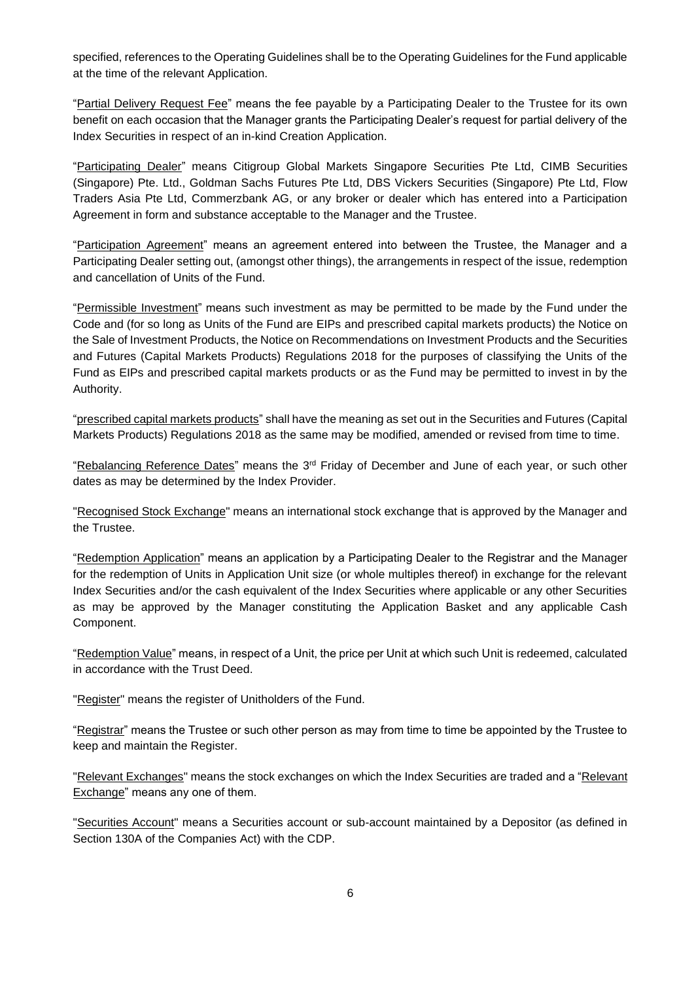specified, references to the Operating Guidelines shall be to the Operating Guidelines for the Fund applicable at the time of the relevant Application.

"Partial Delivery Request Fee" means the fee payable by a Participating Dealer to the Trustee for its own benefit on each occasion that the Manager grants the Participating Dealer's request for partial delivery of the Index Securities in respect of an in-kind Creation Application.

"Participating Dealer" means Citigroup Global Markets Singapore Securities Pte Ltd, CIMB Securities (Singapore) Pte. Ltd., Goldman Sachs Futures Pte Ltd, DBS Vickers Securities (Singapore) Pte Ltd, Flow Traders Asia Pte Ltd, Commerzbank AG, or any broker or dealer which has entered into a Participation Agreement in form and substance acceptable to the Manager and the Trustee.

"Participation Agreement" means an agreement entered into between the Trustee, the Manager and a Participating Dealer setting out, (amongst other things), the arrangements in respect of the issue, redemption and cancellation of Units of the Fund.

"Permissible Investment" means such investment as may be permitted to be made by the Fund under the Code and (for so long as Units of the Fund are EIPs and prescribed capital markets products) the Notice on the Sale of Investment Products, the Notice on Recommendations on Investment Products and the Securities and Futures (Capital Markets Products) Regulations 2018 for the purposes of classifying the Units of the Fund as EIPs and prescribed capital markets products or as the Fund may be permitted to invest in by the Authority.

"prescribed capital markets products" shall have the meaning as set out in the Securities and Futures (Capital Markets Products) Regulations 2018 as the same may be modified, amended or revised from time to time.

"Rebalancing Reference Dates" means the  $3<sup>rd</sup>$  Friday of December and June of each year, or such other dates as may be determined by the Index Provider.

"Recognised Stock Exchange" means an international stock exchange that is approved by the Manager and the Trustee.

"Redemption Application" means an application by a Participating Dealer to the Registrar and the Manager for the redemption of Units in Application Unit size (or whole multiples thereof) in exchange for the relevant Index Securities and/or the cash equivalent of the Index Securities where applicable or any other Securities as may be approved by the Manager constituting the Application Basket and any applicable Cash Component.

"Redemption Value" means, in respect of a Unit, the price per Unit at which such Unit is redeemed, calculated in accordance with the Trust Deed.

"Register" means the register of Unitholders of the Fund.

"Registrar" means the Trustee or such other person as may from time to time be appointed by the Trustee to keep and maintain the Register.

"Relevant Exchanges" means the stock exchanges on which the Index Securities are traded and a "Relevant Exchange" means any one of them.

"Securities Account" means a Securities account or sub-account maintained by a Depositor (as defined in Section 130A of the Companies Act) with the CDP.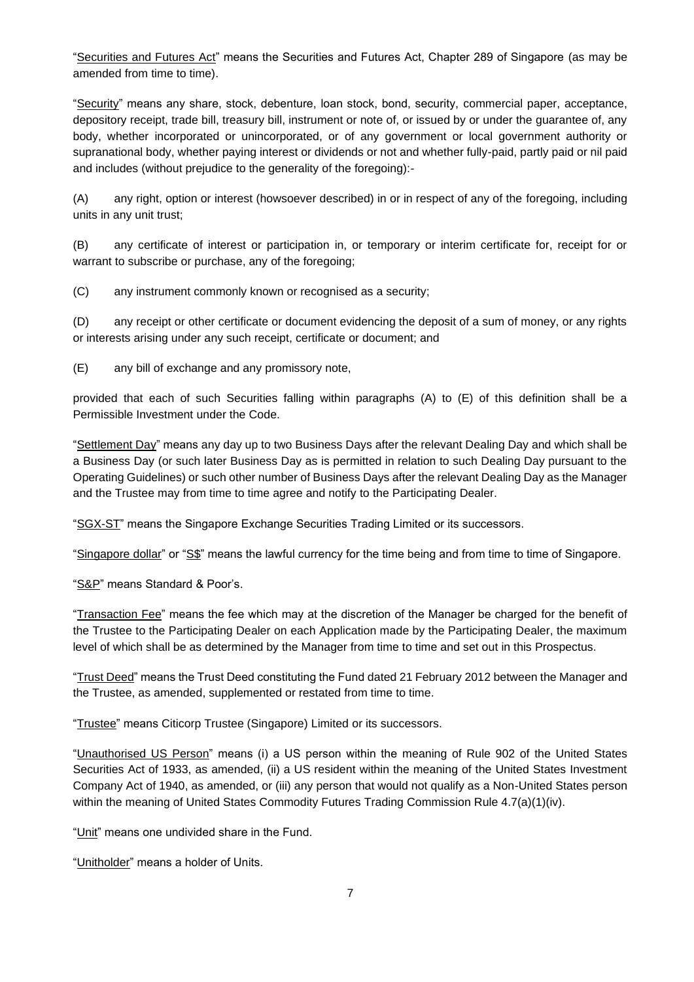"Securities and Futures Act" means the Securities and Futures Act, Chapter 289 of Singapore (as may be amended from time to time).

"Security" means any share, stock, debenture, loan stock, bond, security, commercial paper, acceptance, depository receipt, trade bill, treasury bill, instrument or note of, or issued by or under the guarantee of, any body, whether incorporated or unincorporated, or of any government or local government authority or supranational body, whether paying interest or dividends or not and whether fully-paid, partly paid or nil paid and includes (without prejudice to the generality of the foregoing):-

(A) any right, option or interest (howsoever described) in or in respect of any of the foregoing, including units in any unit trust;

(B) any certificate of interest or participation in, or temporary or interim certificate for, receipt for or warrant to subscribe or purchase, any of the foregoing;

(C) any instrument commonly known or recognised as a security;

(D) any receipt or other certificate or document evidencing the deposit of a sum of money, or any rights or interests arising under any such receipt, certificate or document; and

(E) any bill of exchange and any promissory note,

provided that each of such Securities falling within paragraphs (A) to (E) of this definition shall be a Permissible Investment under the Code.

"Settlement Day" means any day up to two Business Days after the relevant Dealing Day and which shall be a Business Day (or such later Business Day as is permitted in relation to such Dealing Day pursuant to the Operating Guidelines) or such other number of Business Days after the relevant Dealing Day as the Manager and the Trustee may from time to time agree and notify to the Participating Dealer.

"SGX-ST" means the Singapore Exchange Securities Trading Limited or its successors.

"Singapore dollar" or "S\$" means the lawful currency for the time being and from time to time of Singapore.

"S&P" means Standard & Poor's.

"Transaction Fee" means the fee which may at the discretion of the Manager be charged for the benefit of the Trustee to the Participating Dealer on each Application made by the Participating Dealer, the maximum level of which shall be as determined by the Manager from time to time and set out in this Prospectus.

"Trust Deed" means the Trust Deed constituting the Fund dated 21 February 2012 between the Manager and the Trustee, as amended, supplemented or restated from time to time.

"Trustee" means Citicorp Trustee (Singapore) Limited or its successors.

"Unauthorised US Person" means (i) a US person within the meaning of Rule 902 of the United States Securities Act of 1933, as amended, (ii) a US resident within the meaning of the United States Investment Company Act of 1940, as amended, or (iii) any person that would not qualify as a Non-United States person within the meaning of United States Commodity Futures Trading Commission Rule 4.7(a)(1)(iv).

"Unit" means one undivided share in the Fund.

"Unitholder" means a holder of Units.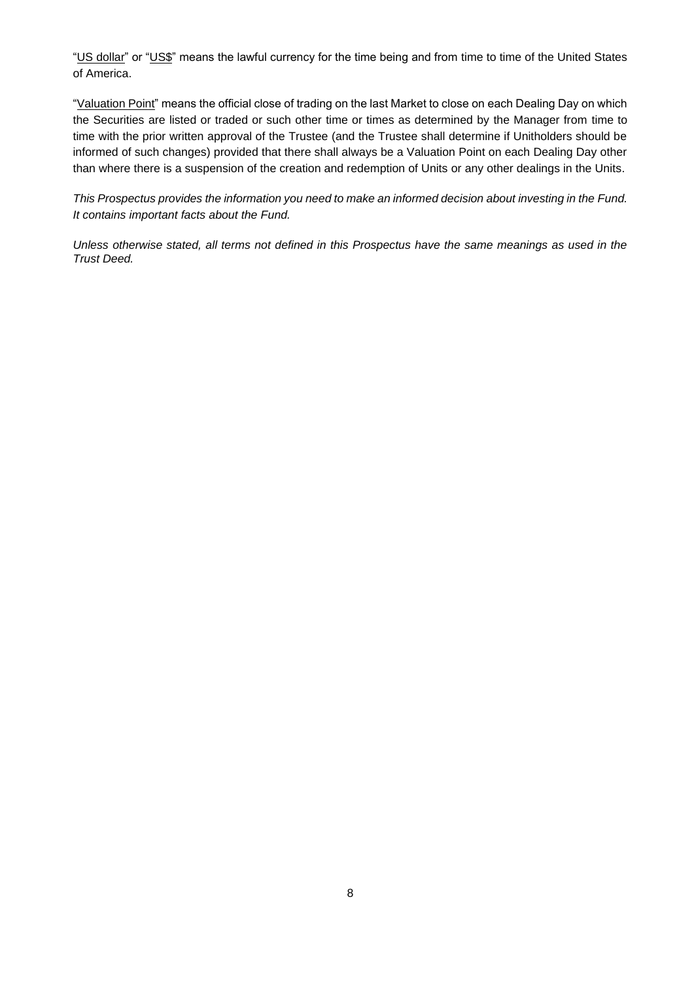"US dollar" or "US\$" means the lawful currency for the time being and from time to time of the United States of America.

"Valuation Point" means the official close of trading on the last Market to close on each Dealing Day on which the Securities are listed or traded or such other time or times as determined by the Manager from time to time with the prior written approval of the Trustee (and the Trustee shall determine if Unitholders should be informed of such changes) provided that there shall always be a Valuation Point on each Dealing Day other than where there is a suspension of the creation and redemption of Units or any other dealings in the Units.

*This Prospectus provides the information you need to make an informed decision about investing in the Fund. It contains important facts about the Fund.*

*Unless otherwise stated, all terms not defined in this Prospectus have the same meanings as used in the Trust Deed.*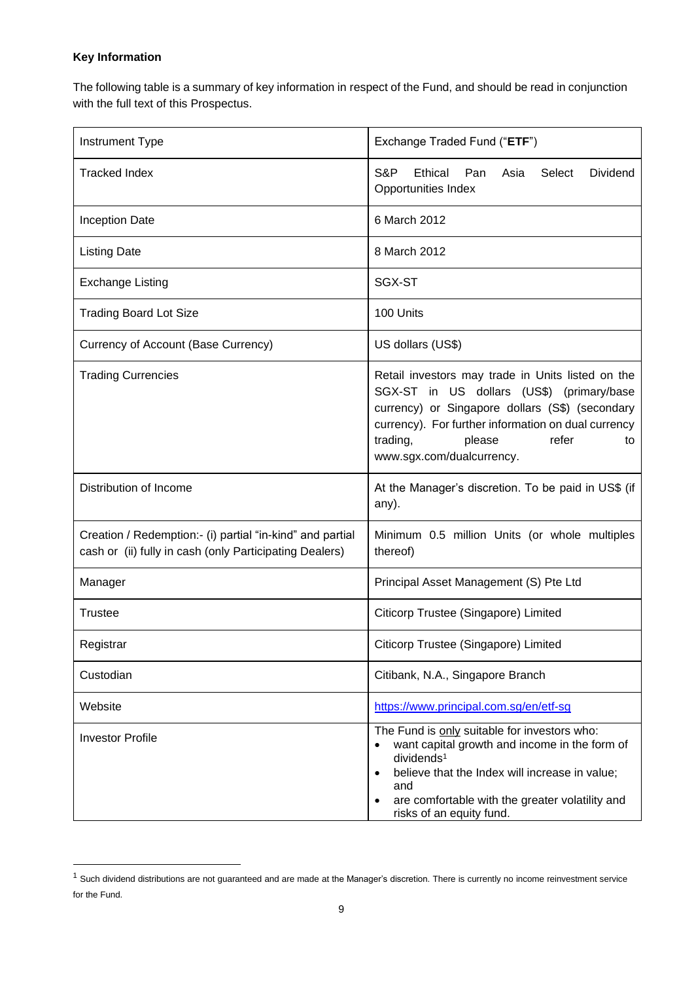## **Key Information**

The following table is a summary of key information in respect of the Fund, and should be read in conjunction with the full text of this Prospectus.

| Instrument Type                                                                                                      | Exchange Traded Fund ("ETF")                                                                                                                                                                                                                                               |  |  |  |  |
|----------------------------------------------------------------------------------------------------------------------|----------------------------------------------------------------------------------------------------------------------------------------------------------------------------------------------------------------------------------------------------------------------------|--|--|--|--|
| <b>Tracked Index</b>                                                                                                 | S&P<br>Ethical<br>Pan<br>Asia<br>Select<br><b>Dividend</b><br>Opportunities Index                                                                                                                                                                                          |  |  |  |  |
| <b>Inception Date</b>                                                                                                | 6 March 2012                                                                                                                                                                                                                                                               |  |  |  |  |
| <b>Listing Date</b>                                                                                                  | 8 March 2012                                                                                                                                                                                                                                                               |  |  |  |  |
| <b>Exchange Listing</b>                                                                                              | SGX-ST                                                                                                                                                                                                                                                                     |  |  |  |  |
| <b>Trading Board Lot Size</b>                                                                                        | 100 Units                                                                                                                                                                                                                                                                  |  |  |  |  |
| Currency of Account (Base Currency)                                                                                  | US dollars (US\$)                                                                                                                                                                                                                                                          |  |  |  |  |
| <b>Trading Currencies</b>                                                                                            | Retail investors may trade in Units listed on the<br>SGX-ST in US dollars (US\$) (primary/base<br>currency) or Singapore dollars (S\$) (secondary<br>currency). For further information on dual currency<br>trading,<br>refer<br>please<br>to<br>www.sgx.com/dualcurrency. |  |  |  |  |
| Distribution of Income                                                                                               | At the Manager's discretion. To be paid in US\$ (if<br>any).                                                                                                                                                                                                               |  |  |  |  |
| Creation / Redemption:- (i) partial "in-kind" and partial<br>cash or (ii) fully in cash (only Participating Dealers) | Minimum 0.5 million Units (or whole multiples<br>thereof)                                                                                                                                                                                                                  |  |  |  |  |
| Manager                                                                                                              | Principal Asset Management (S) Pte Ltd                                                                                                                                                                                                                                     |  |  |  |  |
| <b>Trustee</b>                                                                                                       | Citicorp Trustee (Singapore) Limited                                                                                                                                                                                                                                       |  |  |  |  |
| Registrar                                                                                                            | Citicorp Trustee (Singapore) Limited                                                                                                                                                                                                                                       |  |  |  |  |
| Custodian                                                                                                            | Citibank, N.A., Singapore Branch                                                                                                                                                                                                                                           |  |  |  |  |
| Website                                                                                                              | https://www.principal.com.sg/en/etf-sg                                                                                                                                                                                                                                     |  |  |  |  |
| <b>Investor Profile</b>                                                                                              | The Fund is only suitable for investors who:<br>want capital growth and income in the form of<br>dividends <sup>1</sup><br>believe that the Index will increase in value;<br>and<br>are comfortable with the greater volatility and<br>risks of an equity fund.            |  |  |  |  |

 $1$  Such dividend distributions are not guaranteed and are made at the Manager's discretion. There is currently no income reinvestment service for the Fund.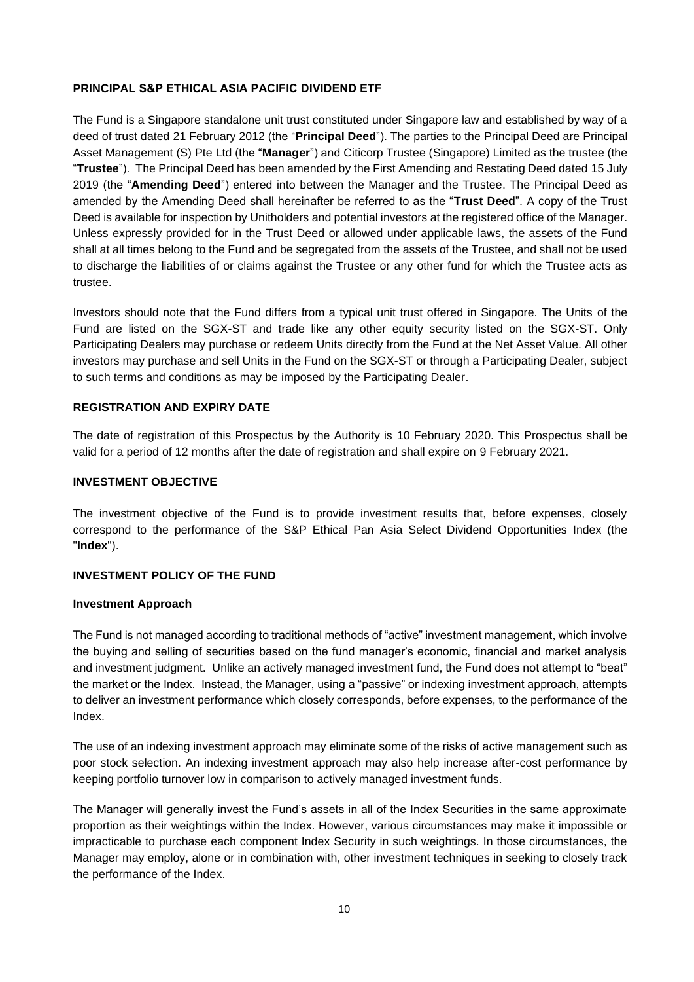## <span id="page-13-0"></span>**PRINCIPAL S&P ETHICAL ASIA PACIFIC DIVIDEND ETF**

The Fund is a Singapore standalone unit trust constituted under Singapore law and established by way of a deed of trust dated 21 February 2012 (the "**Principal Deed**"). The parties to the Principal Deed are Principal Asset Management (S) Pte Ltd (the "**Manager**") and Citicorp Trustee (Singapore) Limited as the trustee (the "**Trustee**"). The Principal Deed has been amended by the First Amending and Restating Deed dated 15 July 2019 (the "**Amending Deed**") entered into between the Manager and the Trustee. The Principal Deed as amended by the Amending Deed shall hereinafter be referred to as the "**Trust Deed**". A copy of the Trust Deed is available for inspection by Unitholders and potential investors at the registered office of the Manager. Unless expressly provided for in the Trust Deed or allowed under applicable laws, the assets of the Fund shall at all times belong to the Fund and be segregated from the assets of the Trustee, and shall not be used to discharge the liabilities of or claims against the Trustee or any other fund for which the Trustee acts as trustee.

Investors should note that the Fund differs from a typical unit trust offered in Singapore. The Units of the Fund are listed on the SGX-ST and trade like any other equity security listed on the SGX-ST. Only Participating Dealers may purchase or redeem Units directly from the Fund at the Net Asset Value. All other investors may purchase and sell Units in the Fund on the SGX-ST or through a Participating Dealer, subject to such terms and conditions as may be imposed by the Participating Dealer.

## <span id="page-13-1"></span>**REGISTRATION AND EXPIRY DATE**

The date of registration of this Prospectus by the Authority is 10 February 2020. This Prospectus shall be valid for a period of 12 months after the date of registration and shall expire on 9 February 2021.

### <span id="page-13-2"></span>**INVESTMENT OBJECTIVE**

The investment objective of the Fund is to provide investment results that, before expenses, closely correspond to the performance of the S&P Ethical Pan Asia Select Dividend Opportunities Index (the "**Index**").

## <span id="page-13-3"></span>**INVESTMENT POLICY OF THE FUND**

#### **Investment Approach**

The Fund is not managed according to traditional methods of "active" investment management, which involve the buying and selling of securities based on the fund manager's economic, financial and market analysis and investment judgment. Unlike an actively managed investment fund, the Fund does not attempt to "beat" the market or the Index. Instead, the Manager, using a "passive" or indexing investment approach, attempts to deliver an investment performance which closely corresponds, before expenses, to the performance of the Index.

The use of an indexing investment approach may eliminate some of the risks of active management such as poor stock selection. An indexing investment approach may also help increase after-cost performance by keeping portfolio turnover low in comparison to actively managed investment funds.

The Manager will generally invest the Fund's assets in all of the Index Securities in the same approximate proportion as their weightings within the Index. However, various circumstances may make it impossible or impracticable to purchase each component Index Security in such weightings. In those circumstances, the Manager may employ, alone or in combination with, other investment techniques in seeking to closely track the performance of the Index.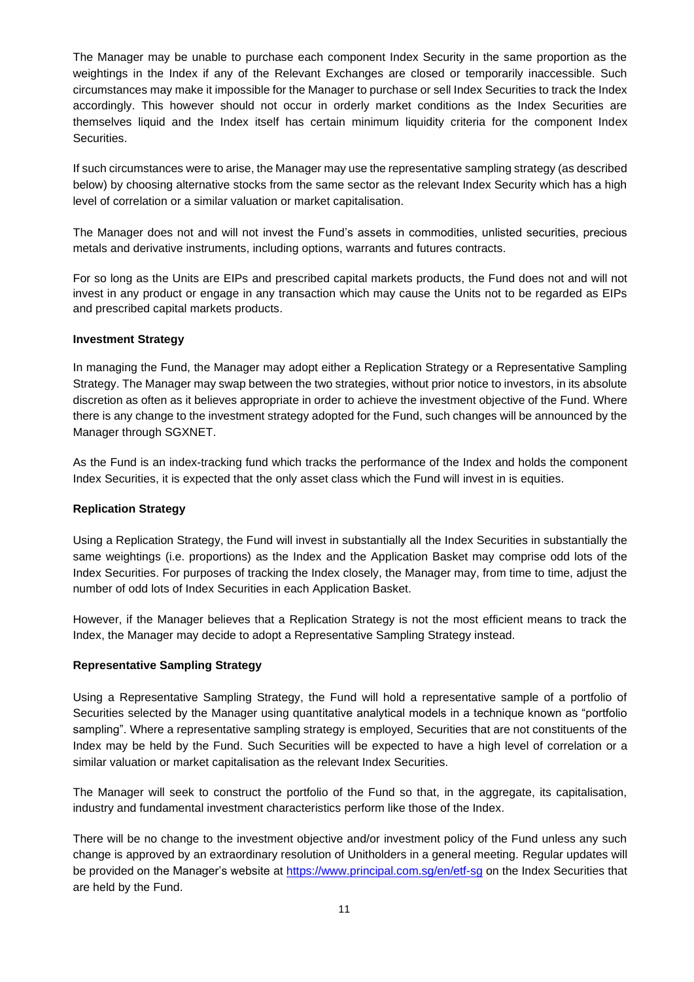The Manager may be unable to purchase each component Index Security in the same proportion as the weightings in the Index if any of the Relevant Exchanges are closed or temporarily inaccessible. Such circumstances may make it impossible for the Manager to purchase or sell Index Securities to track the Index accordingly. This however should not occur in orderly market conditions as the Index Securities are themselves liquid and the Index itself has certain minimum liquidity criteria for the component Index **Securities** 

If such circumstances were to arise, the Manager may use the representative sampling strategy (as described below) by choosing alternative stocks from the same sector as the relevant Index Security which has a high level of correlation or a similar valuation or market capitalisation.

The Manager does not and will not invest the Fund's assets in commodities, unlisted securities, precious metals and derivative instruments, including options, warrants and futures contracts.

For so long as the Units are EIPs and prescribed capital markets products, the Fund does not and will not invest in any product or engage in any transaction which may cause the Units not to be regarded as EIPs and prescribed capital markets products.

## **Investment Strategy**

In managing the Fund, the Manager may adopt either a Replication Strategy or a Representative Sampling Strategy. The Manager may swap between the two strategies, without prior notice to investors, in its absolute discretion as often as it believes appropriate in order to achieve the investment objective of the Fund. Where there is any change to the investment strategy adopted for the Fund, such changes will be announced by the Manager through SGXNET.

As the Fund is an index-tracking fund which tracks the performance of the Index and holds the component Index Securities, it is expected that the only asset class which the Fund will invest in is equities.

## **Replication Strategy**

Using a Replication Strategy, the Fund will invest in substantially all the Index Securities in substantially the same weightings (i.e. proportions) as the Index and the Application Basket may comprise odd lots of the Index Securities. For purposes of tracking the Index closely, the Manager may, from time to time, adjust the number of odd lots of Index Securities in each Application Basket.

However, if the Manager believes that a Replication Strategy is not the most efficient means to track the Index, the Manager may decide to adopt a Representative Sampling Strategy instead.

## **Representative Sampling Strategy**

Using a Representative Sampling Strategy, the Fund will hold a representative sample of a portfolio of Securities selected by the Manager using quantitative analytical models in a technique known as "portfolio sampling". Where a representative sampling strategy is employed, Securities that are not constituents of the Index may be held by the Fund. Such Securities will be expected to have a high level of correlation or a similar valuation or market capitalisation as the relevant Index Securities.

The Manager will seek to construct the portfolio of the Fund so that, in the aggregate, its capitalisation, industry and fundamental investment characteristics perform like those of the Index.

<span id="page-14-0"></span>There will be no change to the investment objective and/or investment policy of the Fund unless any such change is approved by an extraordinary resolution of Unitholders in a general meeting. Regular updates will be provided on the Manager's website at<https://www.principal.com.sg/en/etf-sg> on the Index Securities that are held by the Fund.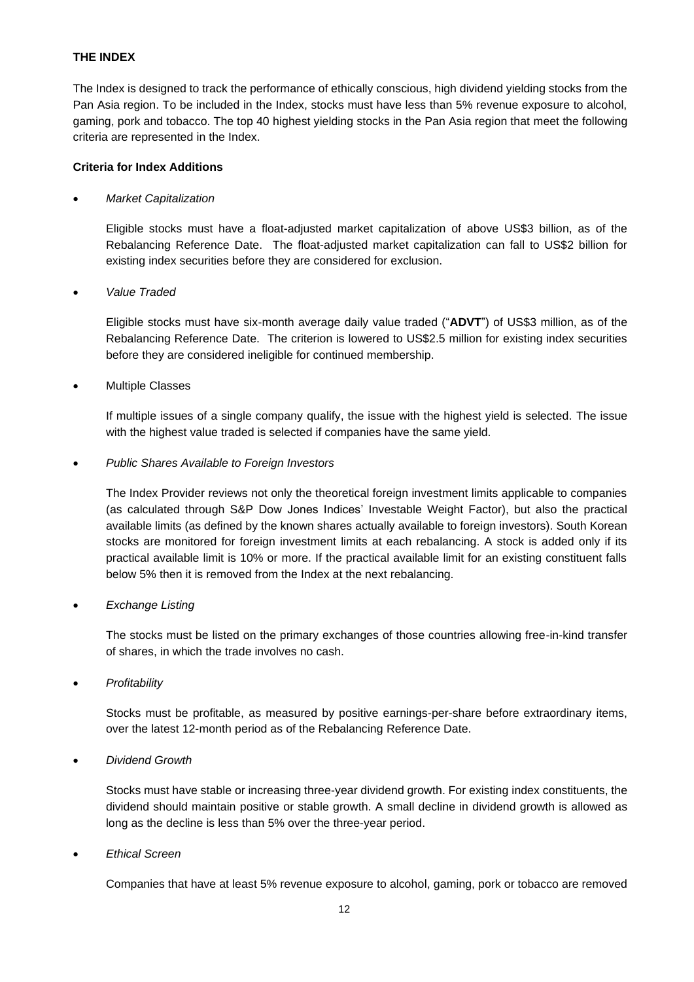## **THE INDEX**

The Index is designed to track the performance of ethically conscious, high dividend yielding stocks from the Pan Asia region. To be included in the Index, stocks must have less than 5% revenue exposure to alcohol, gaming, pork and tobacco. The top 40 highest yielding stocks in the Pan Asia region that meet the following criteria are represented in the Index.

### **Criteria for Index Additions**

#### • *Market Capitalization*

Eligible stocks must have a float-adjusted market capitalization of above US\$3 billion, as of the Rebalancing Reference Date. The float-adjusted market capitalization can fall to US\$2 billion for existing index securities before they are considered for exclusion.

#### • *Value Traded*

Eligible stocks must have six-month average daily value traded ("**ADVT**") of US\$3 million, as of the Rebalancing Reference Date.The criterion is lowered to US\$2.5 million for existing index securities before they are considered ineligible for continued membership.

## **Multiple Classes**

If multiple issues of a single company qualify, the issue with the highest yield is selected. The issue with the highest value traded is selected if companies have the same yield.

#### • *Public Shares Available to Foreign Investors*

The Index Provider reviews not only the theoretical foreign investment limits applicable to companies (as calculated through S&P Dow Jones Indices' Investable Weight Factor), but also the practical available limits (as defined by the known shares actually available to foreign investors). South Korean stocks are monitored for foreign investment limits at each rebalancing. A stock is added only if its practical available limit is 10% or more. If the practical available limit for an existing constituent falls below 5% then it is removed from the Index at the next rebalancing.

## • *Exchange Listing*

The stocks must be listed on the primary exchanges of those countries allowing free-in-kind transfer of shares, in which the trade involves no cash.

• *Profitability*

Stocks must be profitable, as measured by positive earnings-per-share before extraordinary items, over the latest 12-month period as of the Rebalancing Reference Date.

## • *Dividend Growth*

Stocks must have stable or increasing three-year dividend growth. For existing index constituents, the dividend should maintain positive or stable growth. A small decline in dividend growth is allowed as long as the decline is less than 5% over the three-year period.

## • *Ethical Screen*

Companies that have at least 5% revenue exposure to alcohol, gaming, pork or tobacco are removed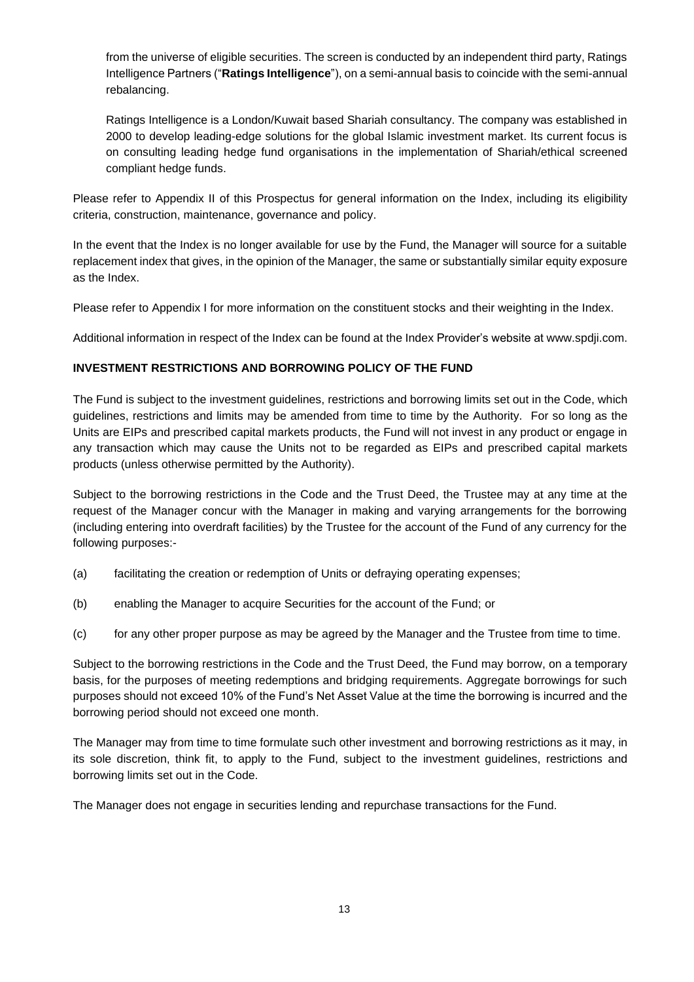from the universe of eligible securities. The screen is conducted by an independent third party, Ratings Intelligence Partners ("**Ratings Intelligence**"), on a semi-annual basis to coincide with the semi-annual rebalancing.

Ratings Intelligence is a London/Kuwait based Shariah consultancy. The company was established in 2000 to develop leading-edge solutions for the global Islamic investment market. Its current focus is on consulting leading hedge fund organisations in the implementation of Shariah/ethical screened compliant hedge funds.

Please refer to Appendix II of this Prospectus for general information on the Index, including its eligibility criteria, construction, maintenance, governance and policy.

In the event that the Index is no longer available for use by the Fund, the Manager will source for a suitable replacement index that gives, in the opinion of the Manager, the same or substantially similar equity exposure as the Index.

Please refer to Appendix I for more information on the constituent stocks and their weighting in the Index.

Additional information in respect of the Index can be found at the Index Provider's website at www.spdji.com.

## <span id="page-16-0"></span>**INVESTMENT RESTRICTIONS AND BORROWING POLICY OF THE FUND**

The Fund is subject to the investment guidelines, restrictions and borrowing limits set out in the Code, which guidelines, restrictions and limits may be amended from time to time by the Authority. For so long as the Units are EIPs and prescribed capital markets products, the Fund will not invest in any product or engage in any transaction which may cause the Units not to be regarded as EIPs and prescribed capital markets products (unless otherwise permitted by the Authority).

Subject to the borrowing restrictions in the Code and the Trust Deed, the Trustee may at any time at the request of the Manager concur with the Manager in making and varying arrangements for the borrowing (including entering into overdraft facilities) by the Trustee for the account of the Fund of any currency for the following purposes:-

- (a) facilitating the creation or redemption of Units or defraying operating expenses;
- (b) enabling the Manager to acquire Securities for the account of the Fund; or
- (c) for any other proper purpose as may be agreed by the Manager and the Trustee from time to time.

Subject to the borrowing restrictions in the Code and the Trust Deed, the Fund may borrow, on a temporary basis, for the purposes of meeting redemptions and bridging requirements. Aggregate borrowings for such purposes should not exceed 10% of the Fund's Net Asset Value at the time the borrowing is incurred and the borrowing period should not exceed one month.

The Manager may from time to time formulate such other investment and borrowing restrictions as it may, in its sole discretion, think fit, to apply to the Fund, subject to the investment guidelines, restrictions and borrowing limits set out in the Code.

<span id="page-16-1"></span>The Manager does not engage in securities lending and repurchase transactions for the Fund.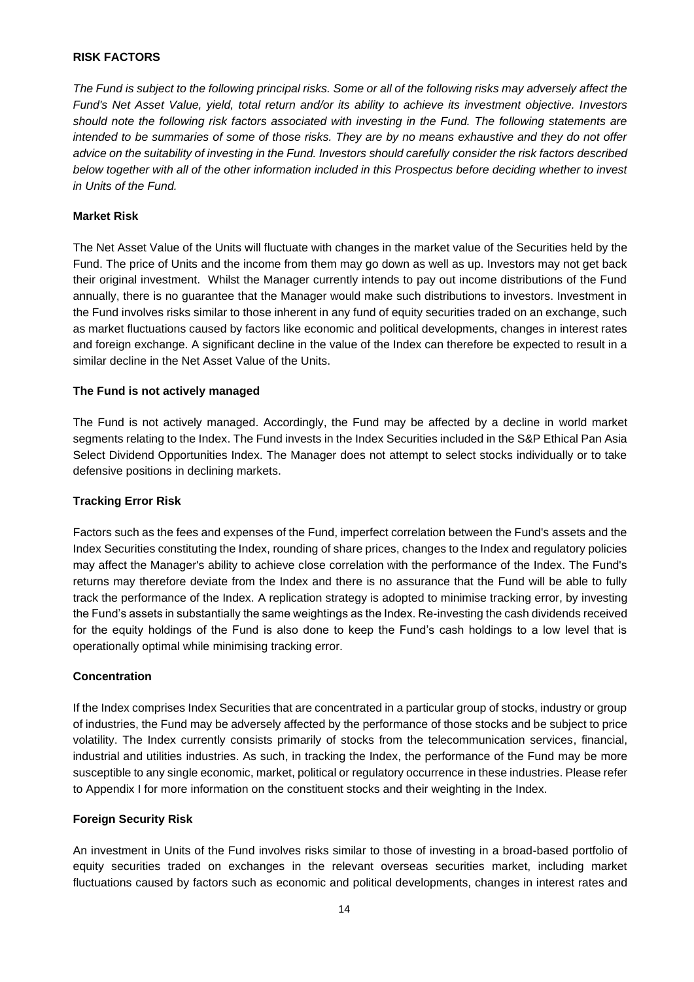## **RISK FACTORS**

*The Fund is subject to the following principal risks. Some or all of the following risks may adversely affect the Fund's Net Asset Value, yield, total return and/or its ability to achieve its investment objective. Investors should note the following risk factors associated with investing in the Fund. The following statements are intended to be summaries of some of those risks. They are by no means exhaustive and they do not offer advice on the suitability of investing in the Fund. Investors should carefully consider the risk factors described below together with all of the other information included in this Prospectus before deciding whether to invest in Units of the Fund.* 

## **Market Risk**

The Net Asset Value of the Units will fluctuate with changes in the market value of the Securities held by the Fund. The price of Units and the income from them may go down as well as up. Investors may not get back their original investment. Whilst the Manager currently intends to pay out income distributions of the Fund annually, there is no guarantee that the Manager would make such distributions to investors. Investment in the Fund involves risks similar to those inherent in any fund of equity securities traded on an exchange, such as market fluctuations caused by factors like economic and political developments, changes in interest rates and foreign exchange. A significant decline in the value of the Index can therefore be expected to result in a similar decline in the Net Asset Value of the Units.

#### **The Fund is not actively managed**

The Fund is not actively managed. Accordingly, the Fund may be affected by a decline in world market segments relating to the Index. The Fund invests in the Index Securities included in the S&P Ethical Pan Asia Select Dividend Opportunities Index. The Manager does not attempt to select stocks individually or to take defensive positions in declining markets.

#### **Tracking Error Risk**

Factors such as the fees and expenses of the Fund, imperfect correlation between the Fund's assets and the Index Securities constituting the Index, rounding of share prices, changes to the Index and regulatory policies may affect the Manager's ability to achieve close correlation with the performance of the Index. The Fund's returns may therefore deviate from the Index and there is no assurance that the Fund will be able to fully track the performance of the Index. A replication strategy is adopted to minimise tracking error, by investing the Fund's assets in substantially the same weightings as the Index. Re-investing the cash dividends received for the equity holdings of the Fund is also done to keep the Fund's cash holdings to a low level that is operationally optimal while minimising tracking error.

#### **Concentration**

If the Index comprises Index Securities that are concentrated in a particular group of stocks, industry or group of industries, the Fund may be adversely affected by the performance of those stocks and be subject to price volatility. The Index currently consists primarily of stocks from the telecommunication services, financial, industrial and utilities industries. As such, in tracking the Index, the performance of the Fund may be more susceptible to any single economic, market, political or regulatory occurrence in these industries. Please refer to Appendix I for more information on the constituent stocks and their weighting in the Index.

#### **Foreign Security Risk**

An investment in Units of the Fund involves risks similar to those of investing in a broad-based portfolio of equity securities traded on exchanges in the relevant overseas securities market, including market fluctuations caused by factors such as economic and political developments, changes in interest rates and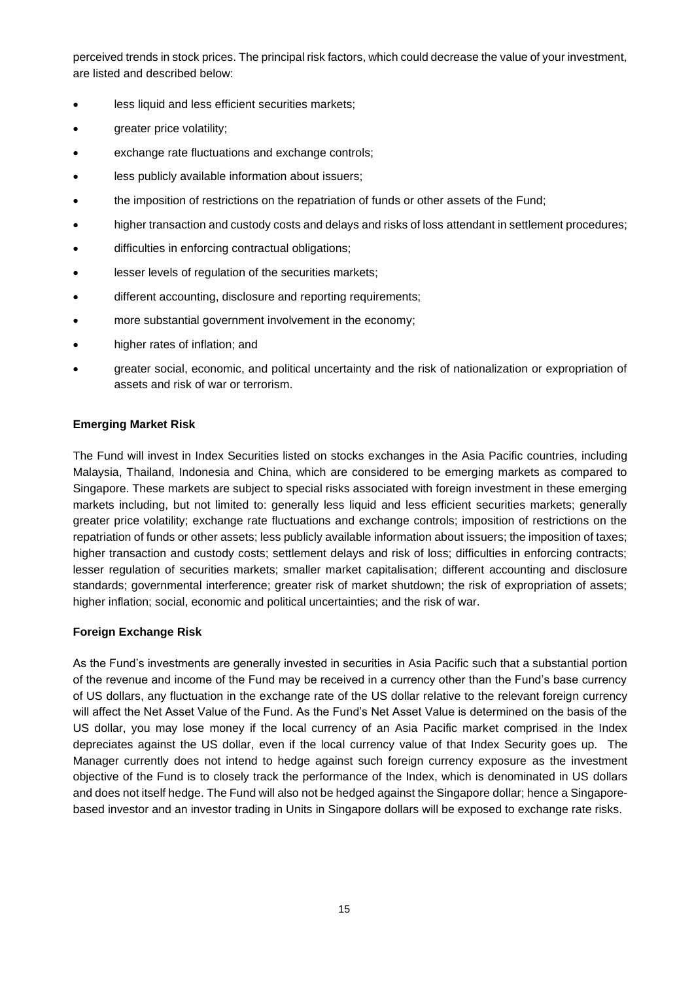perceived trends in stock prices. The principal risk factors, which could decrease the value of your investment, are listed and described below:

- less liquid and less efficient securities markets;
- greater price volatility;
- exchange rate fluctuations and exchange controls;
- less publicly available information about issuers;
- the imposition of restrictions on the repatriation of funds or other assets of the Fund;
- higher transaction and custody costs and delays and risks of loss attendant in settlement procedures;
- difficulties in enforcing contractual obligations;
- lesser levels of regulation of the securities markets;
- different accounting, disclosure and reporting requirements;
- more substantial government involvement in the economy;
- higher rates of inflation; and
- greater social, economic, and political uncertainty and the risk of nationalization or expropriation of assets and risk of war or terrorism.

## **Emerging Market Risk**

The Fund will invest in Index Securities listed on stocks exchanges in the Asia Pacific countries, including Malaysia, Thailand, Indonesia and China, which are considered to be emerging markets as compared to Singapore. These markets are subject to special risks associated with foreign investment in these emerging markets including, but not limited to: generally less liquid and less efficient securities markets; generally greater price volatility; exchange rate fluctuations and exchange controls; imposition of restrictions on the repatriation of funds or other assets; less publicly available information about issuers; the imposition of taxes; higher transaction and custody costs; settlement delays and risk of loss; difficulties in enforcing contracts; lesser regulation of securities markets; smaller market capitalisation; different accounting and disclosure standards; governmental interference; greater risk of market shutdown; the risk of expropriation of assets; higher inflation; social, economic and political uncertainties; and the risk of war.

## **Foreign Exchange Risk**

As the Fund's investments are generally invested in securities in Asia Pacific such that a substantial portion of the revenue and income of the Fund may be received in a currency other than the Fund's base currency of US dollars, any fluctuation in the exchange rate of the US dollar relative to the relevant foreign currency will affect the Net Asset Value of the Fund. As the Fund's Net Asset Value is determined on the basis of the US dollar, you may lose money if the local currency of an Asia Pacific market comprised in the Index depreciates against the US dollar, even if the local currency value of that Index Security goes up. The Manager currently does not intend to hedge against such foreign currency exposure as the investment objective of the Fund is to closely track the performance of the Index, which is denominated in US dollars and does not itself hedge. The Fund will also not be hedged against the Singapore dollar; hence a Singaporebased investor and an investor trading in Units in Singapore dollars will be exposed to exchange rate risks.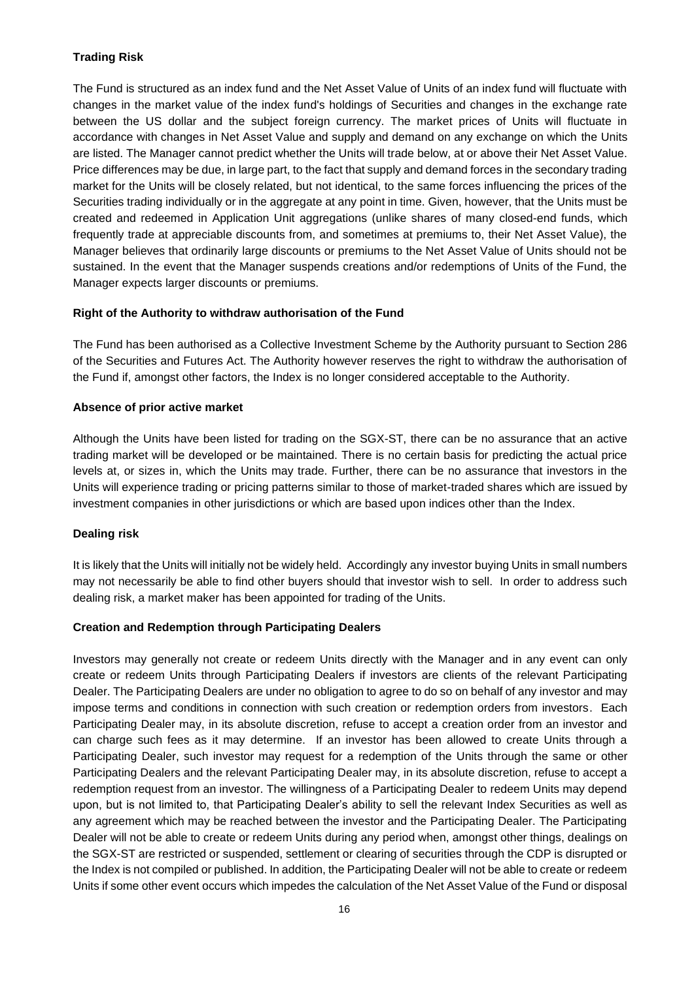## **Trading Risk**

The Fund is structured as an index fund and the Net Asset Value of Units of an index fund will fluctuate with changes in the market value of the index fund's holdings of Securities and changes in the exchange rate between the US dollar and the subject foreign currency. The market prices of Units will fluctuate in accordance with changes in Net Asset Value and supply and demand on any exchange on which the Units are listed. The Manager cannot predict whether the Units will trade below, at or above their Net Asset Value. Price differences may be due, in large part, to the fact that supply and demand forces in the secondary trading market for the Units will be closely related, but not identical, to the same forces influencing the prices of the Securities trading individually or in the aggregate at any point in time. Given, however, that the Units must be created and redeemed in Application Unit aggregations (unlike shares of many closed-end funds, which frequently trade at appreciable discounts from, and sometimes at premiums to, their Net Asset Value), the Manager believes that ordinarily large discounts or premiums to the Net Asset Value of Units should not be sustained. In the event that the Manager suspends creations and/or redemptions of Units of the Fund, the Manager expects larger discounts or premiums.

## **Right of the Authority to withdraw authorisation of the Fund**

The Fund has been authorised as a Collective Investment Scheme by the Authority pursuant to Section 286 of the Securities and Futures Act. The Authority however reserves the right to withdraw the authorisation of the Fund if, amongst other factors, the Index is no longer considered acceptable to the Authority.

## **Absence of prior active market**

Although the Units have been listed for trading on the SGX-ST, there can be no assurance that an active trading market will be developed or be maintained. There is no certain basis for predicting the actual price levels at, or sizes in, which the Units may trade. Further, there can be no assurance that investors in the Units will experience trading or pricing patterns similar to those of market-traded shares which are issued by investment companies in other jurisdictions or which are based upon indices other than the Index.

## **Dealing risk**

It is likely that the Units will initially not be widely held. Accordingly any investor buying Units in small numbers may not necessarily be able to find other buyers should that investor wish to sell. In order to address such dealing risk, a market maker has been appointed for trading of the Units.

## **Creation and Redemption through Participating Dealers**

Investors may generally not create or redeem Units directly with the Manager and in any event can only create or redeem Units through Participating Dealers if investors are clients of the relevant Participating Dealer. The Participating Dealers are under no obligation to agree to do so on behalf of any investor and may impose terms and conditions in connection with such creation or redemption orders from investors. Each Participating Dealer may, in its absolute discretion, refuse to accept a creation order from an investor and can charge such fees as it may determine. If an investor has been allowed to create Units through a Participating Dealer, such investor may request for a redemption of the Units through the same or other Participating Dealers and the relevant Participating Dealer may, in its absolute discretion, refuse to accept a redemption request from an investor. The willingness of a Participating Dealer to redeem Units may depend upon, but is not limited to, that Participating Dealer's ability to sell the relevant Index Securities as well as any agreement which may be reached between the investor and the Participating Dealer. The Participating Dealer will not be able to create or redeem Units during any period when, amongst other things, dealings on the SGX-ST are restricted or suspended, settlement or clearing of securities through the CDP is disrupted or the Index is not compiled or published. In addition, the Participating Dealer will not be able to create or redeem Units if some other event occurs which impedes the calculation of the Net Asset Value of the Fund or disposal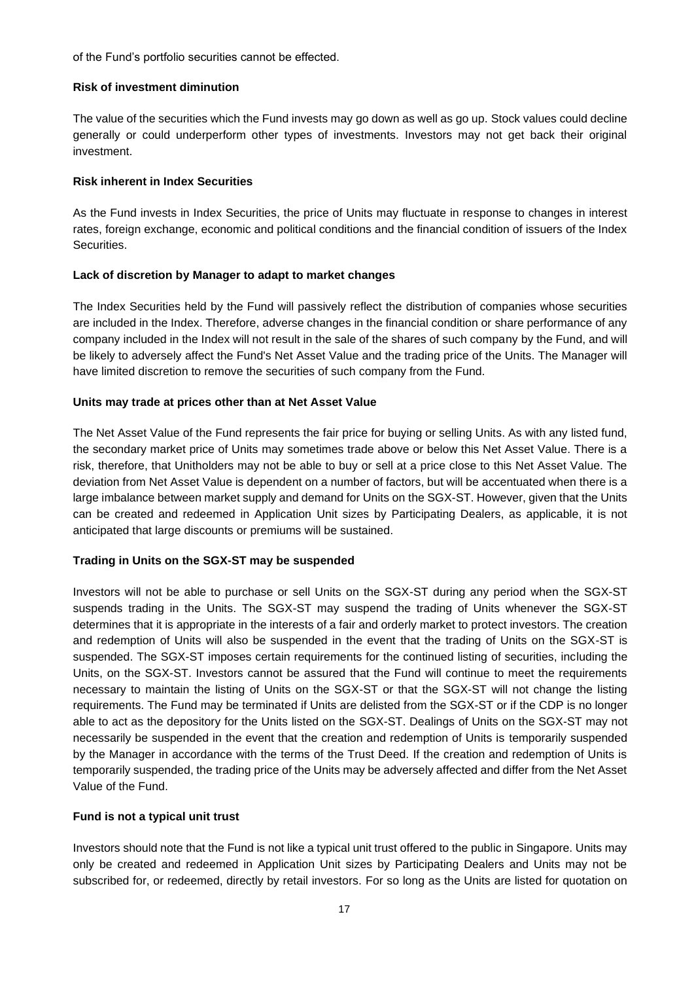of the Fund's portfolio securities cannot be effected.

### **Risk of investment diminution**

The value of the securities which the Fund invests may go down as well as go up. Stock values could decline generally or could underperform other types of investments. Investors may not get back their original investment.

## **Risk inherent in Index Securities**

As the Fund invests in Index Securities, the price of Units may fluctuate in response to changes in interest rates, foreign exchange, economic and political conditions and the financial condition of issuers of the Index Securities.

## **Lack of discretion by Manager to adapt to market changes**

The Index Securities held by the Fund will passively reflect the distribution of companies whose securities are included in the Index. Therefore, adverse changes in the financial condition or share performance of any company included in the Index will not result in the sale of the shares of such company by the Fund, and will be likely to adversely affect the Fund's Net Asset Value and the trading price of the Units. The Manager will have limited discretion to remove the securities of such company from the Fund.

## **Units may trade at prices other than at Net Asset Value**

The Net Asset Value of the Fund represents the fair price for buying or selling Units. As with any listed fund, the secondary market price of Units may sometimes trade above or below this Net Asset Value. There is a risk, therefore, that Unitholders may not be able to buy or sell at a price close to this Net Asset Value. The deviation from Net Asset Value is dependent on a number of factors, but will be accentuated when there is a large imbalance between market supply and demand for Units on the SGX-ST. However, given that the Units can be created and redeemed in Application Unit sizes by Participating Dealers, as applicable, it is not anticipated that large discounts or premiums will be sustained.

## **Trading in Units on the SGX-ST may be suspended**

Investors will not be able to purchase or sell Units on the SGX-ST during any period when the SGX-ST suspends trading in the Units. The SGX-ST may suspend the trading of Units whenever the SGX-ST determines that it is appropriate in the interests of a fair and orderly market to protect investors. The creation and redemption of Units will also be suspended in the event that the trading of Units on the SGX-ST is suspended. The SGX-ST imposes certain requirements for the continued listing of securities, including the Units, on the SGX-ST. Investors cannot be assured that the Fund will continue to meet the requirements necessary to maintain the listing of Units on the SGX-ST or that the SGX-ST will not change the listing requirements. The Fund may be terminated if Units are delisted from the SGX-ST or if the CDP is no longer able to act as the depository for the Units listed on the SGX-ST. Dealings of Units on the SGX-ST may not necessarily be suspended in the event that the creation and redemption of Units is temporarily suspended by the Manager in accordance with the terms of the Trust Deed. If the creation and redemption of Units is temporarily suspended, the trading price of the Units may be adversely affected and differ from the Net Asset Value of the Fund.

## **Fund is not a typical unit trust**

Investors should note that the Fund is not like a typical unit trust offered to the public in Singapore. Units may only be created and redeemed in Application Unit sizes by Participating Dealers and Units may not be subscribed for, or redeemed, directly by retail investors. For so long as the Units are listed for quotation on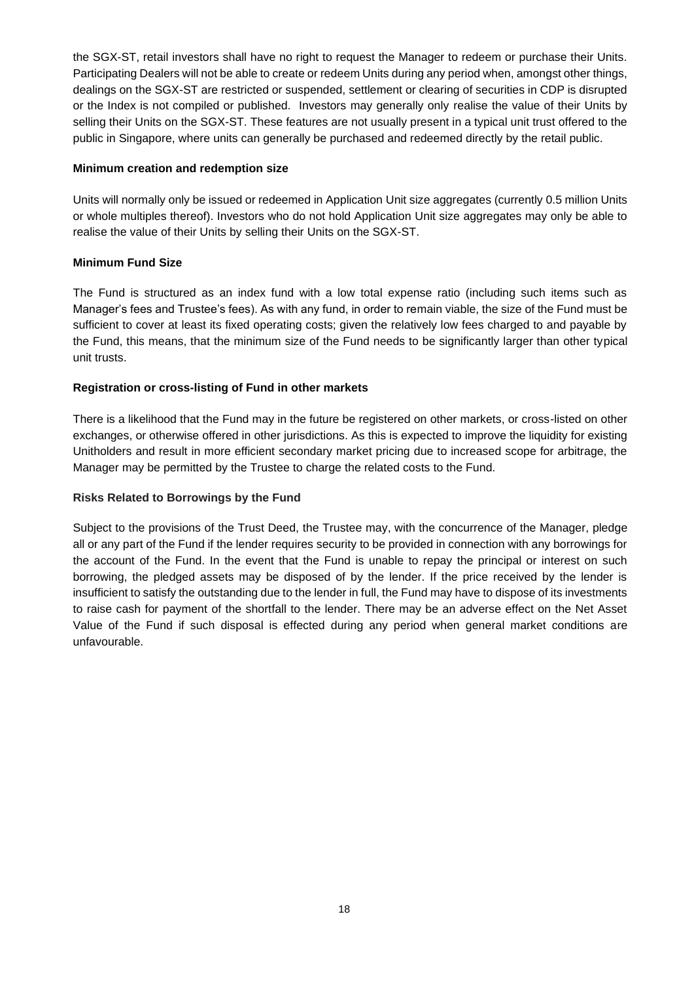the SGX-ST, retail investors shall have no right to request the Manager to redeem or purchase their Units. Participating Dealers will not be able to create or redeem Units during any period when, amongst other things, dealings on the SGX-ST are restricted or suspended, settlement or clearing of securities in CDP is disrupted or the Index is not compiled or published. Investors may generally only realise the value of their Units by selling their Units on the SGX-ST. These features are not usually present in a typical unit trust offered to the public in Singapore, where units can generally be purchased and redeemed directly by the retail public.

### **Minimum creation and redemption size**

Units will normally only be issued or redeemed in Application Unit size aggregates (currently 0.5 million Units or whole multiples thereof). Investors who do not hold Application Unit size aggregates may only be able to realise the value of their Units by selling their Units on the SGX-ST.

## **Minimum Fund Size**

The Fund is structured as an index fund with a low total expense ratio (including such items such as Manager's fees and Trustee's fees). As with any fund, in order to remain viable, the size of the Fund must be sufficient to cover at least its fixed operating costs; given the relatively low fees charged to and payable by the Fund, this means, that the minimum size of the Fund needs to be significantly larger than other typical unit trusts.

## **Registration or cross-listing of Fund in other markets**

There is a likelihood that the Fund may in the future be registered on other markets, or cross-listed on other exchanges, or otherwise offered in other jurisdictions. As this is expected to improve the liquidity for existing Unitholders and result in more efficient secondary market pricing due to increased scope for arbitrage, the Manager may be permitted by the Trustee to charge the related costs to the Fund.

#### **Risks Related to Borrowings by the Fund**

<span id="page-21-0"></span>Subject to the provisions of the Trust Deed, the Trustee may, with the concurrence of the Manager, pledge all or any part of the Fund if the lender requires security to be provided in connection with any borrowings for the account of the Fund. In the event that the Fund is unable to repay the principal or interest on such borrowing, the pledged assets may be disposed of by the lender. If the price received by the lender is insufficient to satisfy the outstanding due to the lender in full, the Fund may have to dispose of its investments to raise cash for payment of the shortfall to the lender. There may be an adverse effect on the Net Asset Value of the Fund if such disposal is effected during any period when general market conditions are unfavourable.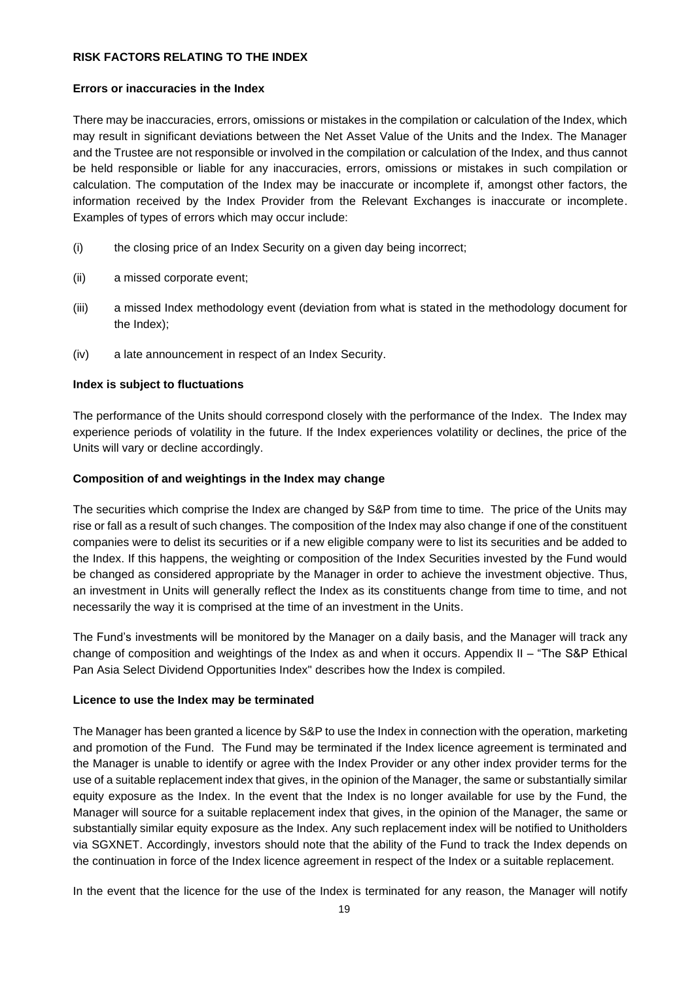## **RISK FACTORS RELATING TO THE INDEX**

### **Errors or inaccuracies in the Index**

There may be inaccuracies, errors, omissions or mistakes in the compilation or calculation of the Index, which may result in significant deviations between the Net Asset Value of the Units and the Index. The Manager and the Trustee are not responsible or involved in the compilation or calculation of the Index, and thus cannot be held responsible or liable for any inaccuracies, errors, omissions or mistakes in such compilation or calculation. The computation of the Index may be inaccurate or incomplete if, amongst other factors, the information received by the Index Provider from the Relevant Exchanges is inaccurate or incomplete. Examples of types of errors which may occur include:

- (i) the closing price of an Index Security on a given day being incorrect;
- (ii) a missed corporate event;
- (iii) a missed Index methodology event (deviation from what is stated in the methodology document for the Index);
- (iv) a late announcement in respect of an Index Security.

## **Index is subject to fluctuations**

The performance of the Units should correspond closely with the performance of the Index. The Index may experience periods of volatility in the future. If the Index experiences volatility or declines, the price of the Units will vary or decline accordingly.

#### **Composition of and weightings in the Index may change**

The securities which comprise the Index are changed by S&P from time to time. The price of the Units may rise or fall as a result of such changes. The composition of the Index may also change if one of the constituent companies were to delist its securities or if a new eligible company were to list its securities and be added to the Index. If this happens, the weighting or composition of the Index Securities invested by the Fund would be changed as considered appropriate by the Manager in order to achieve the investment objective. Thus, an investment in Units will generally reflect the Index as its constituents change from time to time, and not necessarily the way it is comprised at the time of an investment in the Units.

The Fund's investments will be monitored by the Manager on a daily basis, and the Manager will track any change of composition and weightings of the Index as and when it occurs. Appendix II – "The S&P Ethical Pan Asia Select Dividend Opportunities Index" describes how the Index is compiled.

#### **Licence to use the Index may be terminated**

The Manager has been granted a licence by S&P to use the Index in connection with the operation, marketing and promotion of the Fund. The Fund may be terminated if the Index licence agreement is terminated and the Manager is unable to identify or agree with the Index Provider or any other index provider terms for the use of a suitable replacement index that gives, in the opinion of the Manager, the same or substantially similar equity exposure as the Index. In the event that the Index is no longer available for use by the Fund, the Manager will source for a suitable replacement index that gives, in the opinion of the Manager, the same or substantially similar equity exposure as the Index. Any such replacement index will be notified to Unitholders via SGXNET. Accordingly, investors should note that the ability of the Fund to track the Index depends on the continuation in force of the Index licence agreement in respect of the Index or a suitable replacement.

In the event that the licence for the use of the Index is terminated for any reason, the Manager will notify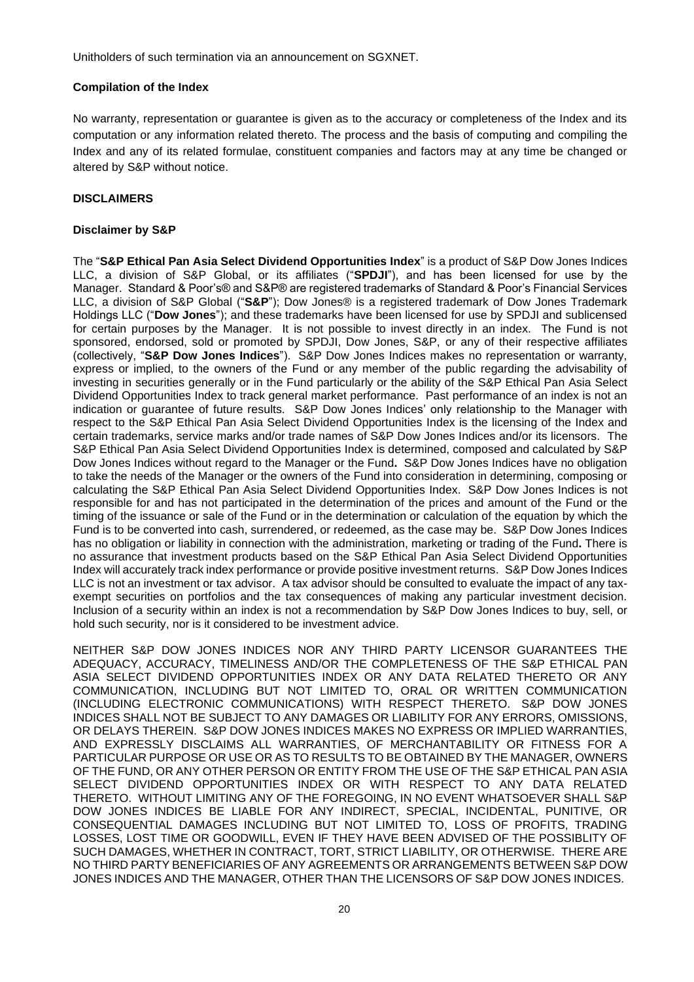Unitholders of such termination via an announcement on SGXNET.

### **Compilation of the Index**

No warranty, representation or guarantee is given as to the accuracy or completeness of the Index and its computation or any information related thereto. The process and the basis of computing and compiling the Index and any of its related formulae, constituent companies and factors may at any time be changed or altered by S&P without notice.

## <span id="page-23-0"></span>**DISCLAIMERS**

#### **Disclaimer by S&P**

The "**S&P Ethical Pan Asia Select Dividend Opportunities Index**" is a product of S&P Dow Jones Indices LLC, a division of S&P Global, or its affiliates ("**SPDJI**"), and has been licensed for use by the Manager. Standard & Poor's® and S&P® are registered trademarks of Standard & Poor's Financial Services LLC, a division of S&P Global ("**S&P**"); Dow Jones® is a registered trademark of Dow Jones Trademark Holdings LLC ("**Dow Jones**"); and these trademarks have been licensed for use by SPDJI and sublicensed for certain purposes by the Manager. It is not possible to invest directly in an index. The Fund is not sponsored, endorsed, sold or promoted by SPDJI, Dow Jones, S&P, or any of their respective affiliates (collectively, "**S&P Dow Jones Indices**"). S&P Dow Jones Indices makes no representation or warranty, express or implied, to the owners of the Fund or any member of the public regarding the advisability of investing in securities generally or in the Fund particularly or the ability of the S&P Ethical Pan Asia Select Dividend Opportunities Index to track general market performance. Past performance of an index is not an indication or guarantee of future results. S&P Dow Jones Indices' only relationship to the Manager with respect to the S&P Ethical Pan Asia Select Dividend Opportunities Index is the licensing of the Index and certain trademarks, service marks and/or trade names of S&P Dow Jones Indices and/or its licensors. The S&P Ethical Pan Asia Select Dividend Opportunities Index is determined, composed and calculated by S&P Dow Jones Indices without regard to the Manager or the Fund**.** S&P Dow Jones Indices have no obligation to take the needs of the Manager or the owners of the Fund into consideration in determining, composing or calculating the S&P Ethical Pan Asia Select Dividend Opportunities Index. S&P Dow Jones Indices is not responsible for and has not participated in the determination of the prices and amount of the Fund or the timing of the issuance or sale of the Fund or in the determination or calculation of the equation by which the Fund is to be converted into cash, surrendered, or redeemed, as the case may be. S&P Dow Jones Indices has no obligation or liability in connection with the administration, marketing or trading of the Fund**.** There is no assurance that investment products based on the S&P Ethical Pan Asia Select Dividend Opportunities Index will accurately track index performance or provide positive investment returns. S&P Dow Jones Indices LLC is not an investment or tax advisor. A tax advisor should be consulted to evaluate the impact of any taxexempt securities on portfolios and the tax consequences of making any particular investment decision. Inclusion of a security within an index is not a recommendation by S&P Dow Jones Indices to buy, sell, or hold such security, nor is it considered to be investment advice.

<span id="page-23-1"></span>NEITHER S&P DOW JONES INDICES NOR ANY THIRD PARTY LICENSOR GUARANTEES THE ADEQUACY, ACCURACY, TIMELINESS AND/OR THE COMPLETENESS OF THE S&P ETHICAL PAN ASIA SELECT DIVIDEND OPPORTUNITIES INDEX OR ANY DATA RELATED THERETO OR ANY COMMUNICATION, INCLUDING BUT NOT LIMITED TO, ORAL OR WRITTEN COMMUNICATION (INCLUDING ELECTRONIC COMMUNICATIONS) WITH RESPECT THERETO. S&P DOW JONES INDICES SHALL NOT BE SUBJECT TO ANY DAMAGES OR LIABILITY FOR ANY ERRORS, OMISSIONS, OR DELAYS THEREIN. S&P DOW JONES INDICES MAKES NO EXPRESS OR IMPLIED WARRANTIES, AND EXPRESSLY DISCLAIMS ALL WARRANTIES, OF MERCHANTABILITY OR FITNESS FOR A PARTICULAR PURPOSE OR USE OR AS TO RESULTS TO BE OBTAINED BY THE MANAGER, OWNERS OF THE FUND, OR ANY OTHER PERSON OR ENTITY FROM THE USE OF THE S&P ETHICAL PAN ASIA SELECT DIVIDEND OPPORTUNITIES INDEX OR WITH RESPECT TO ANY DATA RELATED THERETO. WITHOUT LIMITING ANY OF THE FOREGOING, IN NO EVENT WHATSOEVER SHALL S&P DOW JONES INDICES BE LIABLE FOR ANY INDIRECT, SPECIAL, INCIDENTAL, PUNITIVE, OR CONSEQUENTIAL DAMAGES INCLUDING BUT NOT LIMITED TO, LOSS OF PROFITS, TRADING LOSSES, LOST TIME OR GOODWILL, EVEN IF THEY HAVE BEEN ADVISED OF THE POSSIBLITY OF SUCH DAMAGES, WHETHER IN CONTRACT, TORT, STRICT LIABILITY, OR OTHERWISE. THERE ARE NO THIRD PARTY BENEFICIARIES OF ANY AGREEMENTS OR ARRANGEMENTS BETWEEN S&P DOW JONES INDICES AND THE MANAGER, OTHER THAN THE LICENSORS OF S&P DOW JONES INDICES.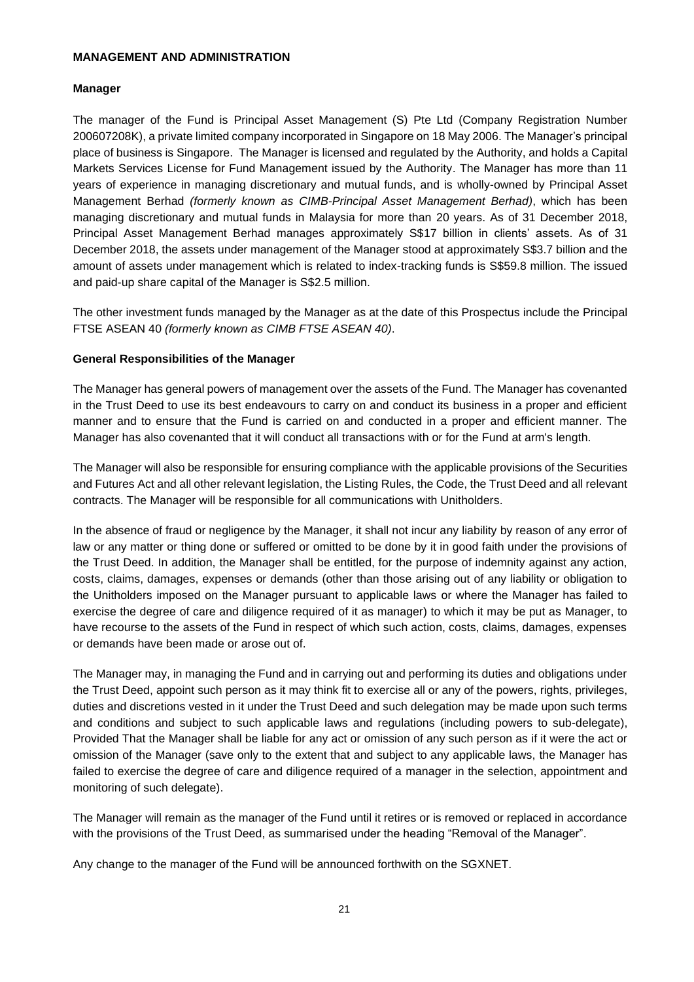## **MANAGEMENT AND ADMINISTRATION**

#### **Manager**

The manager of the Fund is Principal Asset Management (S) Pte Ltd (Company Registration Number 200607208K), a private limited company incorporated in Singapore on 18 May 2006. The Manager's principal place of business is Singapore. The Manager is licensed and regulated by the Authority, and holds a Capital Markets Services License for Fund Management issued by the Authority. The Manager has more than 11 years of experience in managing discretionary and mutual funds, and is wholly-owned by Principal Asset Management Berhad *(formerly known as CIMB-Principal Asset Management Berhad)*, which has been managing discretionary and mutual funds in Malaysia for more than 20 years. As of 31 December 2018, Principal Asset Management Berhad manages approximately S\$17 billion in clients' assets. As of 31 December 2018, the assets under management of the Manager stood at approximately S\$3.7 billion and the amount of assets under management which is related to index-tracking funds is S\$59.8 million. The issued and paid-up share capital of the Manager is S\$2.5 million.

The other investment funds managed by the Manager as at the date of this Prospectus include the Principal FTSE ASEAN 40 *(formerly known as CIMB FTSE ASEAN 40)*.

#### **General Responsibilities of the Manager**

The Manager has general powers of management over the assets of the Fund. The Manager has covenanted in the Trust Deed to use its best endeavours to carry on and conduct its business in a proper and efficient manner and to ensure that the Fund is carried on and conducted in a proper and efficient manner. The Manager has also covenanted that it will conduct all transactions with or for the Fund at arm's length.

The Manager will also be responsible for ensuring compliance with the applicable provisions of the Securities and Futures Act and all other relevant legislation, the Listing Rules, the Code, the Trust Deed and all relevant contracts. The Manager will be responsible for all communications with Unitholders.

In the absence of fraud or negligence by the Manager, it shall not incur any liability by reason of any error of law or any matter or thing done or suffered or omitted to be done by it in good faith under the provisions of the Trust Deed. In addition, the Manager shall be entitled, for the purpose of indemnity against any action, costs, claims, damages, expenses or demands (other than those arising out of any liability or obligation to the Unitholders imposed on the Manager pursuant to applicable laws or where the Manager has failed to exercise the degree of care and diligence required of it as manager) to which it may be put as Manager, to have recourse to the assets of the Fund in respect of which such action, costs, claims, damages, expenses or demands have been made or arose out of.

The Manager may, in managing the Fund and in carrying out and performing its duties and obligations under the Trust Deed, appoint such person as it may think fit to exercise all or any of the powers, rights, privileges, duties and discretions vested in it under the Trust Deed and such delegation may be made upon such terms and conditions and subject to such applicable laws and regulations (including powers to sub-delegate), Provided That the Manager shall be liable for any act or omission of any such person as if it were the act or omission of the Manager (save only to the extent that and subject to any applicable laws, the Manager has failed to exercise the degree of care and diligence required of a manager in the selection, appointment and monitoring of such delegate).

The Manager will remain as the manager of the Fund until it retires or is removed or replaced in accordance with the provisions of the Trust Deed, as summarised under the heading "Removal of the Manager".

Any change to the manager of the Fund will be announced forthwith on the SGXNET.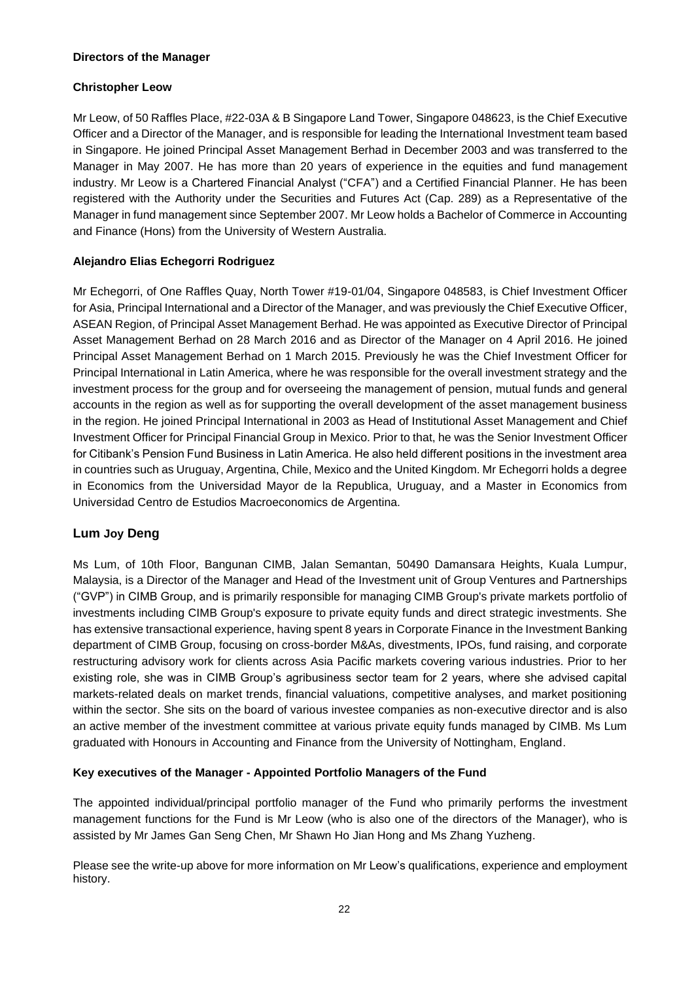## **Directors of the Manager**

## **Christopher Leow**

Mr Leow, of 50 Raffles Place, #22-03A & B Singapore Land Tower, Singapore 048623, is the Chief Executive Officer and a Director of the Manager, and is responsible for leading the International Investment team based in Singapore. He joined Principal Asset Management Berhad in December 2003 and was transferred to the Manager in May 2007. He has more than 20 years of experience in the equities and fund management industry. Mr Leow is a Chartered Financial Analyst ("CFA") and a Certified Financial Planner. He has been registered with the Authority under the Securities and Futures Act (Cap. 289) as a Representative of the Manager in fund management since September 2007. Mr Leow holds a Bachelor of Commerce in Accounting and Finance (Hons) from the University of Western Australia.

## **Alejandro Elias Echegorri Rodriguez**

Mr Echegorri, of One Raffles Quay, North Tower #19-01/04, Singapore 048583, is Chief Investment Officer for Asia, Principal International and a Director of the Manager, and was previously the Chief Executive Officer, ASEAN Region, of Principal Asset Management Berhad. He was appointed as Executive Director of Principal Asset Management Berhad on 28 March 2016 and as Director of the Manager on 4 April 2016. He joined Principal Asset Management Berhad on 1 March 2015. Previously he was the Chief Investment Officer for Principal International in Latin America, where he was responsible for the overall investment strategy and the investment process for the group and for overseeing the management of pension, mutual funds and general accounts in the region as well as for supporting the overall development of the asset management business in the region. He joined Principal International in 2003 as Head of Institutional Asset Management and Chief Investment Officer for Principal Financial Group in Mexico. Prior to that, he was the Senior Investment Officer for Citibank's Pension Fund Business in Latin America. He also held different positions in the investment area in countries such as Uruguay, Argentina, Chile, Mexico and the United Kingdom. Mr Echegorri holds a degree in Economics from the Universidad Mayor de la Republica, Uruguay, and a Master in Economics from Universidad Centro de Estudios Macroeconomics de Argentina.

# **Lum Joy Deng**

Ms Lum, of 10th Floor, Bangunan CIMB, Jalan Semantan, 50490 Damansara Heights, Kuala Lumpur, Malaysia, is a Director of the Manager and Head of the Investment unit of Group Ventures and Partnerships ("GVP") in CIMB Group, and is primarily responsible for managing CIMB Group's private markets portfolio of investments including CIMB Group's exposure to private equity funds and direct strategic investments. She has extensive transactional experience, having spent 8 years in Corporate Finance in the Investment Banking department of CIMB Group, focusing on cross-border M&As, divestments, IPOs, fund raising, and corporate restructuring advisory work for clients across Asia Pacific markets covering various industries. Prior to her existing role, she was in CIMB Group's agribusiness sector team for 2 years, where she advised capital markets-related deals on market trends, financial valuations, competitive analyses, and market positioning within the sector. She sits on the board of various investee companies as non-executive director and is also an active member of the investment committee at various private equity funds managed by CIMB. Ms Lum graduated with Honours in Accounting and Finance from the University of Nottingham, England.

## **Key executives of the Manager - Appointed Portfolio Managers of the Fund**

The appointed individual/principal portfolio manager of the Fund who primarily performs the investment management functions for the Fund is Mr Leow (who is also one of the directors of the Manager), who is assisted by Mr James Gan Seng Chen, Mr Shawn Ho Jian Hong and Ms Zhang Yuzheng.

Please see the write-up above for more information on Mr Leow's qualifications, experience and employment history.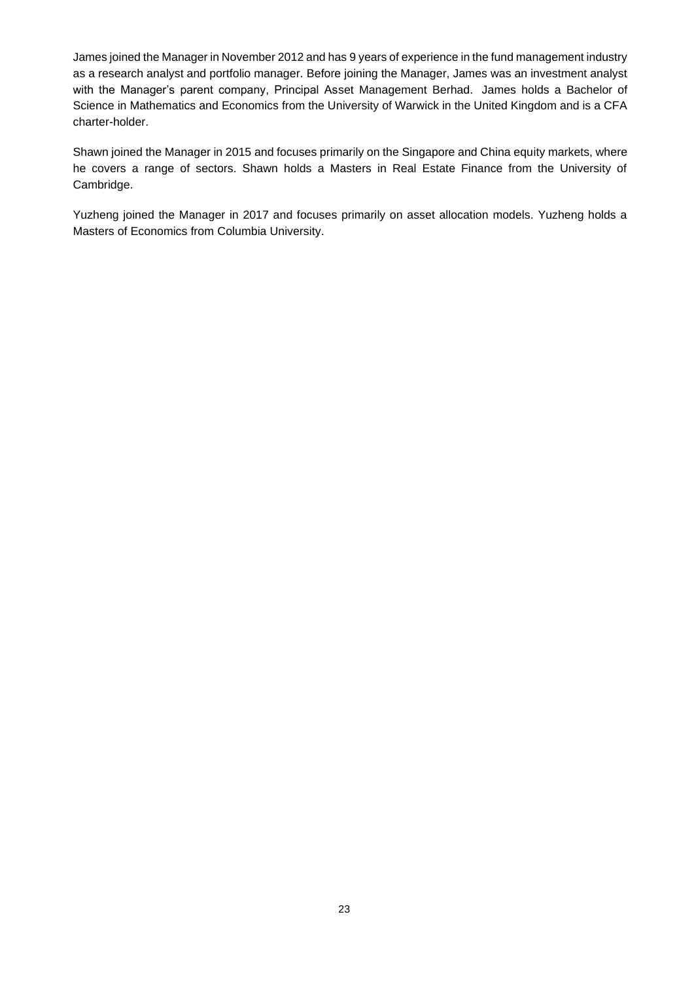James joined the Manager in November 2012 and has 9 years of experience in the fund management industry as a research analyst and portfolio manager. Before joining the Manager, James was an investment analyst with the Manager's parent company, Principal Asset Management Berhad. James holds a Bachelor of Science in Mathematics and Economics from the University of Warwick in the United Kingdom and is a CFA charter-holder.

Shawn joined the Manager in 2015 and focuses primarily on the Singapore and China equity markets, where he covers a range of sectors. Shawn holds a Masters in Real Estate Finance from the University of Cambridge.

Yuzheng joined the Manager in 2017 and focuses primarily on asset allocation models. Yuzheng holds a Masters of Economics from Columbia University.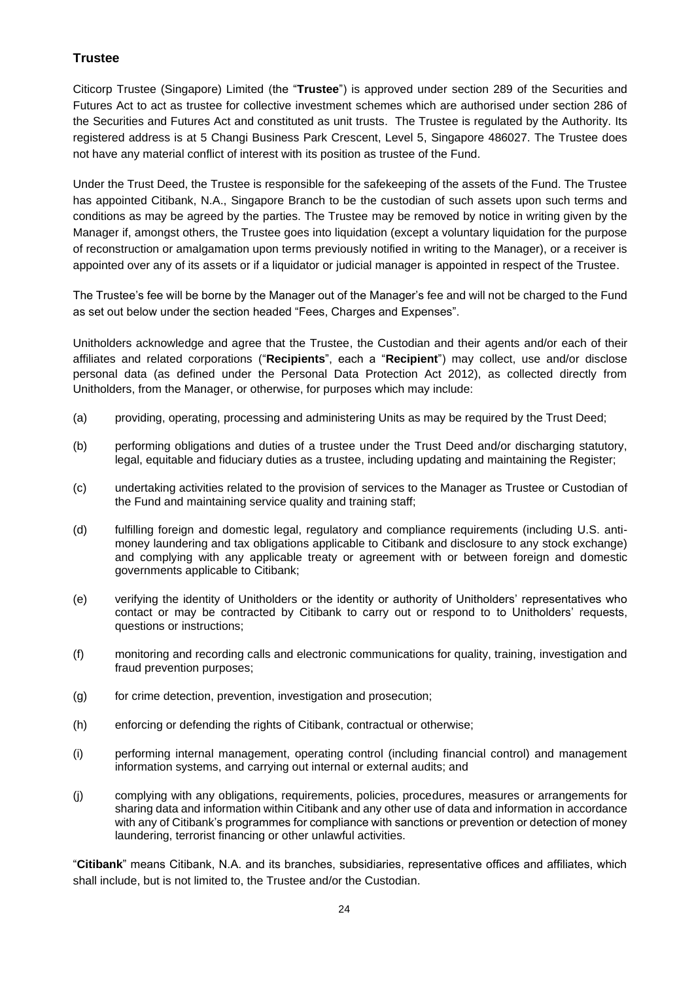# **Trustee**

Citicorp Trustee (Singapore) Limited (the "**Trustee**") is approved under section 289 of the Securities and Futures Act to act as trustee for collective investment schemes which are authorised under section 286 of the Securities and Futures Act and constituted as unit trusts. The Trustee is regulated by the Authority. Its registered address is at 5 Changi Business Park Crescent, Level 5, Singapore 486027. The Trustee does not have any material conflict of interest with its position as trustee of the Fund.

Under the Trust Deed, the Trustee is responsible for the safekeeping of the assets of the Fund. The Trustee has appointed Citibank, N.A., Singapore Branch to be the custodian of such assets upon such terms and conditions as may be agreed by the parties. The Trustee may be removed by notice in writing given by the Manager if, amongst others, the Trustee goes into liquidation (except a voluntary liquidation for the purpose of reconstruction or amalgamation upon terms previously notified in writing to the Manager), or a receiver is appointed over any of its assets or if a liquidator or judicial manager is appointed in respect of the Trustee.

The Trustee's fee will be borne by the Manager out of the Manager's fee and will not be charged to the Fund as set out below under the section headed "Fees, Charges and Expenses".

Unitholders acknowledge and agree that the Trustee, the Custodian and their agents and/or each of their affiliates and related corporations ("**Recipients**", each a "**Recipient**") may collect, use and/or disclose personal data (as defined under the Personal Data Protection Act 2012), as collected directly from Unitholders, from the Manager, or otherwise, for purposes which may include:

- (a) providing, operating, processing and administering Units as may be required by the Trust Deed;
- (b) performing obligations and duties of a trustee under the Trust Deed and/or discharging statutory, legal, equitable and fiduciary duties as a trustee, including updating and maintaining the Register;
- (c) undertaking activities related to the provision of services to the Manager as Trustee or Custodian of the Fund and maintaining service quality and training staff;
- (d) fulfilling foreign and domestic legal, regulatory and compliance requirements (including U.S. antimoney laundering and tax obligations applicable to Citibank and disclosure to any stock exchange) and complying with any applicable treaty or agreement with or between foreign and domestic governments applicable to Citibank;
- (e) verifying the identity of Unitholders or the identity or authority of Unitholders' representatives who contact or may be contracted by Citibank to carry out or respond to to Unitholders' requests, questions or instructions;
- (f) monitoring and recording calls and electronic communications for quality, training, investigation and fraud prevention purposes;
- (g) for crime detection, prevention, investigation and prosecution;
- (h) enforcing or defending the rights of Citibank, contractual or otherwise;
- (i) performing internal management, operating control (including financial control) and management information systems, and carrying out internal or external audits; and
- (j) complying with any obligations, requirements, policies, procedures, measures or arrangements for sharing data and information within Citibank and any other use of data and information in accordance with any of Citibank's programmes for compliance with sanctions or prevention or detection of money laundering, terrorist financing or other unlawful activities.

"**Citibank**" means Citibank, N.A. and its branches, subsidiaries, representative offices and affiliates, which shall include, but is not limited to, the Trustee and/or the Custodian.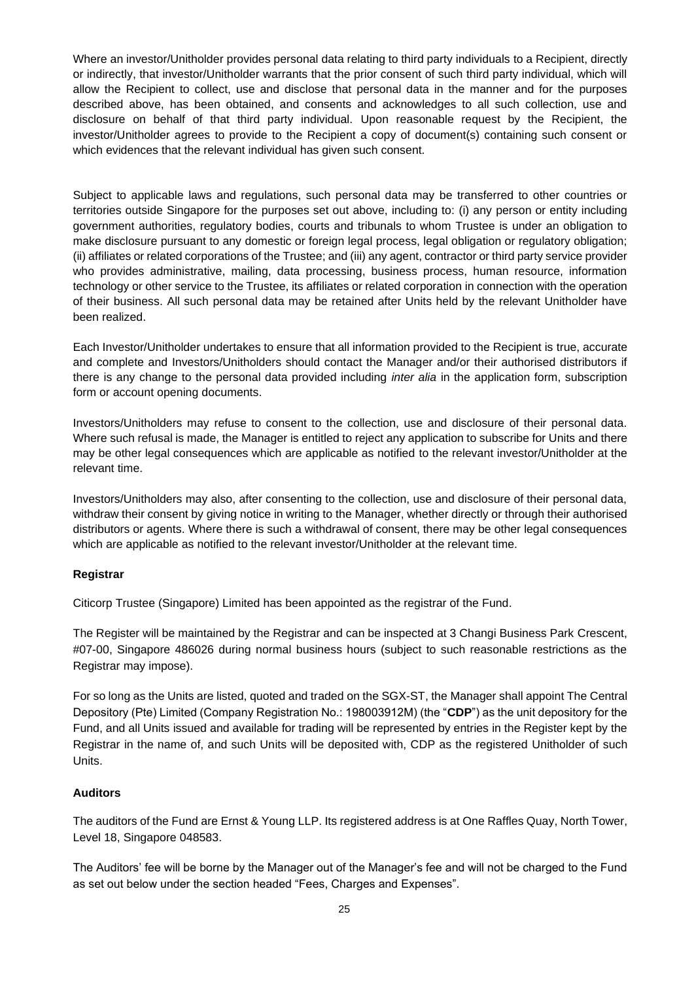Where an investor/Unitholder provides personal data relating to third party individuals to a Recipient, directly or indirectly, that investor/Unitholder warrants that the prior consent of such third party individual, which will allow the Recipient to collect, use and disclose that personal data in the manner and for the purposes described above, has been obtained, and consents and acknowledges to all such collection, use and disclosure on behalf of that third party individual. Upon reasonable request by the Recipient, the investor/Unitholder agrees to provide to the Recipient a copy of document(s) containing such consent or which evidences that the relevant individual has given such consent.

Subject to applicable laws and regulations, such personal data may be transferred to other countries or territories outside Singapore for the purposes set out above, including to: (i) any person or entity including government authorities, regulatory bodies, courts and tribunals to whom Trustee is under an obligation to make disclosure pursuant to any domestic or foreign legal process, legal obligation or regulatory obligation; (ii) affiliates or related corporations of the Trustee; and (iii) any agent, contractor or third party service provider who provides administrative, mailing, data processing, business process, human resource, information technology or other service to the Trustee, its affiliates or related corporation in connection with the operation of their business. All such personal data may be retained after Units held by the relevant Unitholder have been realized.

Each Investor/Unitholder undertakes to ensure that all information provided to the Recipient is true, accurate and complete and Investors/Unitholders should contact the Manager and/or their authorised distributors if there is any change to the personal data provided including *inter alia* in the application form, subscription form or account opening documents.

Investors/Unitholders may refuse to consent to the collection, use and disclosure of their personal data. Where such refusal is made, the Manager is entitled to reject any application to subscribe for Units and there may be other legal consequences which are applicable as notified to the relevant investor/Unitholder at the relevant time.

Investors/Unitholders may also, after consenting to the collection, use and disclosure of their personal data, withdraw their consent by giving notice in writing to the Manager, whether directly or through their authorised distributors or agents. Where there is such a withdrawal of consent, there may be other legal consequences which are applicable as notified to the relevant investor/Unitholder at the relevant time.

## **Registrar**

Citicorp Trustee (Singapore) Limited has been appointed as the registrar of the Fund.

The Register will be maintained by the Registrar and can be inspected at 3 Changi Business Park Crescent, #07-00, Singapore 486026 during normal business hours (subject to such reasonable restrictions as the Registrar may impose).

For so long as the Units are listed, quoted and traded on the SGX-ST, the Manager shall appoint The Central Depository (Pte) Limited (Company Registration No.: 198003912M) (the "**CDP**") as the unit depository for the Fund, and all Units issued and available for trading will be represented by entries in the Register kept by the Registrar in the name of, and such Units will be deposited with, CDP as the registered Unitholder of such Units.

## **Auditors**

The auditors of the Fund are Ernst & Young LLP. Its registered address is at One Raffles Quay, North Tower, Level 18, Singapore 048583.

The Auditors' fee will be borne by the Manager out of the Manager's fee and will not be charged to the Fund as set out below under the section headed "Fees, Charges and Expenses".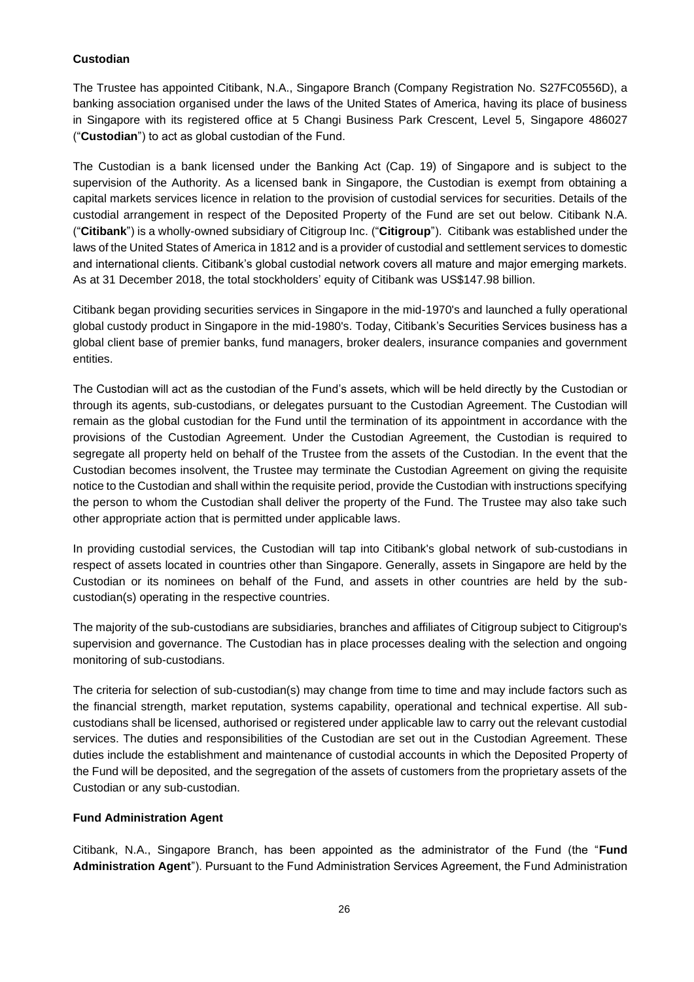## **Custodian**

The Trustee has appointed Citibank, N.A., Singapore Branch (Company Registration No. S27FC0556D), a banking association organised under the laws of the United States of America, having its place of business in Singapore with its registered office at 5 Changi Business Park Crescent, Level 5, Singapore 486027 ("**Custodian**") to act as global custodian of the Fund.

The Custodian is a bank licensed under the Banking Act (Cap. 19) of Singapore and is subject to the supervision of the Authority. As a licensed bank in Singapore, the Custodian is exempt from obtaining a capital markets services licence in relation to the provision of custodial services for securities. Details of the custodial arrangement in respect of the Deposited Property of the Fund are set out below. Citibank N.A. ("**Citibank**") is a wholly-owned subsidiary of Citigroup Inc. ("**Citigroup**"). Citibank was established under the laws of the United States of America in 1812 and is a provider of custodial and settlement services to domestic and international clients. Citibank's global custodial network covers all mature and major emerging markets. As at 31 December 2018, the total stockholders' equity of Citibank was US\$147.98 billion.

Citibank began providing securities services in Singapore in the mid-1970's and launched a fully operational global custody product in Singapore in the mid-1980's. Today, Citibank's Securities Services business has a global client base of premier banks, fund managers, broker dealers, insurance companies and government entities.

The Custodian will act as the custodian of the Fund's assets, which will be held directly by the Custodian or through its agents, sub-custodians, or delegates pursuant to the Custodian Agreement. The Custodian will remain as the global custodian for the Fund until the termination of its appointment in accordance with the provisions of the Custodian Agreement. Under the Custodian Agreement, the Custodian is required to segregate all property held on behalf of the Trustee from the assets of the Custodian. In the event that the Custodian becomes insolvent, the Trustee may terminate the Custodian Agreement on giving the requisite notice to the Custodian and shall within the requisite period, provide the Custodian with instructions specifying the person to whom the Custodian shall deliver the property of the Fund. The Trustee may also take such other appropriate action that is permitted under applicable laws.

In providing custodial services, the Custodian will tap into Citibank's global network of sub-custodians in respect of assets located in countries other than Singapore. Generally, assets in Singapore are held by the Custodian or its nominees on behalf of the Fund, and assets in other countries are held by the subcustodian(s) operating in the respective countries.

The majority of the sub-custodians are subsidiaries, branches and affiliates of Citigroup subject to Citigroup's supervision and governance. The Custodian has in place processes dealing with the selection and ongoing monitoring of sub-custodians.

The criteria for selection of sub-custodian(s) may change from time to time and may include factors such as the financial strength, market reputation, systems capability, operational and technical expertise. All subcustodians shall be licensed, authorised or registered under applicable law to carry out the relevant custodial services. The duties and responsibilities of the Custodian are set out in the Custodian Agreement. These duties include the establishment and maintenance of custodial accounts in which the Deposited Property of the Fund will be deposited, and the segregation of the assets of customers from the proprietary assets of the Custodian or any sub-custodian.

## **Fund Administration Agent**

Citibank, N.A., Singapore Branch, has been appointed as the administrator of the Fund (the "**Fund Administration Agent**"). Pursuant to the Fund Administration Services Agreement, the Fund Administration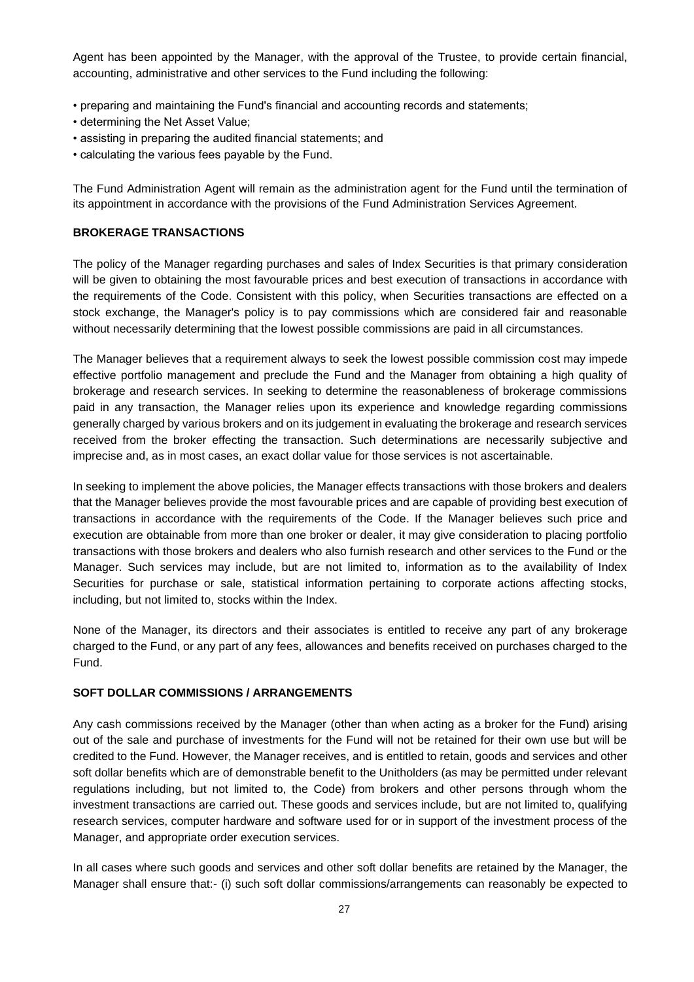Agent has been appointed by the Manager, with the approval of the Trustee, to provide certain financial, accounting, administrative and other services to the Fund including the following:

- preparing and maintaining the Fund's financial and accounting records and statements;
- determining the Net Asset Value;
- assisting in preparing the audited financial statements; and
- calculating the various fees payable by the Fund.

The Fund Administration Agent will remain as the administration agent for the Fund until the termination of its appointment in accordance with the provisions of the Fund Administration Services Agreement.

#### <span id="page-30-0"></span>**BROKERAGE TRANSACTIONS**

The policy of the Manager regarding purchases and sales of Index Securities is that primary consideration will be given to obtaining the most favourable prices and best execution of transactions in accordance with the requirements of the Code. Consistent with this policy, when Securities transactions are effected on a stock exchange, the Manager's policy is to pay commissions which are considered fair and reasonable without necessarily determining that the lowest possible commissions are paid in all circumstances.

The Manager believes that a requirement always to seek the lowest possible commission cost may impede effective portfolio management and preclude the Fund and the Manager from obtaining a high quality of brokerage and research services. In seeking to determine the reasonableness of brokerage commissions paid in any transaction, the Manager relies upon its experience and knowledge regarding commissions generally charged by various brokers and on its judgement in evaluating the brokerage and research services received from the broker effecting the transaction. Such determinations are necessarily subjective and imprecise and, as in most cases, an exact dollar value for those services is not ascertainable.

In seeking to implement the above policies, the Manager effects transactions with those brokers and dealers that the Manager believes provide the most favourable prices and are capable of providing best execution of transactions in accordance with the requirements of the Code. If the Manager believes such price and execution are obtainable from more than one broker or dealer, it may give consideration to placing portfolio transactions with those brokers and dealers who also furnish research and other services to the Fund or the Manager. Such services may include, but are not limited to, information as to the availability of Index Securities for purchase or sale, statistical information pertaining to corporate actions affecting stocks, including, but not limited to, stocks within the Index.

None of the Manager, its directors and their associates is entitled to receive any part of any brokerage charged to the Fund, or any part of any fees, allowances and benefits received on purchases charged to the Fund.

#### <span id="page-30-1"></span>**SOFT DOLLAR COMMISSIONS / ARRANGEMENTS**

Any cash commissions received by the Manager (other than when acting as a broker for the Fund) arising out of the sale and purchase of investments for the Fund will not be retained for their own use but will be credited to the Fund. However, the Manager receives, and is entitled to retain, goods and services and other soft dollar benefits which are of demonstrable benefit to the Unitholders (as may be permitted under relevant regulations including, but not limited to, the Code) from brokers and other persons through whom the investment transactions are carried out. These goods and services include, but are not limited to, qualifying research services, computer hardware and software used for or in support of the investment process of the Manager, and appropriate order execution services.

In all cases where such goods and services and other soft dollar benefits are retained by the Manager, the Manager shall ensure that:- (i) such soft dollar commissions/arrangements can reasonably be expected to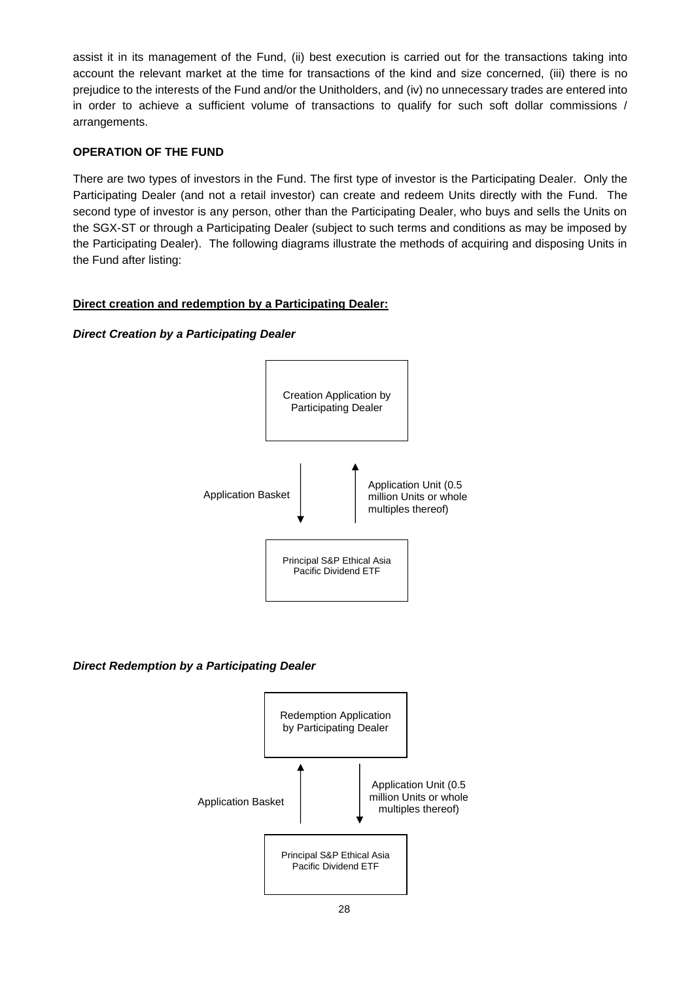assist it in its management of the Fund, (ii) best execution is carried out for the transactions taking into account the relevant market at the time for transactions of the kind and size concerned, (iii) there is no prejudice to the interests of the Fund and/or the Unitholders, and (iv) no unnecessary trades are entered into in order to achieve a sufficient volume of transactions to qualify for such soft dollar commissions / arrangements.

## <span id="page-31-0"></span>**OPERATION OF THE FUND**

There are two types of investors in the Fund. The first type of investor is the Participating Dealer. Only the Participating Dealer (and not a retail investor) can create and redeem Units directly with the Fund. The second type of investor is any person, other than the Participating Dealer, who buys and sells the Units on the SGX-ST or through a Participating Dealer (subject to such terms and conditions as may be imposed by the Participating Dealer). The following diagrams illustrate the methods of acquiring and disposing Units in the Fund after listing:

## **Direct creation and redemption by a Participating Dealer:**

## *Direct Creation by a Participating Dealer*



## *Direct Redemption by a Participating Dealer*

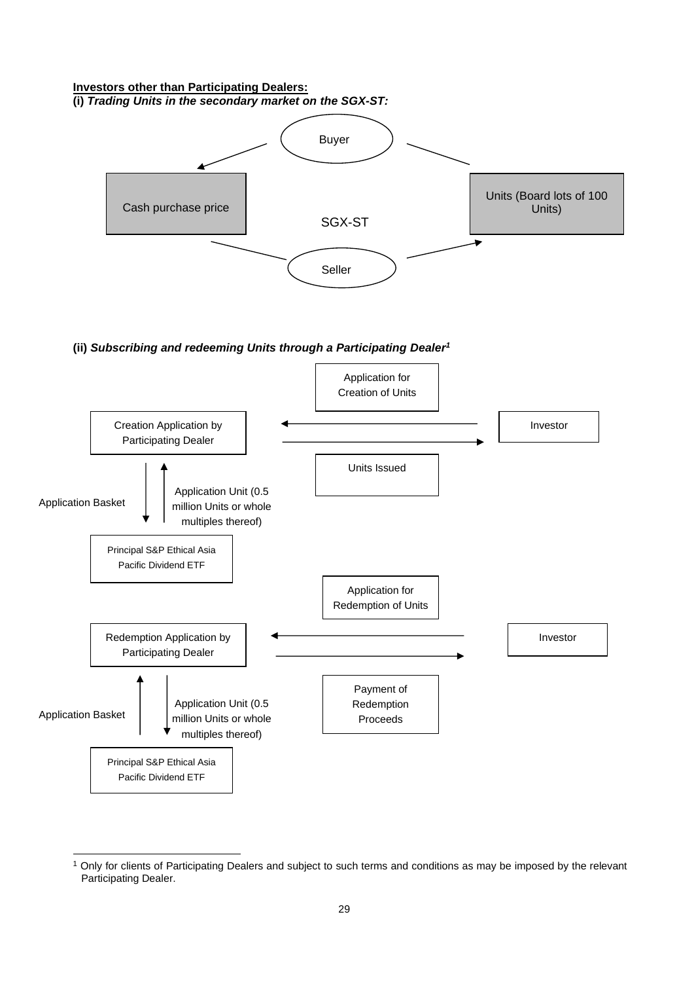#### **Investors other than Participating Dealers: (i)** *Trading Units in the secondary market on the SGX-ST:*



**(ii)** *Subscribing and redeeming Units through a Participating Dealer<sup>1</sup>*



<sup>&</sup>lt;sup>1</sup> Only for clients of Participating Dealers and subject to such terms and conditions as may be imposed by the relevant Participating Dealer.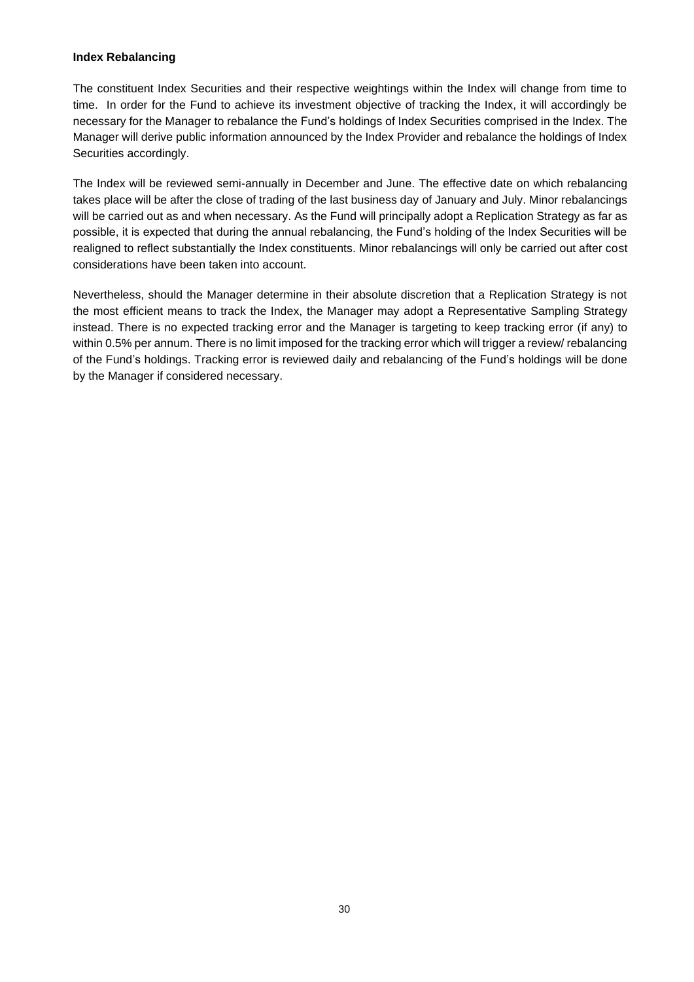### **Index Rebalancing**

The constituent Index Securities and their respective weightings within the Index will change from time to time. In order for the Fund to achieve its investment objective of tracking the Index, it will accordingly be necessary for the Manager to rebalance the Fund's holdings of Index Securities comprised in the Index. The Manager will derive public information announced by the Index Provider and rebalance the holdings of Index Securities accordingly.

The Index will be reviewed semi-annually in December and June. The effective date on which rebalancing takes place will be after the close of trading of the last business day of January and July. Minor rebalancings will be carried out as and when necessary. As the Fund will principally adopt a Replication Strategy as far as possible, it is expected that during the annual rebalancing, the Fund's holding of the Index Securities will be realigned to reflect substantially the Index constituents. Minor rebalancings will only be carried out after cost considerations have been taken into account.

Nevertheless, should the Manager determine in their absolute discretion that a Replication Strategy is not the most efficient means to track the Index, the Manager may adopt a Representative Sampling Strategy instead. There is no expected tracking error and the Manager is targeting to keep tracking error (if any) to within 0.5% per annum. There is no limit imposed for the tracking error which will trigger a review/ rebalancing of the Fund's holdings. Tracking error is reviewed daily and rebalancing of the Fund's holdings will be done by the Manager if considered necessary.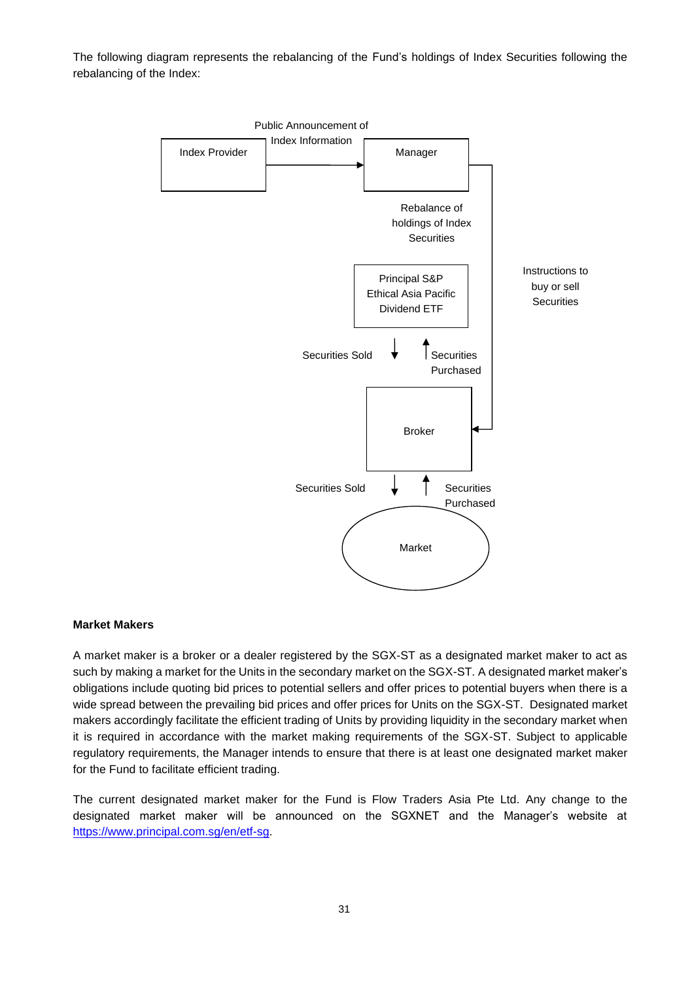The following diagram represents the rebalancing of the Fund's holdings of Index Securities following the rebalancing of the Index:



#### **Market Makers**

A market maker is a broker or a dealer registered by the SGX-ST as a designated market maker to act as such by making a market for the Units in the secondary market on the SGX-ST. A designated market maker's obligations include quoting bid prices to potential sellers and offer prices to potential buyers when there is a wide spread between the prevailing bid prices and offer prices for Units on the SGX-ST. Designated market makers accordingly facilitate the efficient trading of Units by providing liquidity in the secondary market when it is required in accordance with the market making requirements of the SGX-ST. Subject to applicable regulatory requirements, the Manager intends to ensure that there is at least one designated market maker for the Fund to facilitate efficient trading.

The current designated market maker for the Fund is Flow Traders Asia Pte Ltd. Any change to the designated market maker will be announced on the SGXNET and the Manager's website at [https://www.principal.com.sg/en/etf-sg.](https://www.principal.com.sg/en/etf-sg)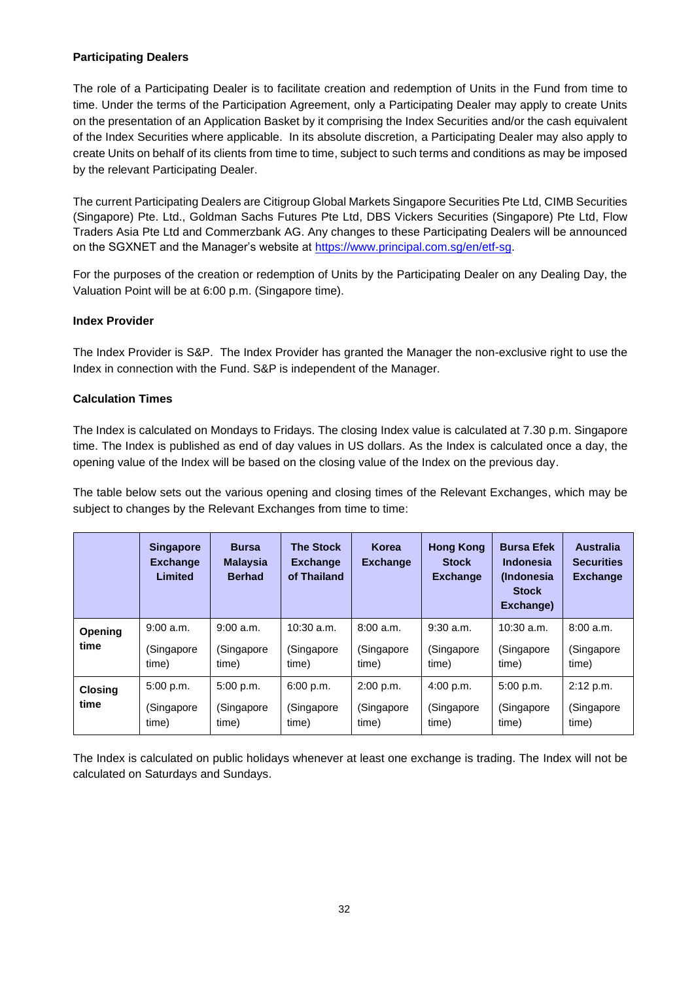## **Participating Dealers**

The role of a Participating Dealer is to facilitate creation and redemption of Units in the Fund from time to time. Under the terms of the Participation Agreement, only a Participating Dealer may apply to create Units on the presentation of an Application Basket by it comprising the Index Securities and/or the cash equivalent of the Index Securities where applicable. In its absolute discretion, a Participating Dealer may also apply to create Units on behalf of its clients from time to time, subject to such terms and conditions as may be imposed by the relevant Participating Dealer.

The current Participating Dealers are Citigroup Global Markets Singapore Securities Pte Ltd, CIMB Securities (Singapore) Pte. Ltd., Goldman Sachs Futures Pte Ltd, DBS Vickers Securities (Singapore) Pte Ltd, Flow Traders Asia Pte Ltd and Commerzbank AG. Any changes to these Participating Dealers will be announced on the SGXNET and the Manager's website at [https://www.principal.com.sg/en/etf-sg.](https://www.principal.com.sg/en/etf-sg)

For the purposes of the creation or redemption of Units by the Participating Dealer on any Dealing Day, the Valuation Point will be at 6:00 p.m. (Singapore time).

## **Index Provider**

The Index Provider is S&P. The Index Provider has granted the Manager the non-exclusive right to use the Index in connection with the Fund. S&P is independent of the Manager.

## **Calculation Times**

The Index is calculated on Mondays to Fridays. The closing Index value is calculated at 7.30 p.m. Singapore time. The Index is published as end of day values in US dollars. As the Index is calculated once a day, the opening value of the Index will be based on the closing value of the Index on the previous day.

The table below sets out the various opening and closing times of the Relevant Exchanges, which may be subject to changes by the Relevant Exchanges from time to time:

|                | <b>Singapore</b><br><b>Exchange</b><br>Limited | <b>Bursa</b><br><b>Malaysia</b><br><b>Berhad</b> | <b>The Stock</b><br><b>Exchange</b><br>of Thailand | Korea<br><b>Exchange</b> | <b>Hong Kong</b><br><b>Stock</b><br><b>Exchange</b> | <b>Bursa Efek</b><br><b>Indonesia</b><br><i>(Indonesia)</i><br><b>Stock</b><br>Exchange) | <b>Australia</b><br><b>Securities</b><br><b>Exchange</b> |
|----------------|------------------------------------------------|--------------------------------------------------|----------------------------------------------------|--------------------------|-----------------------------------------------------|------------------------------------------------------------------------------------------|----------------------------------------------------------|
| <b>Opening</b> | 9:00 a.m.                                      | 9:00 a.m.                                        | $10:30$ a.m.                                       | 8:00 a.m.                | $9:30$ a.m.                                         | $10:30$ a.m.                                                                             | 8:00a.m.                                                 |
| time           | (Singapore<br>time)                            | (Singapore<br>time)                              | (Singapore<br>time)                                | (Singapore<br>time)      | (Singapore<br>time)                                 | (Singapore<br>time)                                                                      | (Singapore<br>time)                                      |
| <b>Closing</b> | 5:00 p.m.                                      | 5:00 p.m.                                        | 6:00 p.m.                                          | 2:00 p.m.                | 4:00 p.m.                                           | 5:00 p.m.                                                                                | 2:12 p.m.                                                |
| time           | (Singapore<br>time)                            | (Singapore<br>time)                              | (Singapore<br>time)                                | (Singapore<br>time)      | (Singapore<br>time)                                 | (Singapore<br>time)                                                                      | (Singapore<br>time)                                      |

The Index is calculated on public holidays whenever at least one exchange is trading. The Index will not be calculated on Saturdays and Sundays.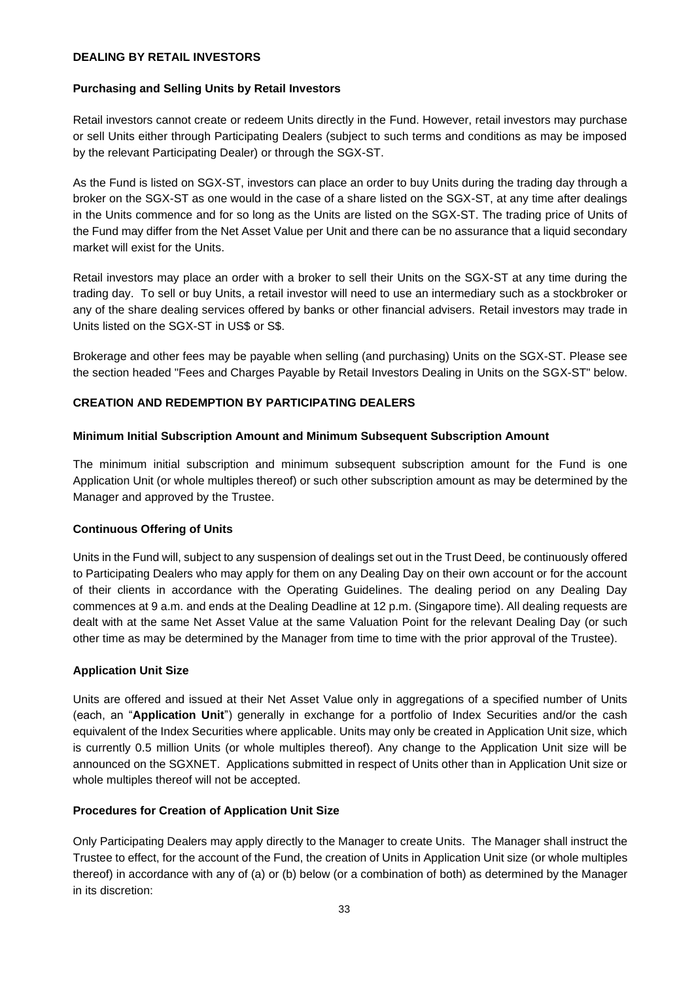## **DEALING BY RETAIL INVESTORS**

#### **Purchasing and Selling Units by Retail Investors**

Retail investors cannot create or redeem Units directly in the Fund. However, retail investors may purchase or sell Units either through Participating Dealers (subject to such terms and conditions as may be imposed by the relevant Participating Dealer) or through the SGX-ST.

As the Fund is listed on SGX-ST, investors can place an order to buy Units during the trading day through a broker on the SGX-ST as one would in the case of a share listed on the SGX-ST, at any time after dealings in the Units commence and for so long as the Units are listed on the SGX-ST. The trading price of Units of the Fund may differ from the Net Asset Value per Unit and there can be no assurance that a liquid secondary market will exist for the Units.

Retail investors may place an order with a broker to sell their Units on the SGX-ST at any time during the trading day. To sell or buy Units, a retail investor will need to use an intermediary such as a stockbroker or any of the share dealing services offered by banks or other financial advisers. Retail investors may trade in Units listed on the SGX-ST in US\$ or S\$.

Brokerage and other fees may be payable when selling (and purchasing) Units on the SGX-ST. Please see the section headed "Fees and Charges Payable by Retail Investors Dealing in Units on the SGX-ST" below.

## **CREATION AND REDEMPTION BY PARTICIPATING DEALERS**

#### **Minimum Initial Subscription Amount and Minimum Subsequent Subscription Amount**

The minimum initial subscription and minimum subsequent subscription amount for the Fund is one Application Unit (or whole multiples thereof) or such other subscription amount as may be determined by the Manager and approved by the Trustee.

#### **Continuous Offering of Units**

Units in the Fund will, subject to any suspension of dealings set out in the Trust Deed, be continuously offered to Participating Dealers who may apply for them on any Dealing Day on their own account or for the account of their clients in accordance with the Operating Guidelines. The dealing period on any Dealing Day commences at 9 a.m. and ends at the Dealing Deadline at 12 p.m. (Singapore time). All dealing requests are dealt with at the same Net Asset Value at the same Valuation Point for the relevant Dealing Day (or such other time as may be determined by the Manager from time to time with the prior approval of the Trustee).

#### **Application Unit Size**

Units are offered and issued at their Net Asset Value only in aggregations of a specified number of Units (each, an "**Application Unit**") generally in exchange for a portfolio of Index Securities and/or the cash equivalent of the Index Securities where applicable. Units may only be created in Application Unit size, which is currently 0.5 million Units (or whole multiples thereof). Any change to the Application Unit size will be announced on the SGXNET. Applications submitted in respect of Units other than in Application Unit size or whole multiples thereof will not be accepted.

#### **Procedures for Creation of Application Unit Size**

Only Participating Dealers may apply directly to the Manager to create Units. The Manager shall instruct the Trustee to effect, for the account of the Fund, the creation of Units in Application Unit size (or whole multiples thereof) in accordance with any of (a) or (b) below (or a combination of both) as determined by the Manager in its discretion: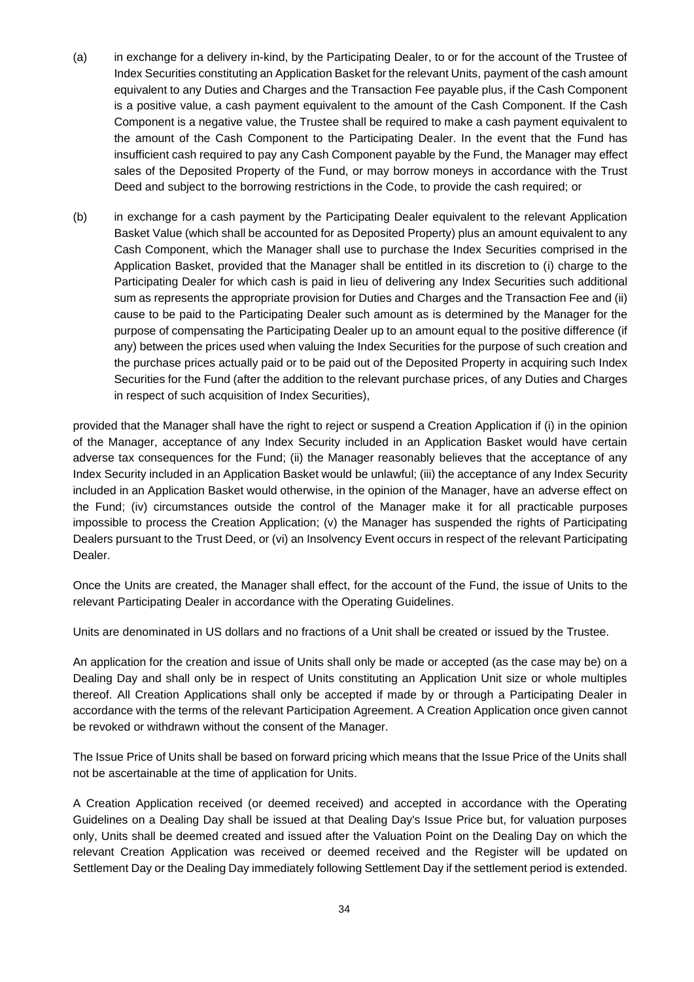- (a) in exchange for a delivery in-kind, by the Participating Dealer, to or for the account of the Trustee of Index Securities constituting an Application Basket for the relevant Units, payment of the cash amount equivalent to any Duties and Charges and the Transaction Fee payable plus, if the Cash Component is a positive value, a cash payment equivalent to the amount of the Cash Component. If the Cash Component is a negative value, the Trustee shall be required to make a cash payment equivalent to the amount of the Cash Component to the Participating Dealer. In the event that the Fund has insufficient cash required to pay any Cash Component payable by the Fund, the Manager may effect sales of the Deposited Property of the Fund, or may borrow moneys in accordance with the Trust Deed and subject to the borrowing restrictions in the Code, to provide the cash required; or
- (b) in exchange for a cash payment by the Participating Dealer equivalent to the relevant Application Basket Value (which shall be accounted for as Deposited Property) plus an amount equivalent to any Cash Component, which the Manager shall use to purchase the Index Securities comprised in the Application Basket, provided that the Manager shall be entitled in its discretion to (i) charge to the Participating Dealer for which cash is paid in lieu of delivering any Index Securities such additional sum as represents the appropriate provision for Duties and Charges and the Transaction Fee and (ii) cause to be paid to the Participating Dealer such amount as is determined by the Manager for the purpose of compensating the Participating Dealer up to an amount equal to the positive difference (if any) between the prices used when valuing the Index Securities for the purpose of such creation and the purchase prices actually paid or to be paid out of the Deposited Property in acquiring such Index Securities for the Fund (after the addition to the relevant purchase prices, of any Duties and Charges in respect of such acquisition of Index Securities),

provided that the Manager shall have the right to reject or suspend a Creation Application if (i) in the opinion of the Manager, acceptance of any Index Security included in an Application Basket would have certain adverse tax consequences for the Fund; (ii) the Manager reasonably believes that the acceptance of any Index Security included in an Application Basket would be unlawful; (iii) the acceptance of any Index Security included in an Application Basket would otherwise, in the opinion of the Manager, have an adverse effect on the Fund; (iv) circumstances outside the control of the Manager make it for all practicable purposes impossible to process the Creation Application; (v) the Manager has suspended the rights of Participating Dealers pursuant to the Trust Deed, or (vi) an Insolvency Event occurs in respect of the relevant Participating Dealer.

Once the Units are created, the Manager shall effect, for the account of the Fund, the issue of Units to the relevant Participating Dealer in accordance with the Operating Guidelines.

Units are denominated in US dollars and no fractions of a Unit shall be created or issued by the Trustee.

An application for the creation and issue of Units shall only be made or accepted (as the case may be) on a Dealing Day and shall only be in respect of Units constituting an Application Unit size or whole multiples thereof. All Creation Applications shall only be accepted if made by or through a Participating Dealer in accordance with the terms of the relevant Participation Agreement. A Creation Application once given cannot be revoked or withdrawn without the consent of the Manager.

The Issue Price of Units shall be based on forward pricing which means that the Issue Price of the Units shall not be ascertainable at the time of application for Units.

A Creation Application received (or deemed received) and accepted in accordance with the Operating Guidelines on a Dealing Day shall be issued at that Dealing Day's Issue Price but, for valuation purposes only, Units shall be deemed created and issued after the Valuation Point on the Dealing Day on which the relevant Creation Application was received or deemed received and the Register will be updated on Settlement Day or the Dealing Day immediately following Settlement Day if the settlement period is extended.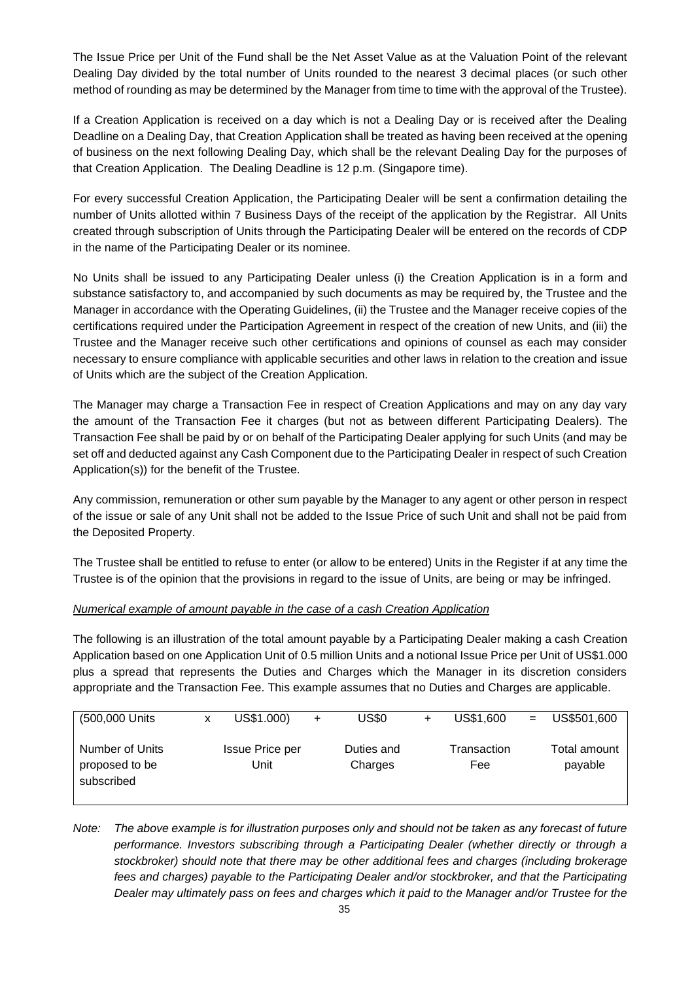The Issue Price per Unit of the Fund shall be the Net Asset Value as at the Valuation Point of the relevant Dealing Day divided by the total number of Units rounded to the nearest 3 decimal places (or such other method of rounding as may be determined by the Manager from time to time with the approval of the Trustee).

If a Creation Application is received on a day which is not a Dealing Day or is received after the Dealing Deadline on a Dealing Day, that Creation Application shall be treated as having been received at the opening of business on the next following Dealing Day, which shall be the relevant Dealing Day for the purposes of that Creation Application. The Dealing Deadline is 12 p.m. (Singapore time).

For every successful Creation Application, the Participating Dealer will be sent a confirmation detailing the number of Units allotted within 7 Business Days of the receipt of the application by the Registrar. All Units created through subscription of Units through the Participating Dealer will be entered on the records of CDP in the name of the Participating Dealer or its nominee.

No Units shall be issued to any Participating Dealer unless (i) the Creation Application is in a form and substance satisfactory to, and accompanied by such documents as may be required by, the Trustee and the Manager in accordance with the Operating Guidelines, (ii) the Trustee and the Manager receive copies of the certifications required under the Participation Agreement in respect of the creation of new Units, and (iii) the Trustee and the Manager receive such other certifications and opinions of counsel as each may consider necessary to ensure compliance with applicable securities and other laws in relation to the creation and issue of Units which are the subject of the Creation Application.

The Manager may charge a Transaction Fee in respect of Creation Applications and may on any day vary the amount of the Transaction Fee it charges (but not as between different Participating Dealers). The Transaction Fee shall be paid by or on behalf of the Participating Dealer applying for such Units (and may be set off and deducted against any Cash Component due to the Participating Dealer in respect of such Creation Application(s)) for the benefit of the Trustee.

Any commission, remuneration or other sum payable by the Manager to any agent or other person in respect of the issue or sale of any Unit shall not be added to the Issue Price of such Unit and shall not be paid from the Deposited Property.

The Trustee shall be entitled to refuse to enter (or allow to be entered) Units in the Register if at any time the Trustee is of the opinion that the provisions in regard to the issue of Units, are being or may be infringed.

#### *Numerical example of amount payable in the case of a cash Creation Application*

The following is an illustration of the total amount payable by a Participating Dealer making a cash Creation Application based on one Application Unit of 0.5 million Units and a notional Issue Price per Unit of US\$1.000 plus a spread that represents the Duties and Charges which the Manager in its discretion considers appropriate and the Transaction Fee. This example assumes that no Duties and Charges are applicable.

| (500,000 Units                                  | x | US\$1.000)                     | $+$ | US\$0                 | US\$1,600                 | US\$501,600             |
|-------------------------------------------------|---|--------------------------------|-----|-----------------------|---------------------------|-------------------------|
| Number of Units<br>proposed to be<br>subscribed |   | <b>Issue Price per</b><br>Jnit |     | Duties and<br>Charges | Transaction<br><b>Fee</b> | Total amount<br>payable |

*Note: The above example is for illustration purposes only and should not be taken as any forecast of future performance. Investors subscribing through a Participating Dealer (whether directly or through a stockbroker) should note that there may be other additional fees and charges (including brokerage fees and charges) payable to the Participating Dealer and/or stockbroker, and that the Participating Dealer may ultimately pass on fees and charges which it paid to the Manager and/or Trustee for the*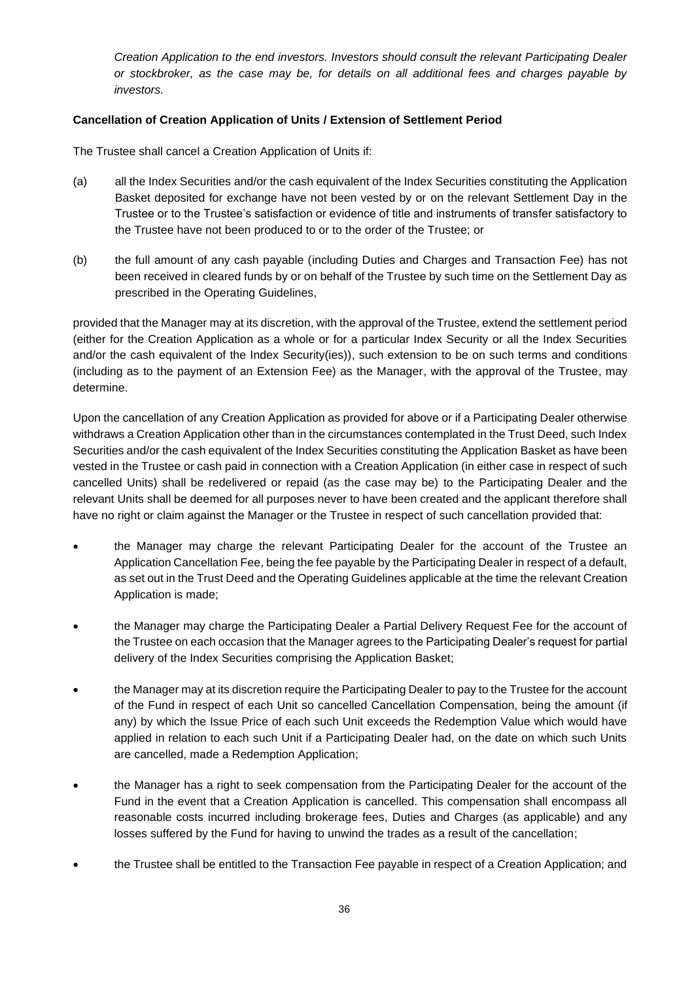*Creation Application to the end investors. Investors should consult the relevant Participating Dealer or stockbroker, as the case may be, for details on all additional fees and charges payable by investors.*

## **Cancellation of Creation Application of Units / Extension of Settlement Period**

The Trustee shall cancel a Creation Application of Units if:

- (a) all the Index Securities and/or the cash equivalent of the Index Securities constituting the Application Basket deposited for exchange have not been vested by or on the relevant Settlement Day in the Trustee or to the Trustee's satisfaction or evidence of title and instruments of transfer satisfactory to the Trustee have not been produced to or to the order of the Trustee; or
- (b) the full amount of any cash payable (including Duties and Charges and Transaction Fee) has not been received in cleared funds by or on behalf of the Trustee by such time on the Settlement Day as prescribed in the Operating Guidelines,

provided that the Manager may at its discretion, with the approval of the Trustee, extend the settlement period (either for the Creation Application as a whole or for a particular Index Security or all the Index Securities and/or the cash equivalent of the Index Security(ies)), such extension to be on such terms and conditions (including as to the payment of an Extension Fee) as the Manager, with the approval of the Trustee, may determine.

Upon the cancellation of any Creation Application as provided for above or if a Participating Dealer otherwise withdraws a Creation Application other than in the circumstances contemplated in the Trust Deed, such Index Securities and/or the cash equivalent of the Index Securities constituting the Application Basket as have been vested in the Trustee or cash paid in connection with a Creation Application (in either case in respect of such cancelled Units) shall be redelivered or repaid (as the case may be) to the Participating Dealer and the relevant Units shall be deemed for all purposes never to have been created and the applicant therefore shall have no right or claim against the Manager or the Trustee in respect of such cancellation provided that:

- the Manager may charge the relevant Participating Dealer for the account of the Trustee an Application Cancellation Fee, being the fee payable by the Participating Dealer in respect of a default, as set out in the Trust Deed and the Operating Guidelines applicable at the time the relevant Creation Application is made;
- the Manager may charge the Participating Dealer a Partial Delivery Request Fee for the account of the Trustee on each occasion that the Manager agrees to the Participating Dealer's request for partial delivery of the Index Securities comprising the Application Basket;
- the Manager may at its discretion require the Participating Dealer to pay to the Trustee for the account of the Fund in respect of each Unit so cancelled Cancellation Compensation, being the amount (if any) by which the Issue Price of each such Unit exceeds the Redemption Value which would have applied in relation to each such Unit if a Participating Dealer had, on the date on which such Units are cancelled, made a Redemption Application;
- the Manager has a right to seek compensation from the Participating Dealer for the account of the Fund in the event that a Creation Application is cancelled. This compensation shall encompass all reasonable costs incurred including brokerage fees, Duties and Charges (as applicable) and any losses suffered by the Fund for having to unwind the trades as a result of the cancellation;
- the Trustee shall be entitled to the Transaction Fee payable in respect of a Creation Application; and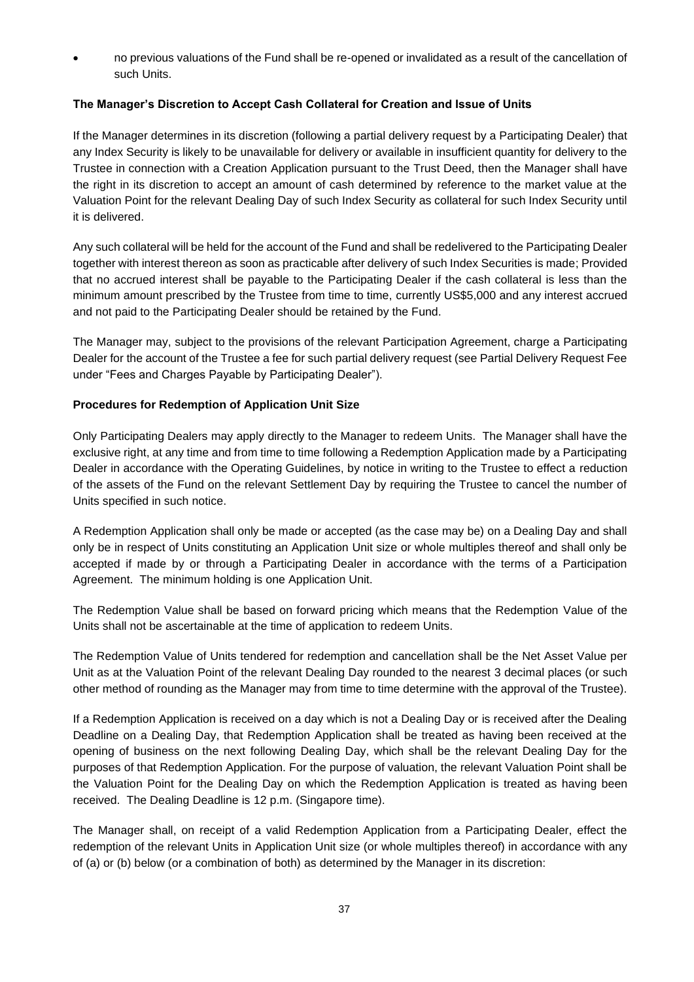• no previous valuations of the Fund shall be re-opened or invalidated as a result of the cancellation of such Units.

## **The Manager's Discretion to Accept Cash Collateral for Creation and Issue of Units**

If the Manager determines in its discretion (following a partial delivery request by a Participating Dealer) that any Index Security is likely to be unavailable for delivery or available in insufficient quantity for delivery to the Trustee in connection with a Creation Application pursuant to the Trust Deed, then the Manager shall have the right in its discretion to accept an amount of cash determined by reference to the market value at the Valuation Point for the relevant Dealing Day of such Index Security as collateral for such Index Security until it is delivered.

Any such collateral will be held for the account of the Fund and shall be redelivered to the Participating Dealer together with interest thereon as soon as practicable after delivery of such Index Securities is made; Provided that no accrued interest shall be payable to the Participating Dealer if the cash collateral is less than the minimum amount prescribed by the Trustee from time to time, currently US\$5,000 and any interest accrued and not paid to the Participating Dealer should be retained by the Fund.

The Manager may, subject to the provisions of the relevant Participation Agreement, charge a Participating Dealer for the account of the Trustee a fee for such partial delivery request (see Partial Delivery Request Fee under "Fees and Charges Payable by Participating Dealer").

## **Procedures for Redemption of Application Unit Size**

Only Participating Dealers may apply directly to the Manager to redeem Units. The Manager shall have the exclusive right, at any time and from time to time following a Redemption Application made by a Participating Dealer in accordance with the Operating Guidelines, by notice in writing to the Trustee to effect a reduction of the assets of the Fund on the relevant Settlement Day by requiring the Trustee to cancel the number of Units specified in such notice.

A Redemption Application shall only be made or accepted (as the case may be) on a Dealing Day and shall only be in respect of Units constituting an Application Unit size or whole multiples thereof and shall only be accepted if made by or through a Participating Dealer in accordance with the terms of a Participation Agreement. The minimum holding is one Application Unit.

The Redemption Value shall be based on forward pricing which means that the Redemption Value of the Units shall not be ascertainable at the time of application to redeem Units.

The Redemption Value of Units tendered for redemption and cancellation shall be the Net Asset Value per Unit as at the Valuation Point of the relevant Dealing Day rounded to the nearest 3 decimal places (or such other method of rounding as the Manager may from time to time determine with the approval of the Trustee).

If a Redemption Application is received on a day which is not a Dealing Day or is received after the Dealing Deadline on a Dealing Day, that Redemption Application shall be treated as having been received at the opening of business on the next following Dealing Day, which shall be the relevant Dealing Day for the purposes of that Redemption Application. For the purpose of valuation, the relevant Valuation Point shall be the Valuation Point for the Dealing Day on which the Redemption Application is treated as having been received. The Dealing Deadline is 12 p.m. (Singapore time).

The Manager shall, on receipt of a valid Redemption Application from a Participating Dealer, effect the redemption of the relevant Units in Application Unit size (or whole multiples thereof) in accordance with any of (a) or (b) below (or a combination of both) as determined by the Manager in its discretion: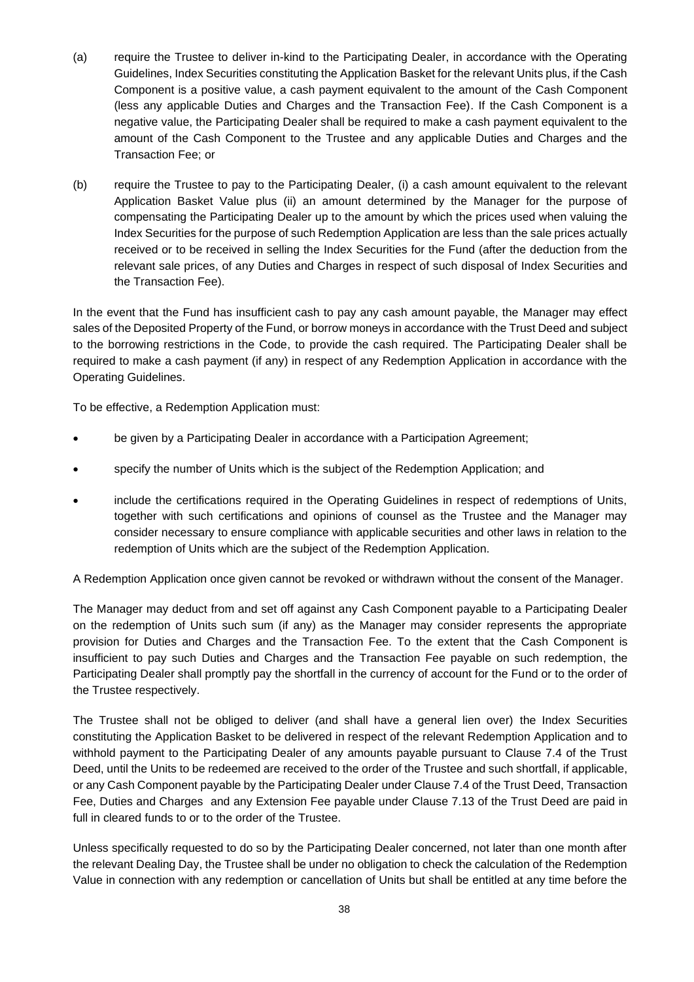- (a) require the Trustee to deliver in-kind to the Participating Dealer, in accordance with the Operating Guidelines, Index Securities constituting the Application Basket for the relevant Units plus, if the Cash Component is a positive value, a cash payment equivalent to the amount of the Cash Component (less any applicable Duties and Charges and the Transaction Fee). If the Cash Component is a negative value, the Participating Dealer shall be required to make a cash payment equivalent to the amount of the Cash Component to the Trustee and any applicable Duties and Charges and the Transaction Fee; or
- (b) require the Trustee to pay to the Participating Dealer, (i) a cash amount equivalent to the relevant Application Basket Value plus (ii) an amount determined by the Manager for the purpose of compensating the Participating Dealer up to the amount by which the prices used when valuing the Index Securities for the purpose of such Redemption Application are less than the sale prices actually received or to be received in selling the Index Securities for the Fund (after the deduction from the relevant sale prices, of any Duties and Charges in respect of such disposal of Index Securities and the Transaction Fee).

In the event that the Fund has insufficient cash to pay any cash amount payable, the Manager may effect sales of the Deposited Property of the Fund, or borrow moneys in accordance with the Trust Deed and subject to the borrowing restrictions in the Code, to provide the cash required. The Participating Dealer shall be required to make a cash payment (if any) in respect of any Redemption Application in accordance with the Operating Guidelines.

To be effective, a Redemption Application must:

- be given by a Participating Dealer in accordance with a Participation Agreement;
- specify the number of Units which is the subject of the Redemption Application; and
- include the certifications required in the Operating Guidelines in respect of redemptions of Units, together with such certifications and opinions of counsel as the Trustee and the Manager may consider necessary to ensure compliance with applicable securities and other laws in relation to the redemption of Units which are the subject of the Redemption Application.

A Redemption Application once given cannot be revoked or withdrawn without the consent of the Manager.

The Manager may deduct from and set off against any Cash Component payable to a Participating Dealer on the redemption of Units such sum (if any) as the Manager may consider represents the appropriate provision for Duties and Charges and the Transaction Fee. To the extent that the Cash Component is insufficient to pay such Duties and Charges and the Transaction Fee payable on such redemption, the Participating Dealer shall promptly pay the shortfall in the currency of account for the Fund or to the order of the Trustee respectively.

The Trustee shall not be obliged to deliver (and shall have a general lien over) the Index Securities constituting the Application Basket to be delivered in respect of the relevant Redemption Application and to withhold payment to the Participating Dealer of any amounts payable pursuant to Clause 7.4 of the Trust Deed, until the Units to be redeemed are received to the order of the Trustee and such shortfall, if applicable, or any Cash Component payable by the Participating Dealer under Clause 7.4 of the Trust Deed, Transaction Fee, Duties and Charges and any Extension Fee payable under Clause 7.13 of the Trust Deed are paid in full in cleared funds to or to the order of the Trustee.

Unless specifically requested to do so by the Participating Dealer concerned, not later than one month after the relevant Dealing Day, the Trustee shall be under no obligation to check the calculation of the Redemption Value in connection with any redemption or cancellation of Units but shall be entitled at any time before the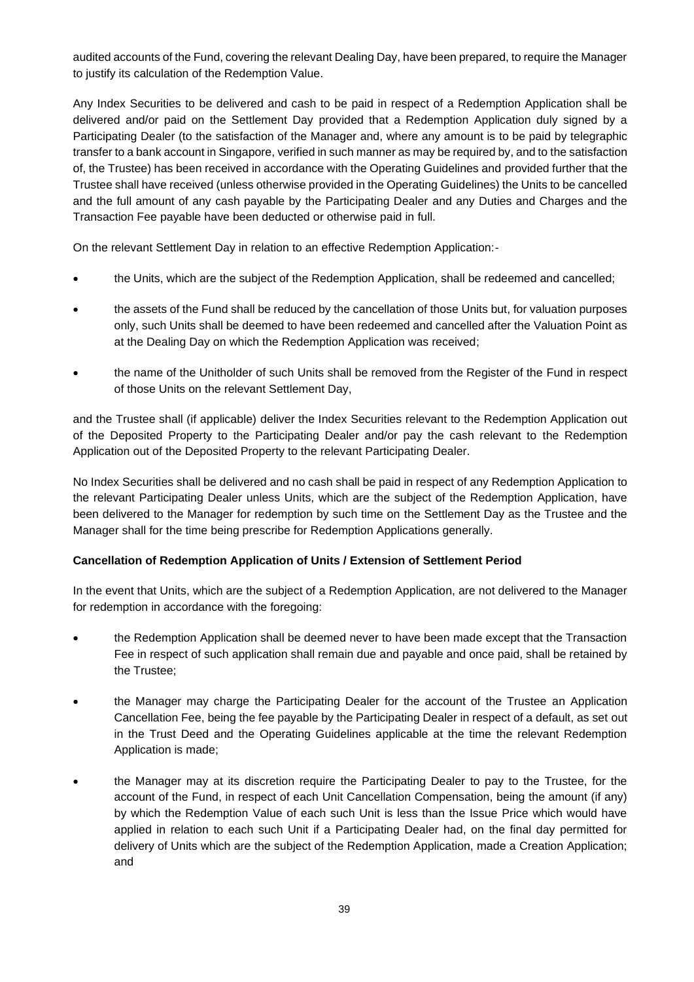audited accounts of the Fund, covering the relevant Dealing Day, have been prepared, to require the Manager to justify its calculation of the Redemption Value.

Any Index Securities to be delivered and cash to be paid in respect of a Redemption Application shall be delivered and/or paid on the Settlement Day provided that a Redemption Application duly signed by a Participating Dealer (to the satisfaction of the Manager and, where any amount is to be paid by telegraphic transfer to a bank account in Singapore, verified in such manner as may be required by, and to the satisfaction of, the Trustee) has been received in accordance with the Operating Guidelines and provided further that the Trustee shall have received (unless otherwise provided in the Operating Guidelines) the Units to be cancelled and the full amount of any cash payable by the Participating Dealer and any Duties and Charges and the Transaction Fee payable have been deducted or otherwise paid in full.

On the relevant Settlement Day in relation to an effective Redemption Application:-

- the Units, which are the subject of the Redemption Application, shall be redeemed and cancelled;
- the assets of the Fund shall be reduced by the cancellation of those Units but, for valuation purposes only, such Units shall be deemed to have been redeemed and cancelled after the Valuation Point as at the Dealing Day on which the Redemption Application was received;
- the name of the Unitholder of such Units shall be removed from the Register of the Fund in respect of those Units on the relevant Settlement Day,

and the Trustee shall (if applicable) deliver the Index Securities relevant to the Redemption Application out of the Deposited Property to the Participating Dealer and/or pay the cash relevant to the Redemption Application out of the Deposited Property to the relevant Participating Dealer.

No Index Securities shall be delivered and no cash shall be paid in respect of any Redemption Application to the relevant Participating Dealer unless Units, which are the subject of the Redemption Application, have been delivered to the Manager for redemption by such time on the Settlement Day as the Trustee and the Manager shall for the time being prescribe for Redemption Applications generally.

#### **Cancellation of Redemption Application of Units / Extension of Settlement Period**

In the event that Units, which are the subject of a Redemption Application, are not delivered to the Manager for redemption in accordance with the foregoing:

- the Redemption Application shall be deemed never to have been made except that the Transaction Fee in respect of such application shall remain due and payable and once paid, shall be retained by the Trustee;
- the Manager may charge the Participating Dealer for the account of the Trustee an Application Cancellation Fee, being the fee payable by the Participating Dealer in respect of a default, as set out in the Trust Deed and the Operating Guidelines applicable at the time the relevant Redemption Application is made;
- the Manager may at its discretion require the Participating Dealer to pay to the Trustee, for the account of the Fund, in respect of each Unit Cancellation Compensation, being the amount (if any) by which the Redemption Value of each such Unit is less than the Issue Price which would have applied in relation to each such Unit if a Participating Dealer had, on the final day permitted for delivery of Units which are the subject of the Redemption Application, made a Creation Application; and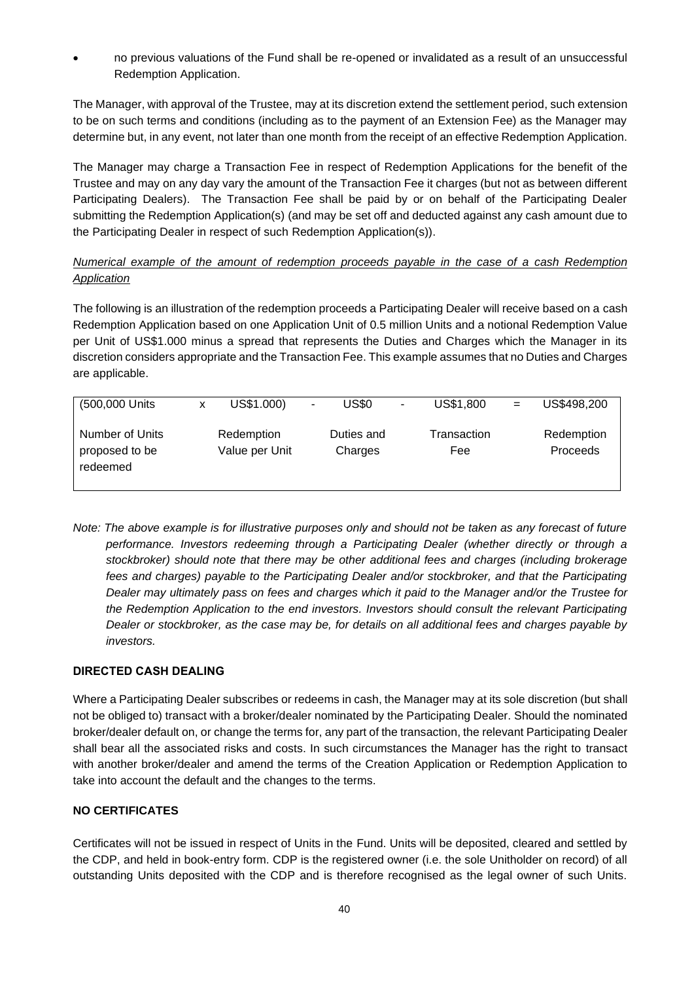• no previous valuations of the Fund shall be re-opened or invalidated as a result of an unsuccessful Redemption Application.

The Manager, with approval of the Trustee, may at its discretion extend the settlement period, such extension to be on such terms and conditions (including as to the payment of an Extension Fee) as the Manager may determine but, in any event, not later than one month from the receipt of an effective Redemption Application.

The Manager may charge a Transaction Fee in respect of Redemption Applications for the benefit of the Trustee and may on any day vary the amount of the Transaction Fee it charges (but not as between different Participating Dealers). The Transaction Fee shall be paid by or on behalf of the Participating Dealer submitting the Redemption Application(s) (and may be set off and deducted against any cash amount due to the Participating Dealer in respect of such Redemption Application(s)).

# *Numerical example of the amount of redemption proceeds payable in the case of a cash Redemption Application*

The following is an illustration of the redemption proceeds a Participating Dealer will receive based on a cash Redemption Application based on one Application Unit of 0.5 million Units and a notional Redemption Value per Unit of US\$1.000 minus a spread that represents the Duties and Charges which the Manager in its discretion considers appropriate and the Transaction Fee. This example assumes that no Duties and Charges are applicable.

| (500,000 Units                                | x | US\$1.000)                   | ۰. | US\$0                 | ۰ | US\$1,800          | $=$ | US\$498,200            |
|-----------------------------------------------|---|------------------------------|----|-----------------------|---|--------------------|-----|------------------------|
| Number of Units<br>proposed to be<br>redeemed |   | Redemption<br>Value per Unit |    | Duties and<br>Charges |   | Transaction<br>Fee |     | Redemption<br>Proceeds |

*Note: The above example is for illustrative purposes only and should not be taken as any forecast of future performance. Investors redeeming through a Participating Dealer (whether directly or through a stockbroker) should note that there may be other additional fees and charges (including brokerage*  fees and charges) payable to the Participating Dealer and/or stockbroker, and that the Participating *Dealer may ultimately pass on fees and charges which it paid to the Manager and/or the Trustee for the Redemption Application to the end investors. Investors should consult the relevant Participating Dealer or stockbroker, as the case may be, for details on all additional fees and charges payable by investors.*

# **DIRECTED CASH DEALING**

Where a Participating Dealer subscribes or redeems in cash, the Manager may at its sole discretion (but shall not be obliged to) transact with a broker/dealer nominated by the Participating Dealer. Should the nominated broker/dealer default on, or change the terms for, any part of the transaction, the relevant Participating Dealer shall bear all the associated risks and costs. In such circumstances the Manager has the right to transact with another broker/dealer and amend the terms of the Creation Application or Redemption Application to take into account the default and the changes to the terms.

# **NO CERTIFICATES**

Certificates will not be issued in respect of Units in the Fund. Units will be deposited, cleared and settled by the CDP, and held in book-entry form. CDP is the registered owner (i.e. the sole Unitholder on record) of all outstanding Units deposited with the CDP and is therefore recognised as the legal owner of such Units.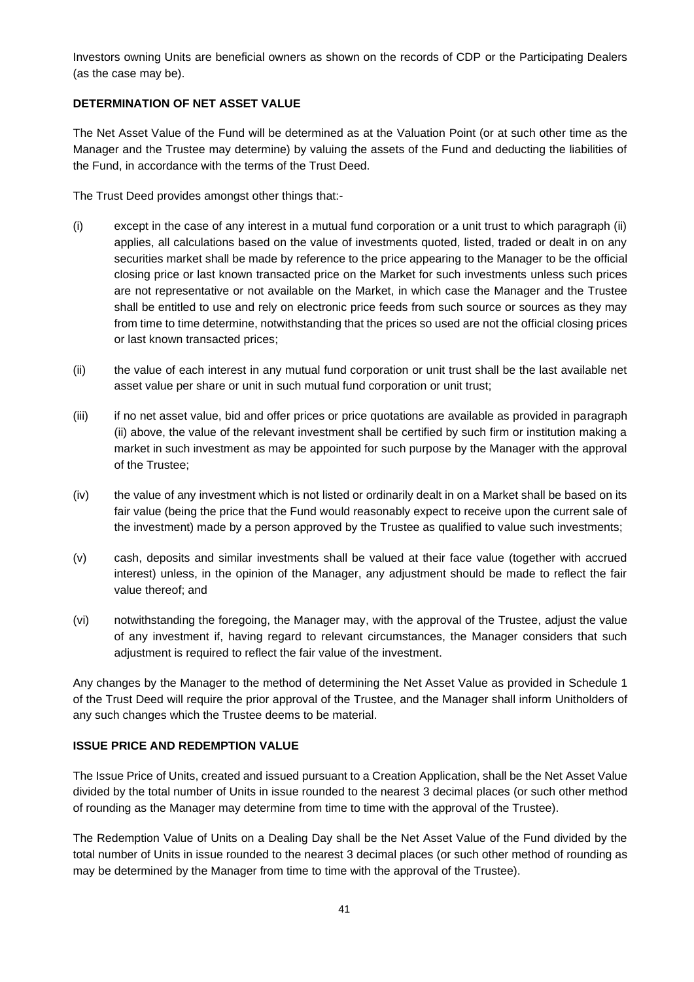Investors owning Units are beneficial owners as shown on the records of CDP or the Participating Dealers (as the case may be).

# **DETERMINATION OF NET ASSET VALUE**

The Net Asset Value of the Fund will be determined as at the Valuation Point (or at such other time as the Manager and the Trustee may determine) by valuing the assets of the Fund and deducting the liabilities of the Fund, in accordance with the terms of the Trust Deed.

The Trust Deed provides amongst other things that:-

- (i) except in the case of any interest in a mutual fund corporation or a unit trust to which paragraph (ii) applies, all calculations based on the value of investments quoted, listed, traded or dealt in on any securities market shall be made by reference to the price appearing to the Manager to be the official closing price or last known transacted price on the Market for such investments unless such prices are not representative or not available on the Market, in which case the Manager and the Trustee shall be entitled to use and rely on electronic price feeds from such source or sources as they may from time to time determine, notwithstanding that the prices so used are not the official closing prices or last known transacted prices;
- (ii) the value of each interest in any mutual fund corporation or unit trust shall be the last available net asset value per share or unit in such mutual fund corporation or unit trust;
- (iii) if no net asset value, bid and offer prices or price quotations are available as provided in paragraph (ii) above, the value of the relevant investment shall be certified by such firm or institution making a market in such investment as may be appointed for such purpose by the Manager with the approval of the Trustee;
- (iv) the value of any investment which is not listed or ordinarily dealt in on a Market shall be based on its fair value (being the price that the Fund would reasonably expect to receive upon the current sale of the investment) made by a person approved by the Trustee as qualified to value such investments;
- (v) cash, deposits and similar investments shall be valued at their face value (together with accrued interest) unless, in the opinion of the Manager, any adjustment should be made to reflect the fair value thereof; and
- (vi) notwithstanding the foregoing, the Manager may, with the approval of the Trustee, adjust the value of any investment if, having regard to relevant circumstances, the Manager considers that such adjustment is required to reflect the fair value of the investment.

Any changes by the Manager to the method of determining the Net Asset Value as provided in Schedule 1 of the Trust Deed will require the prior approval of the Trustee, and the Manager shall inform Unitholders of any such changes which the Trustee deems to be material.

#### **ISSUE PRICE AND REDEMPTION VALUE**

The Issue Price of Units, created and issued pursuant to a Creation Application, shall be the Net Asset Value divided by the total number of Units in issue rounded to the nearest 3 decimal places (or such other method of rounding as the Manager may determine from time to time with the approval of the Trustee).

The Redemption Value of Units on a Dealing Day shall be the Net Asset Value of the Fund divided by the total number of Units in issue rounded to the nearest 3 decimal places (or such other method of rounding as may be determined by the Manager from time to time with the approval of the Trustee).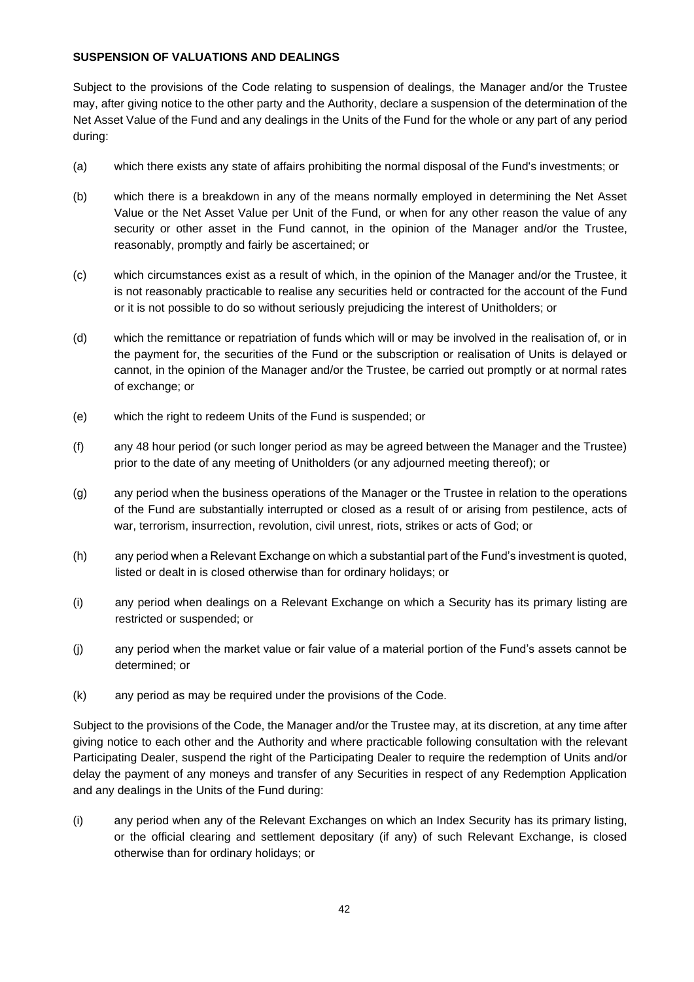## **SUSPENSION OF VALUATIONS AND DEALINGS**

Subject to the provisions of the Code relating to suspension of dealings, the Manager and/or the Trustee may, after giving notice to the other party and the Authority, declare a suspension of the determination of the Net Asset Value of the Fund and any dealings in the Units of the Fund for the whole or any part of any period during:

- (a) which there exists any state of affairs prohibiting the normal disposal of the Fund's investments; or
- (b) which there is a breakdown in any of the means normally employed in determining the Net Asset Value or the Net Asset Value per Unit of the Fund, or when for any other reason the value of any security or other asset in the Fund cannot, in the opinion of the Manager and/or the Trustee, reasonably, promptly and fairly be ascertained; or
- (c) which circumstances exist as a result of which, in the opinion of the Manager and/or the Trustee, it is not reasonably practicable to realise any securities held or contracted for the account of the Fund or it is not possible to do so without seriously prejudicing the interest of Unitholders; or
- (d) which the remittance or repatriation of funds which will or may be involved in the realisation of, or in the payment for, the securities of the Fund or the subscription or realisation of Units is delayed or cannot, in the opinion of the Manager and/or the Trustee, be carried out promptly or at normal rates of exchange; or
- (e) which the right to redeem Units of the Fund is suspended; or
- (f) any 48 hour period (or such longer period as may be agreed between the Manager and the Trustee) prior to the date of any meeting of Unitholders (or any adjourned meeting thereof); or
- (g) any period when the business operations of the Manager or the Trustee in relation to the operations of the Fund are substantially interrupted or closed as a result of or arising from pestilence, acts of war, terrorism, insurrection, revolution, civil unrest, riots, strikes or acts of God; or
- (h) any period when a Relevant Exchange on which a substantial part of the Fund's investment is quoted, listed or dealt in is closed otherwise than for ordinary holidays; or
- (i) any period when dealings on a Relevant Exchange on which a Security has its primary listing are restricted or suspended; or
- (j) any period when the market value or fair value of a material portion of the Fund's assets cannot be determined; or
- (k) any period as may be required under the provisions of the Code.

Subject to the provisions of the Code, the Manager and/or the Trustee may, at its discretion, at any time after giving notice to each other and the Authority and where practicable following consultation with the relevant Participating Dealer, suspend the right of the Participating Dealer to require the redemption of Units and/or delay the payment of any moneys and transfer of any Securities in respect of any Redemption Application and any dealings in the Units of the Fund during:

(i) any period when any of the Relevant Exchanges on which an Index Security has its primary listing, or the official clearing and settlement depositary (if any) of such Relevant Exchange, is closed otherwise than for ordinary holidays; or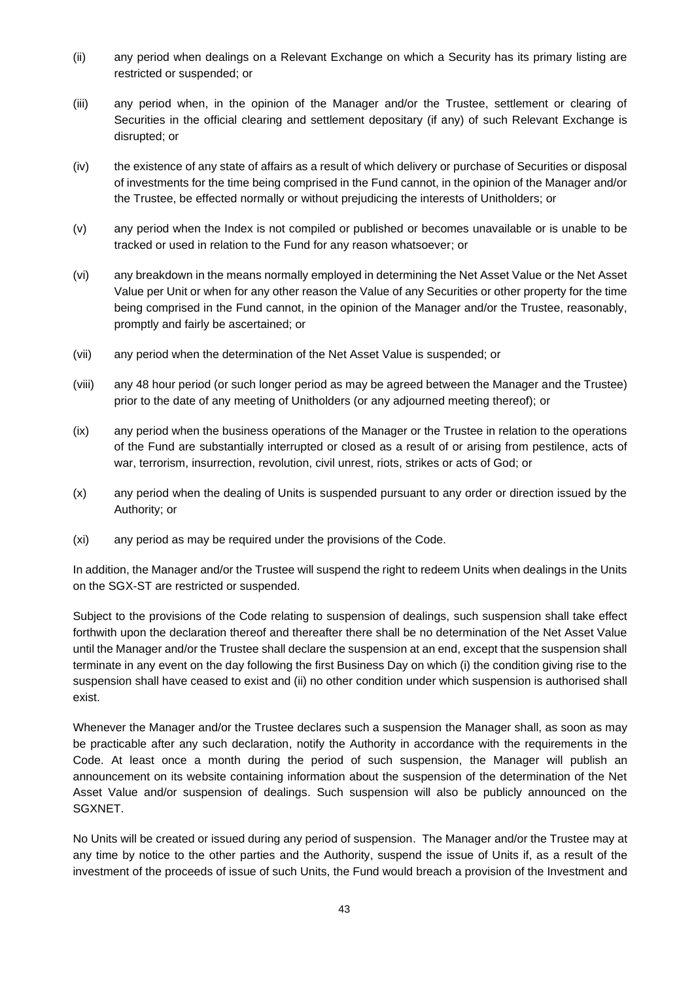- (ii) any period when dealings on a Relevant Exchange on which a Security has its primary listing are restricted or suspended; or
- (iii) any period when, in the opinion of the Manager and/or the Trustee, settlement or clearing of Securities in the official clearing and settlement depositary (if any) of such Relevant Exchange is disrupted; or
- (iv) the existence of any state of affairs as a result of which delivery or purchase of Securities or disposal of investments for the time being comprised in the Fund cannot, in the opinion of the Manager and/or the Trustee, be effected normally or without prejudicing the interests of Unitholders; or
- (v) any period when the Index is not compiled or published or becomes unavailable or is unable to be tracked or used in relation to the Fund for any reason whatsoever; or
- (vi) any breakdown in the means normally employed in determining the Net Asset Value or the Net Asset Value per Unit or when for any other reason the Value of any Securities or other property for the time being comprised in the Fund cannot, in the opinion of the Manager and/or the Trustee, reasonably, promptly and fairly be ascertained; or
- (vii) any period when the determination of the Net Asset Value is suspended; or
- (viii) any 48 hour period (or such longer period as may be agreed between the Manager and the Trustee) prior to the date of any meeting of Unitholders (or any adjourned meeting thereof); or
- (ix) any period when the business operations of the Manager or the Trustee in relation to the operations of the Fund are substantially interrupted or closed as a result of or arising from pestilence, acts of war, terrorism, insurrection, revolution, civil unrest, riots, strikes or acts of God; or
- (x) any period when the dealing of Units is suspended pursuant to any order or direction issued by the Authority; or
- (xi) any period as may be required under the provisions of the Code.

In addition, the Manager and/or the Trustee will suspend the right to redeem Units when dealings in the Units on the SGX-ST are restricted or suspended.

Subject to the provisions of the Code relating to suspension of dealings, such suspension shall take effect forthwith upon the declaration thereof and thereafter there shall be no determination of the Net Asset Value until the Manager and/or the Trustee shall declare the suspension at an end, except that the suspension shall terminate in any event on the day following the first Business Day on which (i) the condition giving rise to the suspension shall have ceased to exist and (ii) no other condition under which suspension is authorised shall exist.

Whenever the Manager and/or the Trustee declares such a suspension the Manager shall, as soon as may be practicable after any such declaration, notify the Authority in accordance with the requirements in the Code. At least once a month during the period of such suspension, the Manager will publish an announcement on its website containing information about the suspension of the determination of the Net Asset Value and/or suspension of dealings. Such suspension will also be publicly announced on the SGXNET.

No Units will be created or issued during any period of suspension. The Manager and/or the Trustee may at any time by notice to the other parties and the Authority, suspend the issue of Units if, as a result of the investment of the proceeds of issue of such Units, the Fund would breach a provision of the Investment and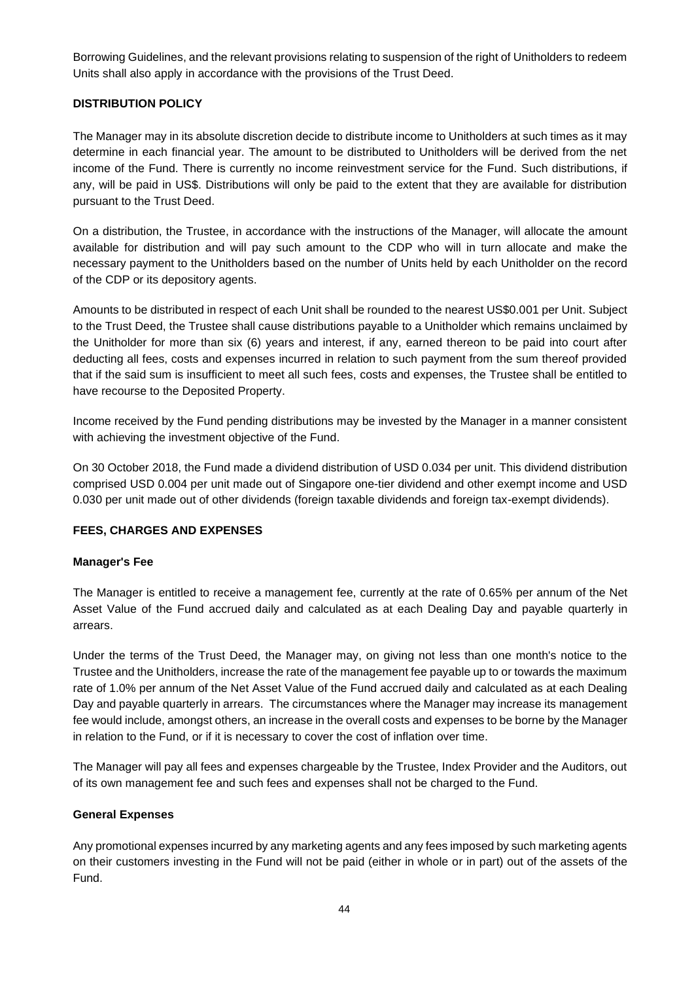Borrowing Guidelines, and the relevant provisions relating to suspension of the right of Unitholders to redeem Units shall also apply in accordance with the provisions of the Trust Deed.

## **DISTRIBUTION POLICY**

The Manager may in its absolute discretion decide to distribute income to Unitholders at such times as it may determine in each financial year. The amount to be distributed to Unitholders will be derived from the net income of the Fund. There is currently no income reinvestment service for the Fund. Such distributions, if any, will be paid in US\$. Distributions will only be paid to the extent that they are available for distribution pursuant to the Trust Deed.

On a distribution, the Trustee, in accordance with the instructions of the Manager, will allocate the amount available for distribution and will pay such amount to the CDP who will in turn allocate and make the necessary payment to the Unitholders based on the number of Units held by each Unitholder on the record of the CDP or its depository agents.

Amounts to be distributed in respect of each Unit shall be rounded to the nearest US\$0.001 per Unit. Subject to the Trust Deed, the Trustee shall cause distributions payable to a Unitholder which remains unclaimed by the Unitholder for more than six (6) years and interest, if any, earned thereon to be paid into court after deducting all fees, costs and expenses incurred in relation to such payment from the sum thereof provided that if the said sum is insufficient to meet all such fees, costs and expenses, the Trustee shall be entitled to have recourse to the Deposited Property.

Income received by the Fund pending distributions may be invested by the Manager in a manner consistent with achieving the investment objective of the Fund.

On 30 October 2018, the Fund made a dividend distribution of USD 0.034 per unit. This dividend distribution comprised USD 0.004 per unit made out of Singapore one-tier dividend and other exempt income and USD 0.030 per unit made out of other dividends (foreign taxable dividends and foreign tax-exempt dividends).

#### **FEES, CHARGES AND EXPENSES**

#### **Manager's Fee**

The Manager is entitled to receive a management fee, currently at the rate of 0.65% per annum of the Net Asset Value of the Fund accrued daily and calculated as at each Dealing Day and payable quarterly in arrears.

Under the terms of the Trust Deed, the Manager may, on giving not less than one month's notice to the Trustee and the Unitholders, increase the rate of the management fee payable up to or towards the maximum rate of 1.0% per annum of the Net Asset Value of the Fund accrued daily and calculated as at each Dealing Day and payable quarterly in arrears. The circumstances where the Manager may increase its management fee would include, amongst others, an increase in the overall costs and expenses to be borne by the Manager in relation to the Fund, or if it is necessary to cover the cost of inflation over time.

The Manager will pay all fees and expenses chargeable by the Trustee, Index Provider and the Auditors, out of its own management fee and such fees and expenses shall not be charged to the Fund.

#### **General Expenses**

Any promotional expenses incurred by any marketing agents and any fees imposed by such marketing agents on their customers investing in the Fund will not be paid (either in whole or in part) out of the assets of the Fund.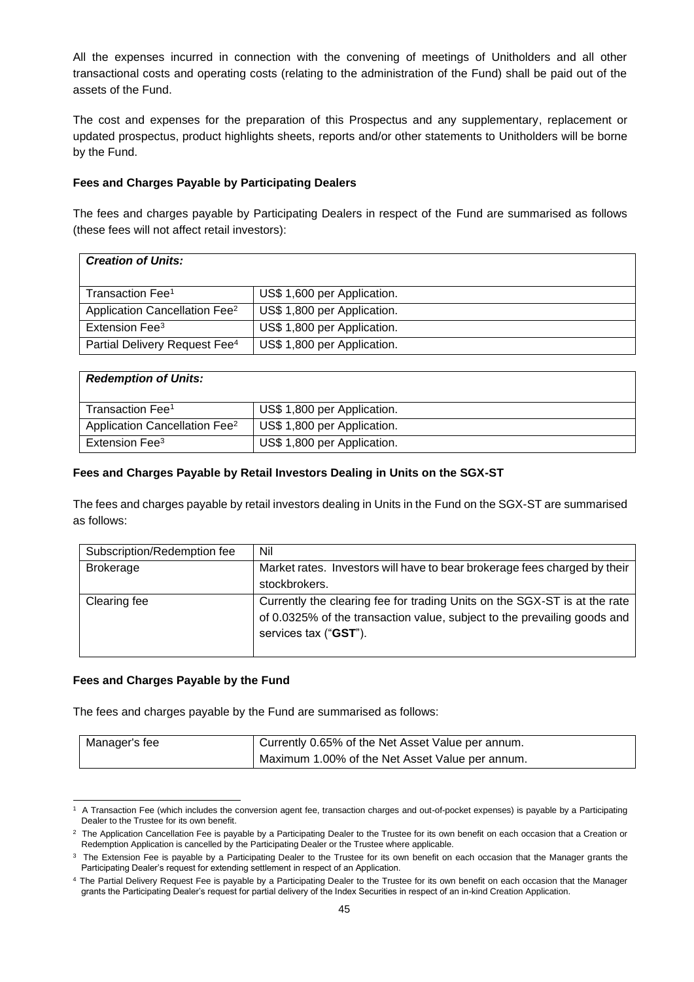All the expenses incurred in connection with the convening of meetings of Unitholders and all other transactional costs and operating costs (relating to the administration of the Fund) shall be paid out of the assets of the Fund.

The cost and expenses for the preparation of this Prospectus and any supplementary, replacement or updated prospectus, product highlights sheets, reports and/or other statements to Unitholders will be borne by the Fund.

#### **Fees and Charges Payable by Participating Dealers**

The fees and charges payable by Participating Dealers in respect of the Fund are summarised as follows (these fees will not affect retail investors):

| <b>Creation of Units:</b>                 |                             |
|-------------------------------------------|-----------------------------|
| Transaction Fee <sup>1</sup>              | US\$ 1,600 per Application. |
| Application Cancellation Fee <sup>2</sup> | US\$ 1,800 per Application. |
| Extension Fee <sup>3</sup>                | US\$ 1,800 per Application. |
| Partial Delivery Request Fee <sup>4</sup> | US\$ 1,800 per Application. |

| <b>Redemption of Units:</b>               |                             |
|-------------------------------------------|-----------------------------|
| Transaction Fee <sup>1</sup>              | US\$ 1,800 per Application. |
| Application Cancellation Fee <sup>2</sup> | US\$ 1,800 per Application. |
| Extension Fee <sup>3</sup>                | US\$ 1,800 per Application. |

#### **Fees and Charges Payable by Retail Investors Dealing in Units on the SGX-ST**

The fees and charges payable by retail investors dealing in Units in the Fund on the SGX-ST are summarised as follows:

| Subscription/Redemption fee | Nil                                                                                               |
|-----------------------------|---------------------------------------------------------------------------------------------------|
| <b>Brokerage</b>            | Market rates. Investors will have to bear brokerage fees charged by their                         |
|                             | stockbrokers.                                                                                     |
| Clearing fee                | Currently the clearing fee for trading Units on the SGX-ST is at the rate                         |
|                             | of 0.0325% of the transaction value, subject to the prevailing goods and<br>services tax ("GST"). |
|                             |                                                                                                   |

#### **Fees and Charges Payable by the Fund**

The fees and charges payable by the Fund are summarised as follows:

| Manager's fee | Currently 0.65% of the Net Asset Value per annum. |
|---------------|---------------------------------------------------|
|               | Maximum 1.00% of the Net Asset Value per annum.   |

<sup>1</sup> A Transaction Fee (which includes the conversion agent fee, transaction charges and out-of-pocket expenses) is payable by a Participating Dealer to the Trustee for its own benefit.

 $2$  The Application Cancellation Fee is payable by a Participating Dealer to the Trustee for its own benefit on each occasion that a Creation or Redemption Application is cancelled by the Participating Dealer or the Trustee where applicable.

 $3$  The Extension Fee is payable by a Participating Dealer to the Trustee for its own benefit on each occasion that the Manager grants the Participating Dealer's request for extending settlement in respect of an Application.

<sup>&</sup>lt;sup>4</sup> The Partial Delivery Request Fee is payable by a Participating Dealer to the Trustee for its own benefit on each occasion that the Manager grants the Participating Dealer's request for partial delivery of the Index Securities in respect of an in-kind Creation Application.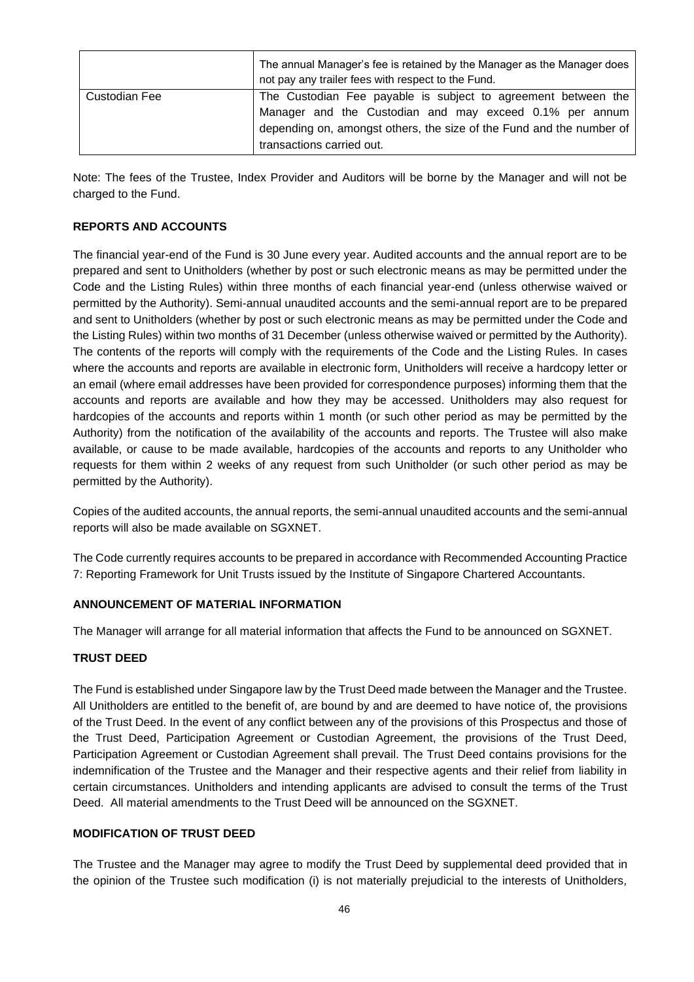|               | The annual Manager's fee is retained by the Manager as the Manager does<br>not pay any trailer fees with respect to the Fund. |
|---------------|-------------------------------------------------------------------------------------------------------------------------------|
| Custodian Fee | The Custodian Fee payable is subject to agreement between the<br>Manager and the Custodian and may exceed 0.1% per annum      |
|               | depending on, amongst others, the size of the Fund and the number of<br>transactions carried out.                             |

Note: The fees of the Trustee, Index Provider and Auditors will be borne by the Manager and will not be charged to the Fund.

## **REPORTS AND ACCOUNTS**

The financial year-end of the Fund is 30 June every year. Audited accounts and the annual report are to be prepared and sent to Unitholders (whether by post or such electronic means as may be permitted under the Code and the Listing Rules) within three months of each financial year-end (unless otherwise waived or permitted by the Authority). Semi-annual unaudited accounts and the semi-annual report are to be prepared and sent to Unitholders (whether by post or such electronic means as may be permitted under the Code and the Listing Rules) within two months of 31 December (unless otherwise waived or permitted by the Authority). The contents of the reports will comply with the requirements of the Code and the Listing Rules. In cases where the accounts and reports are available in electronic form, Unitholders will receive a hardcopy letter or an email (where email addresses have been provided for correspondence purposes) informing them that the accounts and reports are available and how they may be accessed. Unitholders may also request for hardcopies of the accounts and reports within 1 month (or such other period as may be permitted by the Authority) from the notification of the availability of the accounts and reports. The Trustee will also make available, or cause to be made available, hardcopies of the accounts and reports to any Unitholder who requests for them within 2 weeks of any request from such Unitholder (or such other period as may be permitted by the Authority).

Copies of the audited accounts, the annual reports, the semi-annual unaudited accounts and the semi-annual reports will also be made available on SGXNET.

The Code currently requires accounts to be prepared in accordance with Recommended Accounting Practice 7: Reporting Framework for Unit Trusts issued by the Institute of Singapore Chartered Accountants.

#### **ANNOUNCEMENT OF MATERIAL INFORMATION**

The Manager will arrange for all material information that affects the Fund to be announced on SGXNET.

#### **TRUST DEED**

The Fund is established under Singapore law by the Trust Deed made between the Manager and the Trustee. All Unitholders are entitled to the benefit of, are bound by and are deemed to have notice of, the provisions of the Trust Deed. In the event of any conflict between any of the provisions of this Prospectus and those of the Trust Deed, Participation Agreement or Custodian Agreement, the provisions of the Trust Deed, Participation Agreement or Custodian Agreement shall prevail. The Trust Deed contains provisions for the indemnification of the Trustee and the Manager and their respective agents and their relief from liability in certain circumstances. Unitholders and intending applicants are advised to consult the terms of the Trust Deed. All material amendments to the Trust Deed will be announced on the SGXNET.

#### **MODIFICATION OF TRUST DEED**

The Trustee and the Manager may agree to modify the Trust Deed by supplemental deed provided that in the opinion of the Trustee such modification (i) is not materially prejudicial to the interests of Unitholders,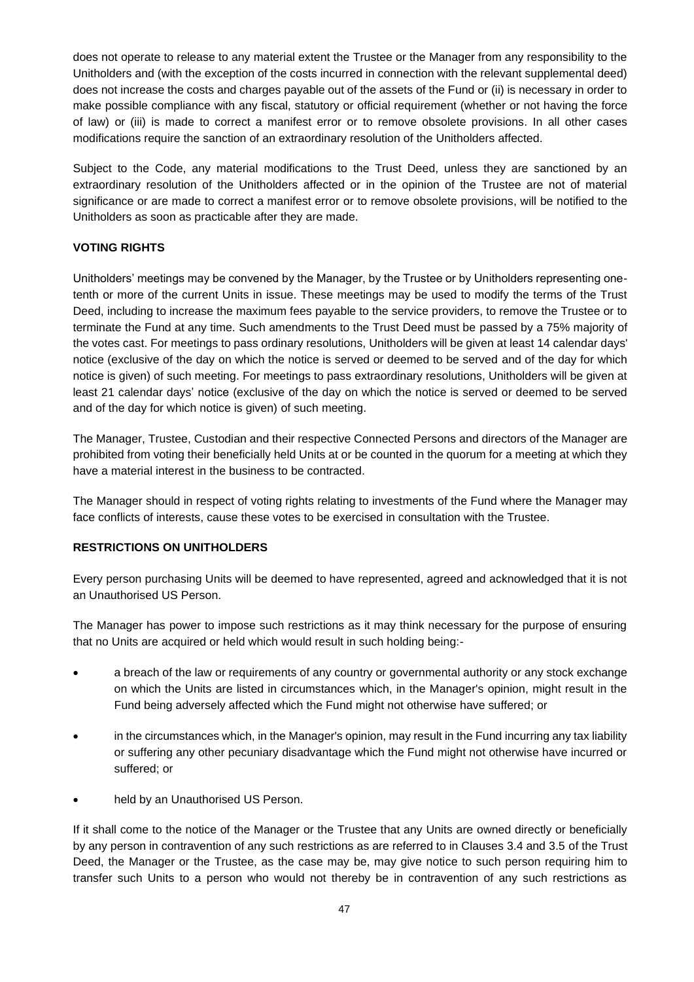does not operate to release to any material extent the Trustee or the Manager from any responsibility to the Unitholders and (with the exception of the costs incurred in connection with the relevant supplemental deed) does not increase the costs and charges payable out of the assets of the Fund or (ii) is necessary in order to make possible compliance with any fiscal, statutory or official requirement (whether or not having the force of law) or (iii) is made to correct a manifest error or to remove obsolete provisions. In all other cases modifications require the sanction of an extraordinary resolution of the Unitholders affected.

Subject to the Code, any material modifications to the Trust Deed, unless they are sanctioned by an extraordinary resolution of the Unitholders affected or in the opinion of the Trustee are not of material significance or are made to correct a manifest error or to remove obsolete provisions, will be notified to the Unitholders as soon as practicable after they are made.

## **VOTING RIGHTS**

Unitholders' meetings may be convened by the Manager, by the Trustee or by Unitholders representing onetenth or more of the current Units in issue. These meetings may be used to modify the terms of the Trust Deed, including to increase the maximum fees payable to the service providers, to remove the Trustee or to terminate the Fund at any time. Such amendments to the Trust Deed must be passed by a 75% majority of the votes cast. For meetings to pass ordinary resolutions, Unitholders will be given at least 14 calendar days' notice (exclusive of the day on which the notice is served or deemed to be served and of the day for which notice is given) of such meeting. For meetings to pass extraordinary resolutions, Unitholders will be given at least 21 calendar days' notice (exclusive of the day on which the notice is served or deemed to be served and of the day for which notice is given) of such meeting.

The Manager, Trustee, Custodian and their respective Connected Persons and directors of the Manager are prohibited from voting their beneficially held Units at or be counted in the quorum for a meeting at which they have a material interest in the business to be contracted.

The Manager should in respect of voting rights relating to investments of the Fund where the Manager may face conflicts of interests, cause these votes to be exercised in consultation with the Trustee.

#### **RESTRICTIONS ON UNITHOLDERS**

Every person purchasing Units will be deemed to have represented, agreed and acknowledged that it is not an Unauthorised US Person.

The Manager has power to impose such restrictions as it may think necessary for the purpose of ensuring that no Units are acquired or held which would result in such holding being:-

- a breach of the law or requirements of any country or governmental authority or any stock exchange on which the Units are listed in circumstances which, in the Manager's opinion, might result in the Fund being adversely affected which the Fund might not otherwise have suffered; or
- in the circumstances which, in the Manager's opinion, may result in the Fund incurring any tax liability or suffering any other pecuniary disadvantage which the Fund might not otherwise have incurred or suffered; or
- held by an Unauthorised US Person.

If it shall come to the notice of the Manager or the Trustee that any Units are owned directly or beneficially by any person in contravention of any such restrictions as are referred to in Clauses 3.4 and 3.5 of the Trust Deed, the Manager or the Trustee, as the case may be, may give notice to such person requiring him to transfer such Units to a person who would not thereby be in contravention of any such restrictions as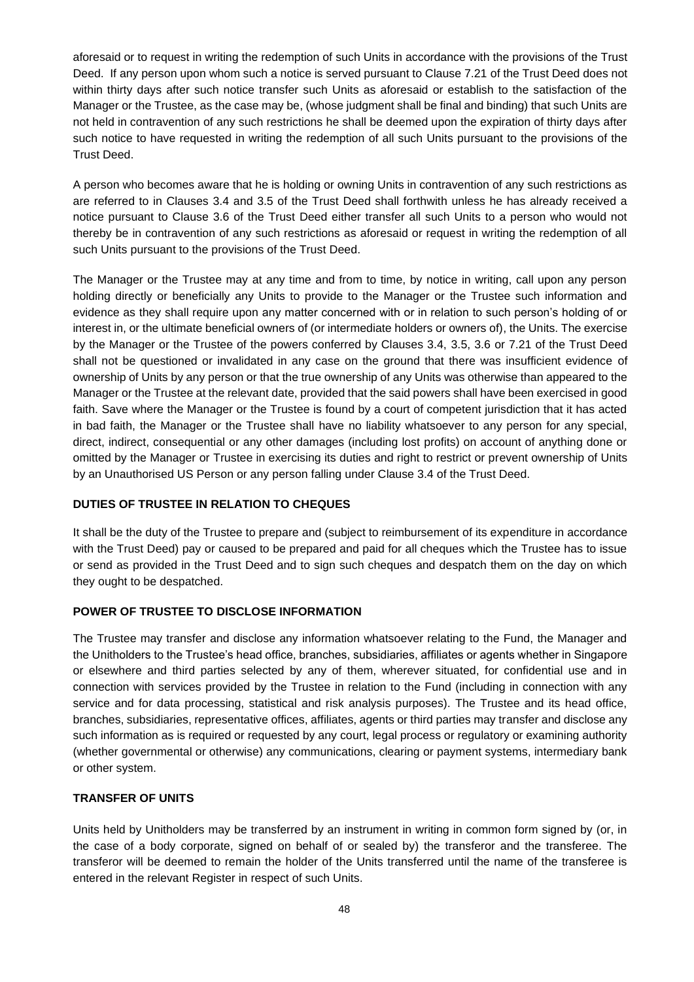aforesaid or to request in writing the redemption of such Units in accordance with the provisions of the Trust Deed. If any person upon whom such a notice is served pursuant to Clause 7.21 of the Trust Deed does not within thirty days after such notice transfer such Units as aforesaid or establish to the satisfaction of the Manager or the Trustee, as the case may be, (whose judgment shall be final and binding) that such Units are not held in contravention of any such restrictions he shall be deemed upon the expiration of thirty days after such notice to have requested in writing the redemption of all such Units pursuant to the provisions of the Trust Deed.

A person who becomes aware that he is holding or owning Units in contravention of any such restrictions as are referred to in Clauses 3.4 and 3.5 of the Trust Deed shall forthwith unless he has already received a notice pursuant to Clause 3.6 of the Trust Deed either transfer all such Units to a person who would not thereby be in contravention of any such restrictions as aforesaid or request in writing the redemption of all such Units pursuant to the provisions of the Trust Deed.

The Manager or the Trustee may at any time and from to time, by notice in writing, call upon any person holding directly or beneficially any Units to provide to the Manager or the Trustee such information and evidence as they shall require upon any matter concerned with or in relation to such person's holding of or interest in, or the ultimate beneficial owners of (or intermediate holders or owners of), the Units. The exercise by the Manager or the Trustee of the powers conferred by Clauses 3.4, 3.5, 3.6 or 7.21 of the Trust Deed shall not be questioned or invalidated in any case on the ground that there was insufficient evidence of ownership of Units by any person or that the true ownership of any Units was otherwise than appeared to the Manager or the Trustee at the relevant date, provided that the said powers shall have been exercised in good faith. Save where the Manager or the Trustee is found by a court of competent jurisdiction that it has acted in bad faith, the Manager or the Trustee shall have no liability whatsoever to any person for any special, direct, indirect, consequential or any other damages (including lost profits) on account of anything done or omitted by the Manager or Trustee in exercising its duties and right to restrict or prevent ownership of Units by an Unauthorised US Person or any person falling under Clause 3.4 of the Trust Deed.

# **DUTIES OF TRUSTEE IN RELATION TO CHEQUES**

It shall be the duty of the Trustee to prepare and (subject to reimbursement of its expenditure in accordance with the Trust Deed) pay or caused to be prepared and paid for all cheques which the Trustee has to issue or send as provided in the Trust Deed and to sign such cheques and despatch them on the day on which they ought to be despatched.

#### **POWER OF TRUSTEE TO DISCLOSE INFORMATION**

The Trustee may transfer and disclose any information whatsoever relating to the Fund, the Manager and the Unitholders to the Trustee's head office, branches, subsidiaries, affiliates or agents whether in Singapore or elsewhere and third parties selected by any of them, wherever situated, for confidential use and in connection with services provided by the Trustee in relation to the Fund (including in connection with any service and for data processing, statistical and risk analysis purposes). The Trustee and its head office, branches, subsidiaries, representative offices, affiliates, agents or third parties may transfer and disclose any such information as is required or requested by any court, legal process or regulatory or examining authority (whether governmental or otherwise) any communications, clearing or payment systems, intermediary bank or other system.

#### **TRANSFER OF UNITS**

Units held by Unitholders may be transferred by an instrument in writing in common form signed by (or, in the case of a body corporate, signed on behalf of or sealed by) the transferor and the transferee. The transferor will be deemed to remain the holder of the Units transferred until the name of the transferee is entered in the relevant Register in respect of such Units.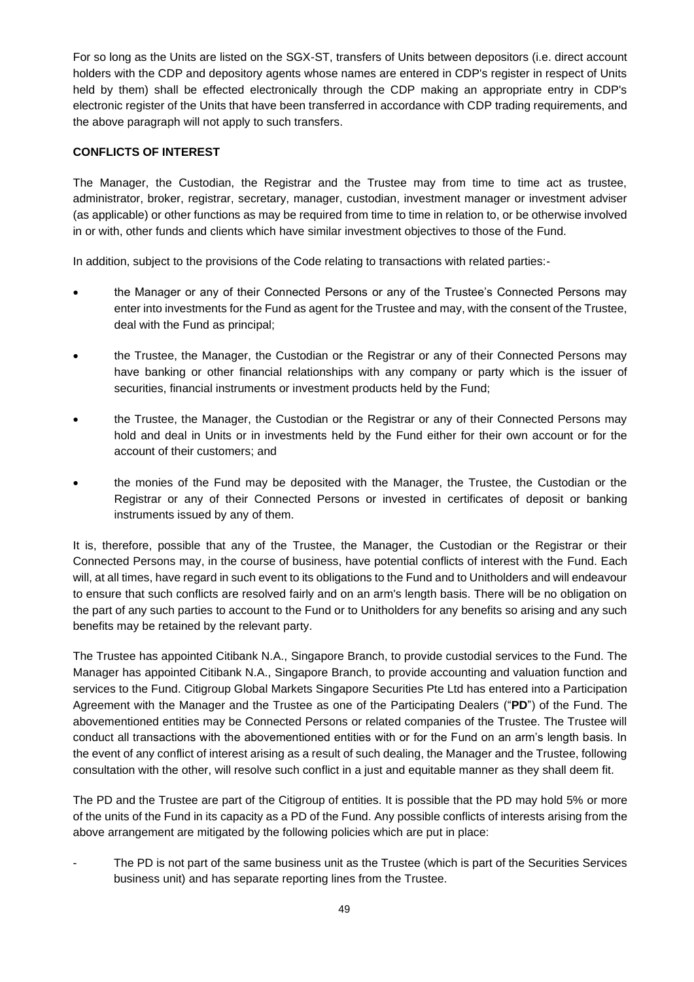For so long as the Units are listed on the SGX-ST, transfers of Units between depositors (i.e. direct account holders with the CDP and depository agents whose names are entered in CDP's register in respect of Units held by them) shall be effected electronically through the CDP making an appropriate entry in CDP's electronic register of the Units that have been transferred in accordance with CDP trading requirements, and the above paragraph will not apply to such transfers.

## **CONFLICTS OF INTEREST**

The Manager, the Custodian, the Registrar and the Trustee may from time to time act as trustee, administrator, broker, registrar, secretary, manager, custodian, investment manager or investment adviser (as applicable) or other functions as may be required from time to time in relation to, or be otherwise involved in or with, other funds and clients which have similar investment objectives to those of the Fund.

In addition, subject to the provisions of the Code relating to transactions with related parties:-

- the Manager or any of their Connected Persons or any of the Trustee's Connected Persons may enter into investments for the Fund as agent for the Trustee and may, with the consent of the Trustee, deal with the Fund as principal;
- the Trustee, the Manager, the Custodian or the Registrar or any of their Connected Persons may have banking or other financial relationships with any company or party which is the issuer of securities, financial instruments or investment products held by the Fund;
- the Trustee, the Manager, the Custodian or the Registrar or any of their Connected Persons may hold and deal in Units or in investments held by the Fund either for their own account or for the account of their customers; and
- the monies of the Fund may be deposited with the Manager, the Trustee, the Custodian or the Registrar or any of their Connected Persons or invested in certificates of deposit or banking instruments issued by any of them.

It is, therefore, possible that any of the Trustee, the Manager, the Custodian or the Registrar or their Connected Persons may, in the course of business, have potential conflicts of interest with the Fund. Each will, at all times, have regard in such event to its obligations to the Fund and to Unitholders and will endeavour to ensure that such conflicts are resolved fairly and on an arm's length basis. There will be no obligation on the part of any such parties to account to the Fund or to Unitholders for any benefits so arising and any such benefits may be retained by the relevant party.

The Trustee has appointed Citibank N.A., Singapore Branch, to provide custodial services to the Fund. The Manager has appointed Citibank N.A., Singapore Branch, to provide accounting and valuation function and services to the Fund. Citigroup Global Markets Singapore Securities Pte Ltd has entered into a Participation Agreement with the Manager and the Trustee as one of the Participating Dealers ("**PD**") of the Fund. The abovementioned entities may be Connected Persons or related companies of the Trustee. The Trustee will conduct all transactions with the abovementioned entities with or for the Fund on an arm's length basis. In the event of any conflict of interest arising as a result of such dealing, the Manager and the Trustee, following consultation with the other, will resolve such conflict in a just and equitable manner as they shall deem fit.

The PD and the Trustee are part of the Citigroup of entities. It is possible that the PD may hold 5% or more of the units of the Fund in its capacity as a PD of the Fund. Any possible conflicts of interests arising from the above arrangement are mitigated by the following policies which are put in place:

The PD is not part of the same business unit as the Trustee (which is part of the Securities Services business unit) and has separate reporting lines from the Trustee.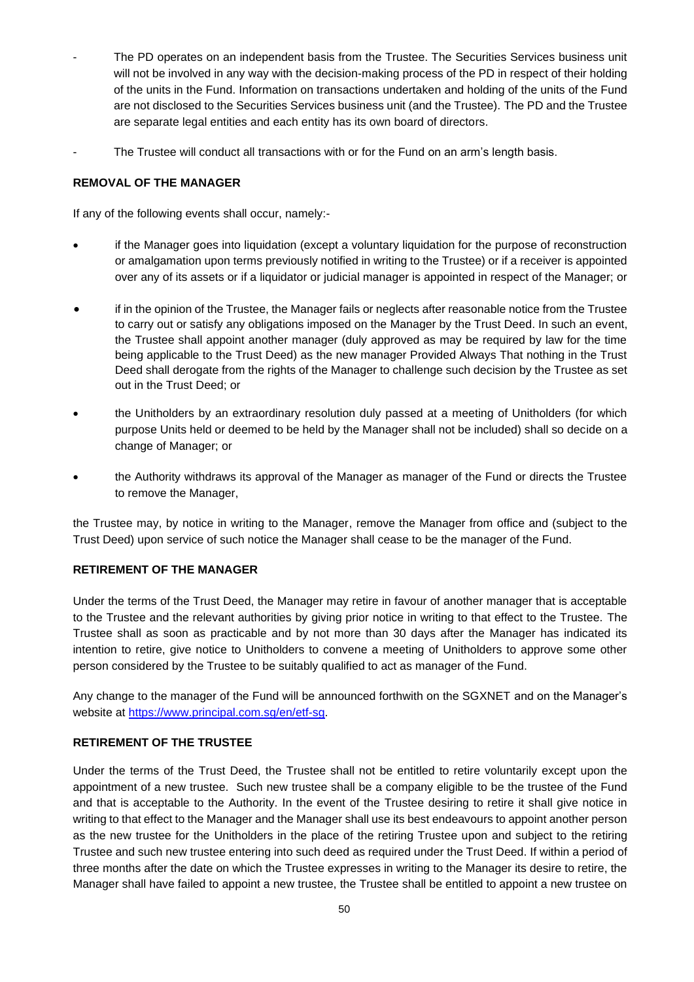- The PD operates on an independent basis from the Trustee. The Securities Services business unit will not be involved in any way with the decision-making process of the PD in respect of their holding of the units in the Fund. Information on transactions undertaken and holding of the units of the Fund are not disclosed to the Securities Services business unit (and the Trustee). The PD and the Trustee are separate legal entities and each entity has its own board of directors.
- The Trustee will conduct all transactions with or for the Fund on an arm's length basis.

## **REMOVAL OF THE MANAGER**

If any of the following events shall occur, namely:-

- if the Manager goes into liquidation (except a voluntary liquidation for the purpose of reconstruction or amalgamation upon terms previously notified in writing to the Trustee) or if a receiver is appointed over any of its assets or if a liquidator or judicial manager is appointed in respect of the Manager; or
- if in the opinion of the Trustee, the Manager fails or neglects after reasonable notice from the Trustee to carry out or satisfy any obligations imposed on the Manager by the Trust Deed. In such an event, the Trustee shall appoint another manager (duly approved as may be required by law for the time being applicable to the Trust Deed) as the new manager Provided Always That nothing in the Trust Deed shall derogate from the rights of the Manager to challenge such decision by the Trustee as set out in the Trust Deed; or
- the Unitholders by an extraordinary resolution duly passed at a meeting of Unitholders (for which purpose Units held or deemed to be held by the Manager shall not be included) shall so decide on a change of Manager; or
- the Authority withdraws its approval of the Manager as manager of the Fund or directs the Trustee to remove the Manager,

the Trustee may, by notice in writing to the Manager, remove the Manager from office and (subject to the Trust Deed) upon service of such notice the Manager shall cease to be the manager of the Fund.

#### **RETIREMENT OF THE MANAGER**

Under the terms of the Trust Deed, the Manager may retire in favour of another manager that is acceptable to the Trustee and the relevant authorities by giving prior notice in writing to that effect to the Trustee. The Trustee shall as soon as practicable and by not more than 30 days after the Manager has indicated its intention to retire, give notice to Unitholders to convene a meeting of Unitholders to approve some other person considered by the Trustee to be suitably qualified to act as manager of the Fund.

Any change to the manager of the Fund will be announced forthwith on the SGXNET and on the Manager's website at [https://www.principal.com.sg/en/etf-sg.](https://www.principal.com.sg/en/etf-sg)

#### **RETIREMENT OF THE TRUSTEE**

Under the terms of the Trust Deed, the Trustee shall not be entitled to retire voluntarily except upon the appointment of a new trustee. Such new trustee shall be a company eligible to be the trustee of the Fund and that is acceptable to the Authority. In the event of the Trustee desiring to retire it shall give notice in writing to that effect to the Manager and the Manager shall use its best endeavours to appoint another person as the new trustee for the Unitholders in the place of the retiring Trustee upon and subject to the retiring Trustee and such new trustee entering into such deed as required under the Trust Deed. If within a period of three months after the date on which the Trustee expresses in writing to the Manager its desire to retire, the Manager shall have failed to appoint a new trustee, the Trustee shall be entitled to appoint a new trustee on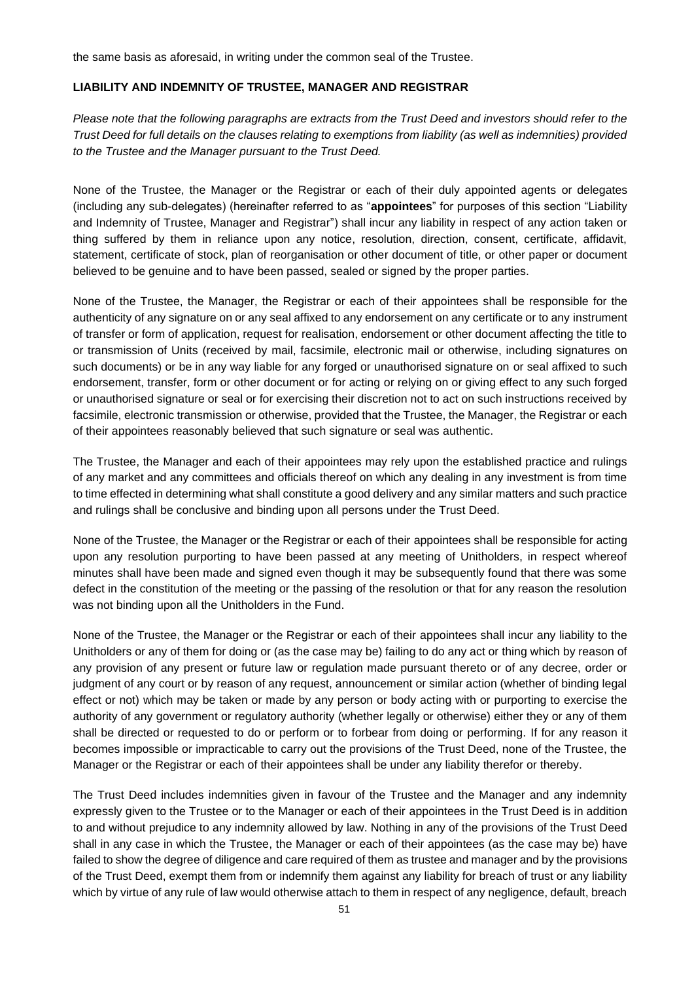the same basis as aforesaid, in writing under the common seal of the Trustee.

#### **LIABILITY AND INDEMNITY OF TRUSTEE, MANAGER AND REGISTRAR**

*Please note that the following paragraphs are extracts from the Trust Deed and investors should refer to the Trust Deed for full details on the clauses relating to exemptions from liability (as well as indemnities) provided to the Trustee and the Manager pursuant to the Trust Deed.*

None of the Trustee, the Manager or the Registrar or each of their duly appointed agents or delegates (including any sub-delegates) (hereinafter referred to as "**appointees**" for purposes of this section "Liability and Indemnity of Trustee, Manager and Registrar") shall incur any liability in respect of any action taken or thing suffered by them in reliance upon any notice, resolution, direction, consent, certificate, affidavit, statement, certificate of stock, plan of reorganisation or other document of title, or other paper or document believed to be genuine and to have been passed, sealed or signed by the proper parties.

None of the Trustee, the Manager, the Registrar or each of their appointees shall be responsible for the authenticity of any signature on or any seal affixed to any endorsement on any certificate or to any instrument of transfer or form of application, request for realisation, endorsement or other document affecting the title to or transmission of Units (received by mail, facsimile, electronic mail or otherwise, including signatures on such documents) or be in any way liable for any forged or unauthorised signature on or seal affixed to such endorsement, transfer, form or other document or for acting or relying on or giving effect to any such forged or unauthorised signature or seal or for exercising their discretion not to act on such instructions received by facsimile, electronic transmission or otherwise, provided that the Trustee, the Manager, the Registrar or each of their appointees reasonably believed that such signature or seal was authentic.

The Trustee, the Manager and each of their appointees may rely upon the established practice and rulings of any market and any committees and officials thereof on which any dealing in any investment is from time to time effected in determining what shall constitute a good delivery and any similar matters and such practice and rulings shall be conclusive and binding upon all persons under the Trust Deed.

None of the Trustee, the Manager or the Registrar or each of their appointees shall be responsible for acting upon any resolution purporting to have been passed at any meeting of Unitholders, in respect whereof minutes shall have been made and signed even though it may be subsequently found that there was some defect in the constitution of the meeting or the passing of the resolution or that for any reason the resolution was not binding upon all the Unitholders in the Fund.

None of the Trustee, the Manager or the Registrar or each of their appointees shall incur any liability to the Unitholders or any of them for doing or (as the case may be) failing to do any act or thing which by reason of any provision of any present or future law or regulation made pursuant thereto or of any decree, order or judgment of any court or by reason of any request, announcement or similar action (whether of binding legal effect or not) which may be taken or made by any person or body acting with or purporting to exercise the authority of any government or regulatory authority (whether legally or otherwise) either they or any of them shall be directed or requested to do or perform or to forbear from doing or performing. If for any reason it becomes impossible or impracticable to carry out the provisions of the Trust Deed, none of the Trustee, the Manager or the Registrar or each of their appointees shall be under any liability therefor or thereby.

The Trust Deed includes indemnities given in favour of the Trustee and the Manager and any indemnity expressly given to the Trustee or to the Manager or each of their appointees in the Trust Deed is in addition to and without prejudice to any indemnity allowed by law. Nothing in any of the provisions of the Trust Deed shall in any case in which the Trustee, the Manager or each of their appointees (as the case may be) have failed to show the degree of diligence and care required of them as trustee and manager and by the provisions of the Trust Deed, exempt them from or indemnify them against any liability for breach of trust or any liability which by virtue of any rule of law would otherwise attach to them in respect of any negligence, default, breach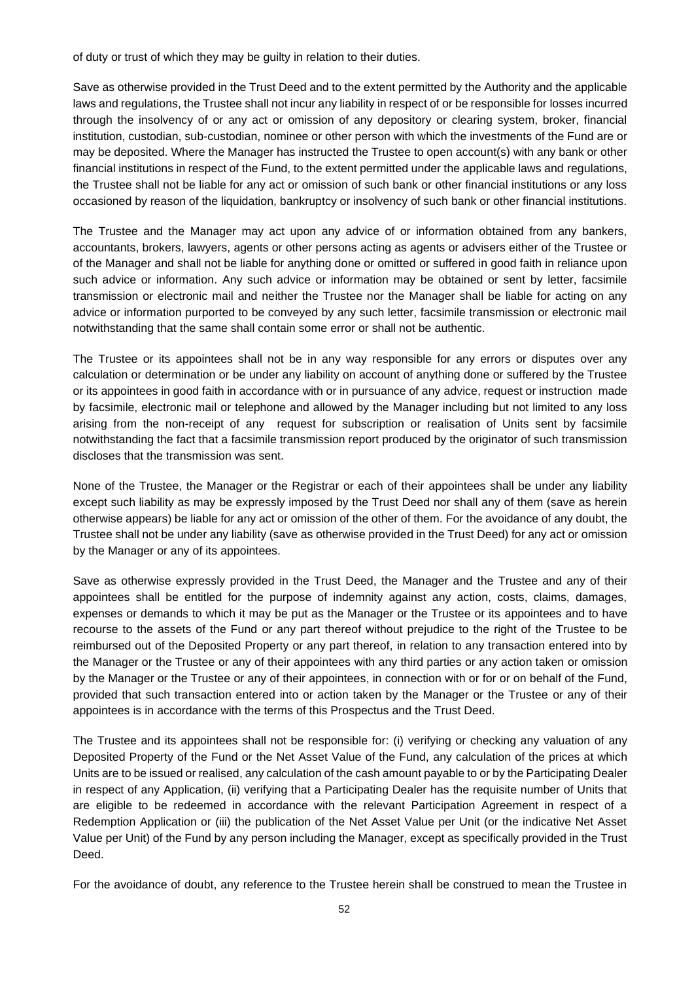of duty or trust of which they may be guilty in relation to their duties.

Save as otherwise provided in the Trust Deed and to the extent permitted by the Authority and the applicable laws and regulations, the Trustee shall not incur any liability in respect of or be responsible for losses incurred through the insolvency of or any act or omission of any depository or clearing system, broker, financial institution, custodian, sub-custodian, nominee or other person with which the investments of the Fund are or may be deposited. Where the Manager has instructed the Trustee to open account(s) with any bank or other financial institutions in respect of the Fund, to the extent permitted under the applicable laws and regulations, the Trustee shall not be liable for any act or omission of such bank or other financial institutions or any loss occasioned by reason of the liquidation, bankruptcy or insolvency of such bank or other financial institutions.

The Trustee and the Manager may act upon any advice of or information obtained from any bankers, accountants, brokers, lawyers, agents or other persons acting as agents or advisers either of the Trustee or of the Manager and shall not be liable for anything done or omitted or suffered in good faith in reliance upon such advice or information. Any such advice or information may be obtained or sent by letter, facsimile transmission or electronic mail and neither the Trustee nor the Manager shall be liable for acting on any advice or information purported to be conveyed by any such letter, facsimile transmission or electronic mail notwithstanding that the same shall contain some error or shall not be authentic.

The Trustee or its appointees shall not be in any way responsible for any errors or disputes over any calculation or determination or be under any liability on account of anything done or suffered by the Trustee or its appointees in good faith in accordance with or in pursuance of any advice, request or instruction made by facsimile, electronic mail or telephone and allowed by the Manager including but not limited to any loss arising from the non-receipt of any request for subscription or realisation of Units sent by facsimile notwithstanding the fact that a facsimile transmission report produced by the originator of such transmission discloses that the transmission was sent.

None of the Trustee, the Manager or the Registrar or each of their appointees shall be under any liability except such liability as may be expressly imposed by the Trust Deed nor shall any of them (save as herein otherwise appears) be liable for any act or omission of the other of them. For the avoidance of any doubt, the Trustee shall not be under any liability (save as otherwise provided in the Trust Deed) for any act or omission by the Manager or any of its appointees.

Save as otherwise expressly provided in the Trust Deed, the Manager and the Trustee and any of their appointees shall be entitled for the purpose of indemnity against any action, costs, claims, damages, expenses or demands to which it may be put as the Manager or the Trustee or its appointees and to have recourse to the assets of the Fund or any part thereof without prejudice to the right of the Trustee to be reimbursed out of the Deposited Property or any part thereof, in relation to any transaction entered into by the Manager or the Trustee or any of their appointees with any third parties or any action taken or omission by the Manager or the Trustee or any of their appointees, in connection with or for or on behalf of the Fund, provided that such transaction entered into or action taken by the Manager or the Trustee or any of their appointees is in accordance with the terms of this Prospectus and the Trust Deed.

The Trustee and its appointees shall not be responsible for: (i) verifying or checking any valuation of any Deposited Property of the Fund or the Net Asset Value of the Fund, any calculation of the prices at which Units are to be issued or realised, any calculation of the cash amount payable to or by the Participating Dealer in respect of any Application, (ii) verifying that a Participating Dealer has the requisite number of Units that are eligible to be redeemed in accordance with the relevant Participation Agreement in respect of a Redemption Application or (iii) the publication of the Net Asset Value per Unit (or the indicative Net Asset Value per Unit) of the Fund by any person including the Manager, except as specifically provided in the Trust Deed.

For the avoidance of doubt, any reference to the Trustee herein shall be construed to mean the Trustee in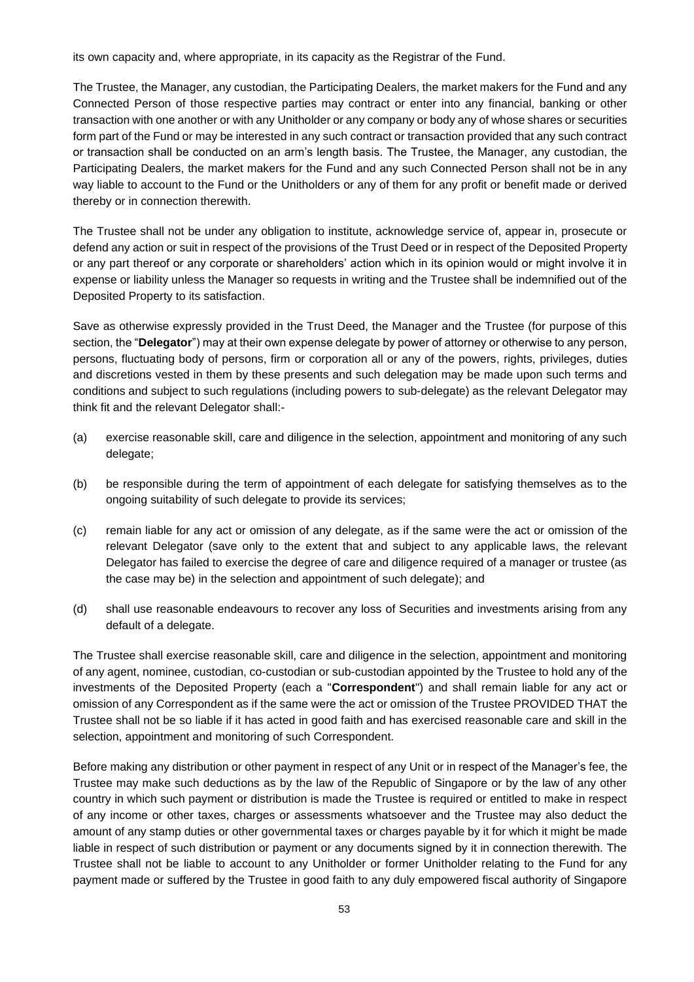its own capacity and, where appropriate, in its capacity as the Registrar of the Fund.

The Trustee, the Manager, any custodian, the Participating Dealers, the market makers for the Fund and any Connected Person of those respective parties may contract or enter into any financial, banking or other transaction with one another or with any Unitholder or any company or body any of whose shares or securities form part of the Fund or may be interested in any such contract or transaction provided that any such contract or transaction shall be conducted on an arm's length basis. The Trustee, the Manager, any custodian, the Participating Dealers, the market makers for the Fund and any such Connected Person shall not be in any way liable to account to the Fund or the Unitholders or any of them for any profit or benefit made or derived thereby or in connection therewith.

The Trustee shall not be under any obligation to institute, acknowledge service of, appear in, prosecute or defend any action or suit in respect of the provisions of the Trust Deed or in respect of the Deposited Property or any part thereof or any corporate or shareholders' action which in its opinion would or might involve it in expense or liability unless the Manager so requests in writing and the Trustee shall be indemnified out of the Deposited Property to its satisfaction.

Save as otherwise expressly provided in the Trust Deed, the Manager and the Trustee (for purpose of this section, the "**Delegator**") may at their own expense delegate by power of attorney or otherwise to any person, persons, fluctuating body of persons, firm or corporation all or any of the powers, rights, privileges, duties and discretions vested in them by these presents and such delegation may be made upon such terms and conditions and subject to such regulations (including powers to sub-delegate) as the relevant Delegator may think fit and the relevant Delegator shall:-

- (a) exercise reasonable skill, care and diligence in the selection, appointment and monitoring of any such delegate;
- (b) be responsible during the term of appointment of each delegate for satisfying themselves as to the ongoing suitability of such delegate to provide its services;
- (c) remain liable for any act or omission of any delegate, as if the same were the act or omission of the relevant Delegator (save only to the extent that and subject to any applicable laws, the relevant Delegator has failed to exercise the degree of care and diligence required of a manager or trustee (as the case may be) in the selection and appointment of such delegate); and
- (d) shall use reasonable endeavours to recover any loss of Securities and investments arising from any default of a delegate.

The Trustee shall exercise reasonable skill, care and diligence in the selection, appointment and monitoring of any agent, nominee, custodian, co-custodian or sub-custodian appointed by the Trustee to hold any of the investments of the Deposited Property (each a "**Correspondent**") and shall remain liable for any act or omission of any Correspondent as if the same were the act or omission of the Trustee PROVIDED THAT the Trustee shall not be so liable if it has acted in good faith and has exercised reasonable care and skill in the selection, appointment and monitoring of such Correspondent.

Before making any distribution or other payment in respect of any Unit or in respect of the Manager's fee, the Trustee may make such deductions as by the law of the Republic of Singapore or by the law of any other country in which such payment or distribution is made the Trustee is required or entitled to make in respect of any income or other taxes, charges or assessments whatsoever and the Trustee may also deduct the amount of any stamp duties or other governmental taxes or charges payable by it for which it might be made liable in respect of such distribution or payment or any documents signed by it in connection therewith. The Trustee shall not be liable to account to any Unitholder or former Unitholder relating to the Fund for any payment made or suffered by the Trustee in good faith to any duly empowered fiscal authority of Singapore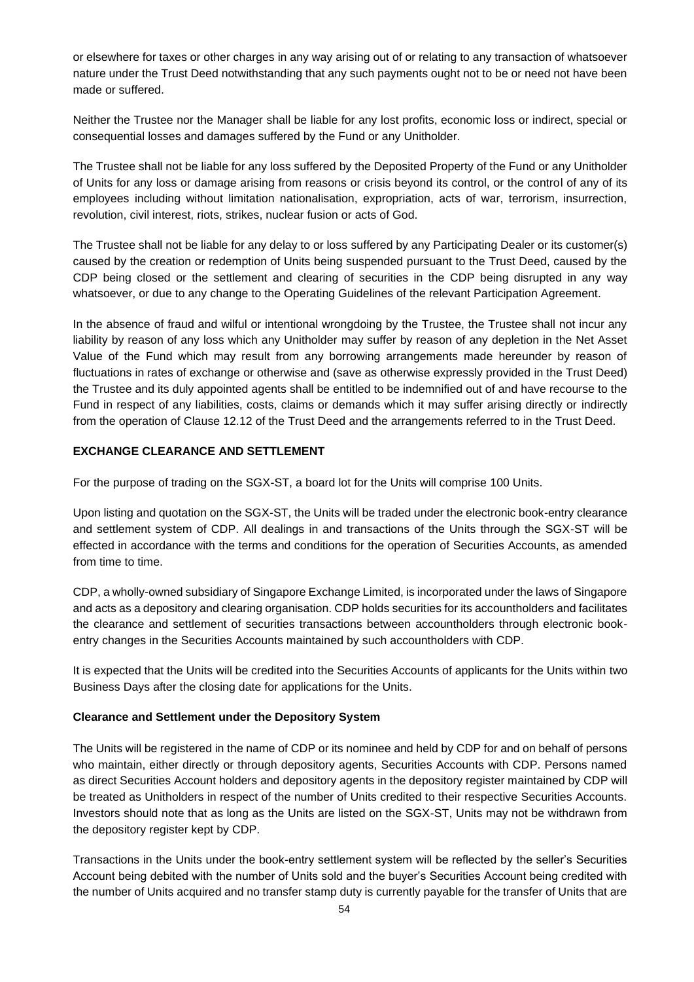or elsewhere for taxes or other charges in any way arising out of or relating to any transaction of whatsoever nature under the Trust Deed notwithstanding that any such payments ought not to be or need not have been made or suffered.

Neither the Trustee nor the Manager shall be liable for any lost profits, economic loss or indirect, special or consequential losses and damages suffered by the Fund or any Unitholder.

The Trustee shall not be liable for any loss suffered by the Deposited Property of the Fund or any Unitholder of Units for any loss or damage arising from reasons or crisis beyond its control, or the control of any of its employees including without limitation nationalisation, expropriation, acts of war, terrorism, insurrection, revolution, civil interest, riots, strikes, nuclear fusion or acts of God.

The Trustee shall not be liable for any delay to or loss suffered by any Participating Dealer or its customer(s) caused by the creation or redemption of Units being suspended pursuant to the Trust Deed, caused by the CDP being closed or the settlement and clearing of securities in the CDP being disrupted in any way whatsoever, or due to any change to the Operating Guidelines of the relevant Participation Agreement.

In the absence of fraud and wilful or intentional wrongdoing by the Trustee, the Trustee shall not incur any liability by reason of any loss which any Unitholder may suffer by reason of any depletion in the Net Asset Value of the Fund which may result from any borrowing arrangements made hereunder by reason of fluctuations in rates of exchange or otherwise and (save as otherwise expressly provided in the Trust Deed) the Trustee and its duly appointed agents shall be entitled to be indemnified out of and have recourse to the Fund in respect of any liabilities, costs, claims or demands which it may suffer arising directly or indirectly from the operation of Clause 12.12 of the Trust Deed and the arrangements referred to in the Trust Deed.

#### **EXCHANGE CLEARANCE AND SETTLEMENT**

For the purpose of trading on the SGX-ST, a board lot for the Units will comprise 100 Units.

Upon listing and quotation on the SGX-ST, the Units will be traded under the electronic book-entry clearance and settlement system of CDP. All dealings in and transactions of the Units through the SGX-ST will be effected in accordance with the terms and conditions for the operation of Securities Accounts, as amended from time to time.

CDP, a wholly-owned subsidiary of Singapore Exchange Limited, is incorporated under the laws of Singapore and acts as a depository and clearing organisation. CDP holds securities for its accountholders and facilitates the clearance and settlement of securities transactions between accountholders through electronic bookentry changes in the Securities Accounts maintained by such accountholders with CDP.

It is expected that the Units will be credited into the Securities Accounts of applicants for the Units within two Business Days after the closing date for applications for the Units.

#### **Clearance and Settlement under the Depository System**

The Units will be registered in the name of CDP or its nominee and held by CDP for and on behalf of persons who maintain, either directly or through depository agents, Securities Accounts with CDP. Persons named as direct Securities Account holders and depository agents in the depository register maintained by CDP will be treated as Unitholders in respect of the number of Units credited to their respective Securities Accounts. Investors should note that as long as the Units are listed on the SGX-ST, Units may not be withdrawn from the depository register kept by CDP.

Transactions in the Units under the book-entry settlement system will be reflected by the seller's Securities Account being debited with the number of Units sold and the buyer's Securities Account being credited with the number of Units acquired and no transfer stamp duty is currently payable for the transfer of Units that are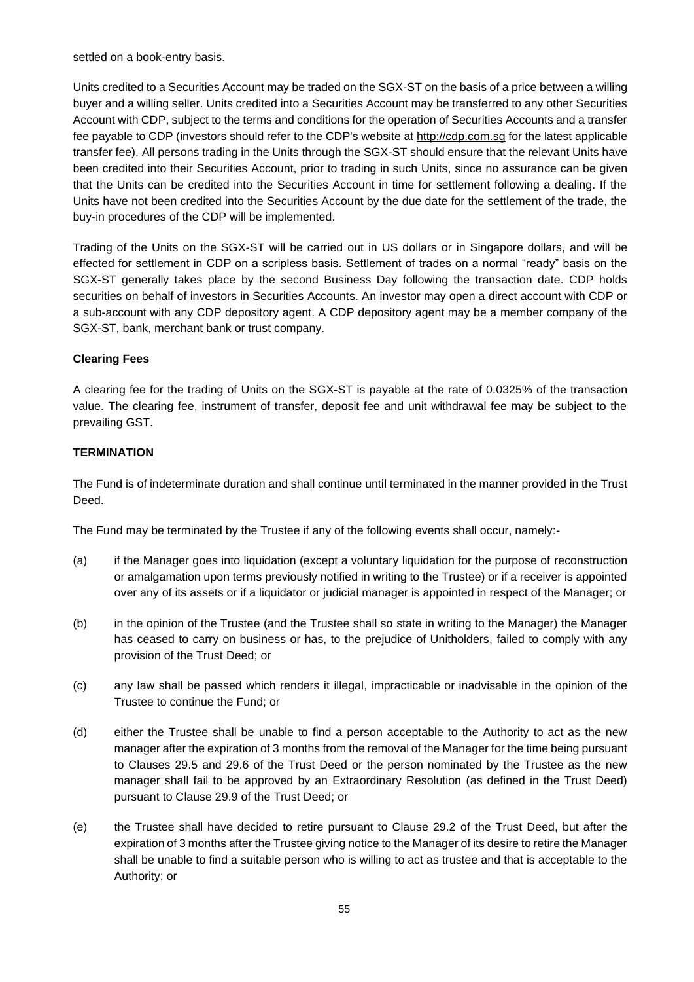settled on a book-entry basis.

Units credited to a Securities Account may be traded on the SGX-ST on the basis of a price between a willing buyer and a willing seller. Units credited into a Securities Account may be transferred to any other Securities Account with CDP, subject to the terms and conditions for the operation of Securities Accounts and a transfer fee payable to CDP (investors should refer to the CDP's website at http://cdp.com.sg for the latest applicable transfer fee). All persons trading in the Units through the SGX-ST should ensure that the relevant Units have been credited into their Securities Account, prior to trading in such Units, since no assurance can be given that the Units can be credited into the Securities Account in time for settlement following a dealing. If the Units have not been credited into the Securities Account by the due date for the settlement of the trade, the buy-in procedures of the CDP will be implemented.

Trading of the Units on the SGX-ST will be carried out in US dollars or in Singapore dollars, and will be effected for settlement in CDP on a scripless basis. Settlement of trades on a normal "ready" basis on the SGX-ST generally takes place by the second Business Day following the transaction date. CDP holds securities on behalf of investors in Securities Accounts. An investor may open a direct account with CDP or a sub-account with any CDP depository agent. A CDP depository agent may be a member company of the SGX-ST, bank, merchant bank or trust company.

## **Clearing Fees**

A clearing fee for the trading of Units on the SGX-ST is payable at the rate of 0.0325% of the transaction value. The clearing fee, instrument of transfer, deposit fee and unit withdrawal fee may be subject to the prevailing GST.

## **TERMINATION**

The Fund is of indeterminate duration and shall continue until terminated in the manner provided in the Trust Deed.

The Fund may be terminated by the Trustee if any of the following events shall occur, namely:-

- (a) if the Manager goes into liquidation (except a voluntary liquidation for the purpose of reconstruction or amalgamation upon terms previously notified in writing to the Trustee) or if a receiver is appointed over any of its assets or if a liquidator or judicial manager is appointed in respect of the Manager; or
- (b) in the opinion of the Trustee (and the Trustee shall so state in writing to the Manager) the Manager has ceased to carry on business or has, to the prejudice of Unitholders, failed to comply with any provision of the Trust Deed; or
- (c) any law shall be passed which renders it illegal, impracticable or inadvisable in the opinion of the Trustee to continue the Fund; or
- (d) either the Trustee shall be unable to find a person acceptable to the Authority to act as the new manager after the expiration of 3 months from the removal of the Manager for the time being pursuant to Clauses 29.5 and 29.6 of the Trust Deed or the person nominated by the Trustee as the new manager shall fail to be approved by an Extraordinary Resolution (as defined in the Trust Deed) pursuant to Clause 29.9 of the Trust Deed; or
- (e) the Trustee shall have decided to retire pursuant to Clause 29.2 of the Trust Deed, but after the expiration of 3 months after the Trustee giving notice to the Manager of its desire to retire the Manager shall be unable to find a suitable person who is willing to act as trustee and that is acceptable to the Authority; or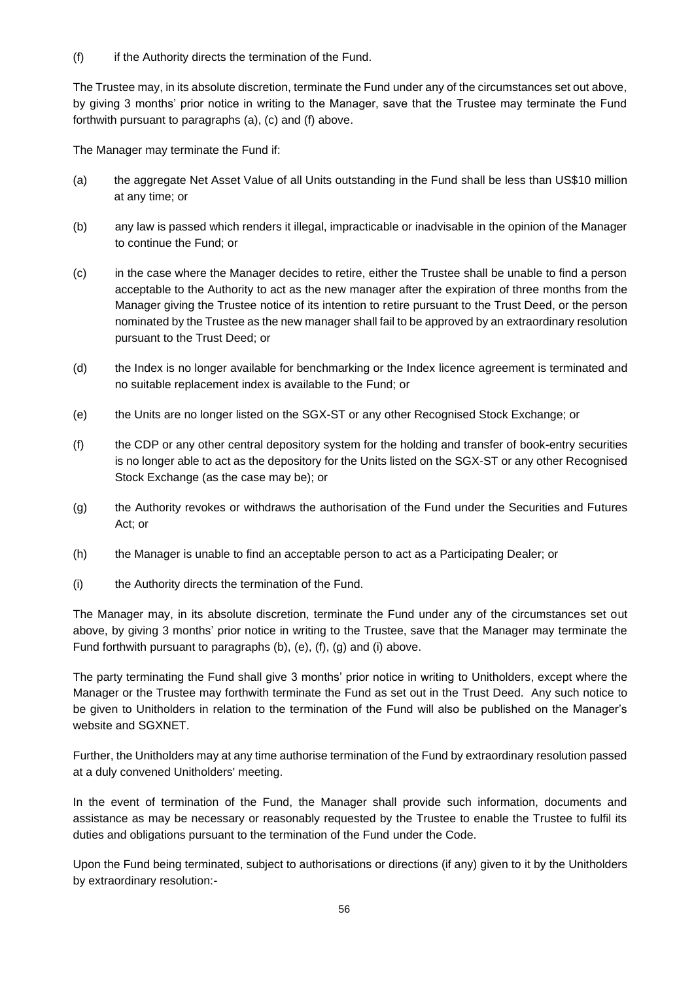(f) if the Authority directs the termination of the Fund.

The Trustee may, in its absolute discretion, terminate the Fund under any of the circumstances set out above, by giving 3 months' prior notice in writing to the Manager, save that the Trustee may terminate the Fund forthwith pursuant to paragraphs (a), (c) and (f) above.

The Manager may terminate the Fund if:

- (a) the aggregate Net Asset Value of all Units outstanding in the Fund shall be less than US\$10 million at any time; or
- (b) any law is passed which renders it illegal, impracticable or inadvisable in the opinion of the Manager to continue the Fund; or
- (c) in the case where the Manager decides to retire, either the Trustee shall be unable to find a person acceptable to the Authority to act as the new manager after the expiration of three months from the Manager giving the Trustee notice of its intention to retire pursuant to the Trust Deed, or the person nominated by the Trustee as the new manager shall fail to be approved by an extraordinary resolution pursuant to the Trust Deed; or
- (d) the Index is no longer available for benchmarking or the Index licence agreement is terminated and no suitable replacement index is available to the Fund; or
- (e) the Units are no longer listed on the SGX-ST or any other Recognised Stock Exchange; or
- (f) the CDP or any other central depository system for the holding and transfer of book-entry securities is no longer able to act as the depository for the Units listed on the SGX-ST or any other Recognised Stock Exchange (as the case may be); or
- (g) the Authority revokes or withdraws the authorisation of the Fund under the Securities and Futures Act; or
- (h) the Manager is unable to find an acceptable person to act as a Participating Dealer; or
- (i) the Authority directs the termination of the Fund.

The Manager may, in its absolute discretion, terminate the Fund under any of the circumstances set out above, by giving 3 months' prior notice in writing to the Trustee, save that the Manager may terminate the Fund forthwith pursuant to paragraphs (b), (e), (f), (g) and (i) above.

The party terminating the Fund shall give 3 months' prior notice in writing to Unitholders, except where the Manager or the Trustee may forthwith terminate the Fund as set out in the Trust Deed. Any such notice to be given to Unitholders in relation to the termination of the Fund will also be published on the Manager's website and SGXNET.

Further, the Unitholders may at any time authorise termination of the Fund by extraordinary resolution passed at a duly convened Unitholders' meeting.

In the event of termination of the Fund, the Manager shall provide such information, documents and assistance as may be necessary or reasonably requested by the Trustee to enable the Trustee to fulfil its duties and obligations pursuant to the termination of the Fund under the Code.

Upon the Fund being terminated, subject to authorisations or directions (if any) given to it by the Unitholders by extraordinary resolution:-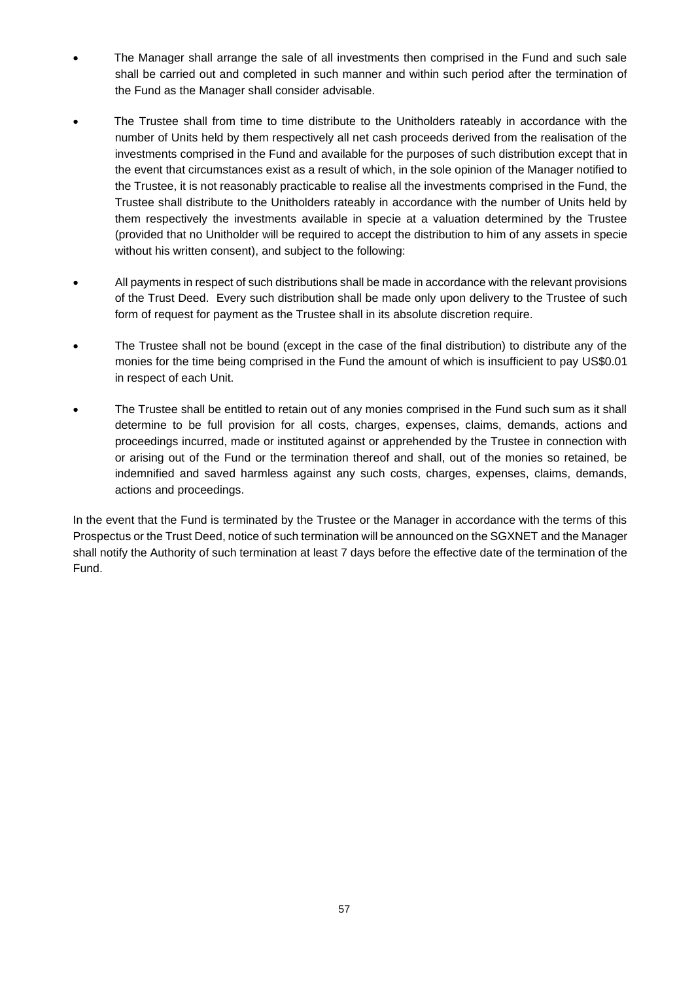- The Manager shall arrange the sale of all investments then comprised in the Fund and such sale shall be carried out and completed in such manner and within such period after the termination of the Fund as the Manager shall consider advisable.
- The Trustee shall from time to time distribute to the Unitholders rateably in accordance with the number of Units held by them respectively all net cash proceeds derived from the realisation of the investments comprised in the Fund and available for the purposes of such distribution except that in the event that circumstances exist as a result of which, in the sole opinion of the Manager notified to the Trustee, it is not reasonably practicable to realise all the investments comprised in the Fund, the Trustee shall distribute to the Unitholders rateably in accordance with the number of Units held by them respectively the investments available in specie at a valuation determined by the Trustee (provided that no Unitholder will be required to accept the distribution to him of any assets in specie without his written consent), and subject to the following:
- All payments in respect of such distributions shall be made in accordance with the relevant provisions of the Trust Deed. Every such distribution shall be made only upon delivery to the Trustee of such form of request for payment as the Trustee shall in its absolute discretion require.
- The Trustee shall not be bound (except in the case of the final distribution) to distribute any of the monies for the time being comprised in the Fund the amount of which is insufficient to pay US\$0.01 in respect of each Unit.
- The Trustee shall be entitled to retain out of any monies comprised in the Fund such sum as it shall determine to be full provision for all costs, charges, expenses, claims, demands, actions and proceedings incurred, made or instituted against or apprehended by the Trustee in connection with or arising out of the Fund or the termination thereof and shall, out of the monies so retained, be indemnified and saved harmless against any such costs, charges, expenses, claims, demands, actions and proceedings.

In the event that the Fund is terminated by the Trustee or the Manager in accordance with the terms of this Prospectus or the Trust Deed, notice of such termination will be announced on the SGXNET and the Manager shall notify the Authority of such termination at least 7 days before the effective date of the termination of the Fund.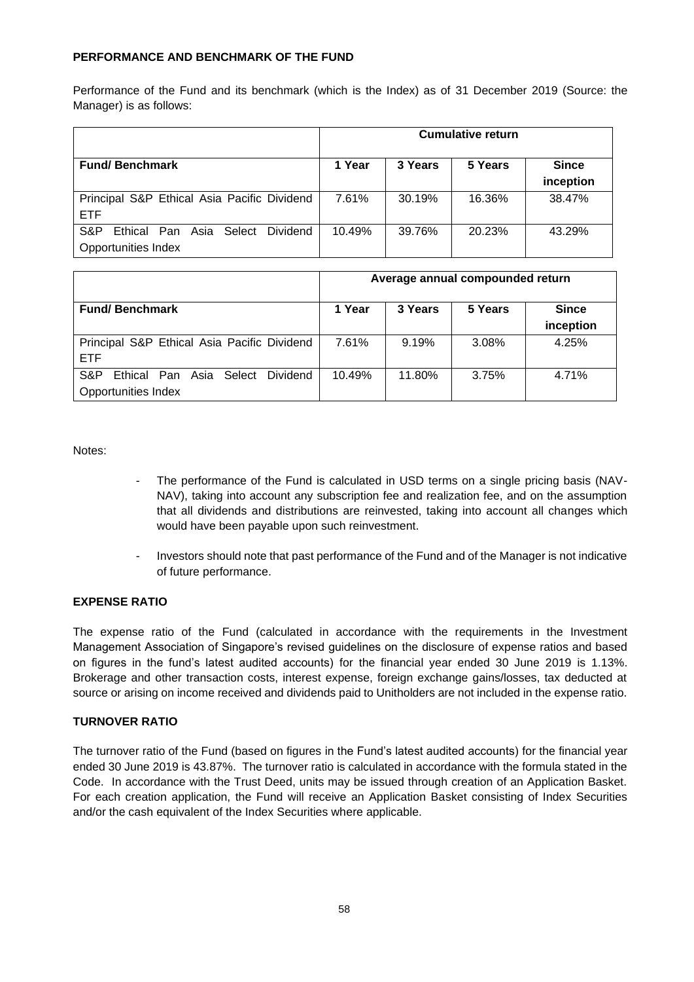## **PERFORMANCE AND BENCHMARK OF THE FUND**

Performance of the Fund and its benchmark (which is the Index) as of 31 December 2019 (Source: the Manager) is as follows:

|                                                                       | <b>Cumulative return</b> |         |         |                           |
|-----------------------------------------------------------------------|--------------------------|---------|---------|---------------------------|
| <b>Fund/Benchmark</b>                                                 | 1 Year                   | 3 Years | 5 Years | <b>Since</b><br>inception |
| Principal S&P Ethical Asia Pacific Dividend<br><b>ETF</b>             | 7.61%                    | 30.19%  | 16.36%  | 38.47%                    |
| S&P<br>Ethical Pan Asia Select Dividend<br><b>Opportunities Index</b> | 10.49%                   | 39.76%  | 20.23%  | 43.29%                    |

|                                                                   | Average annual compounded return |         |         |                           |
|-------------------------------------------------------------------|----------------------------------|---------|---------|---------------------------|
| <b>Fund/Benchmark</b>                                             | 1 Year                           | 3 Years | 5 Years | <b>Since</b><br>inception |
| Principal S&P Ethical Asia Pacific Dividend<br>ETF.               | 7.61%                            | 9.19%   | 3.08%   | 4.25%                     |
| S&P<br>Ethical Pan Asia Select<br>Dividend<br>Opportunities Index | 10.49%                           | 11.80%  | 3.75%   | 4.71%                     |

Notes:

- The performance of the Fund is calculated in USD terms on a single pricing basis (NAV-NAV), taking into account any subscription fee and realization fee, and on the assumption that all dividends and distributions are reinvested, taking into account all changes which would have been payable upon such reinvestment.
- Investors should note that past performance of the Fund and of the Manager is not indicative of future performance.

#### **EXPENSE RATIO**

The expense ratio of the Fund (calculated in accordance with the requirements in the Investment Management Association of Singapore's revised guidelines on the disclosure of expense ratios and based on figures in the fund's latest audited accounts) for the financial year ended 30 June 2019 is 1.13%. Brokerage and other transaction costs, interest expense, foreign exchange gains/losses, tax deducted at source or arising on income received and dividends paid to Unitholders are not included in the expense ratio.

#### **TURNOVER RATIO**

The turnover ratio of the Fund (based on figures in the Fund's latest audited accounts) for the financial year ended 30 June 2019 is 43.87%. The turnover ratio is calculated in accordance with the formula stated in the Code. In accordance with the Trust Deed, units may be issued through creation of an Application Basket. For each creation application, the Fund will receive an Application Basket consisting of Index Securities and/or the cash equivalent of the Index Securities where applicable.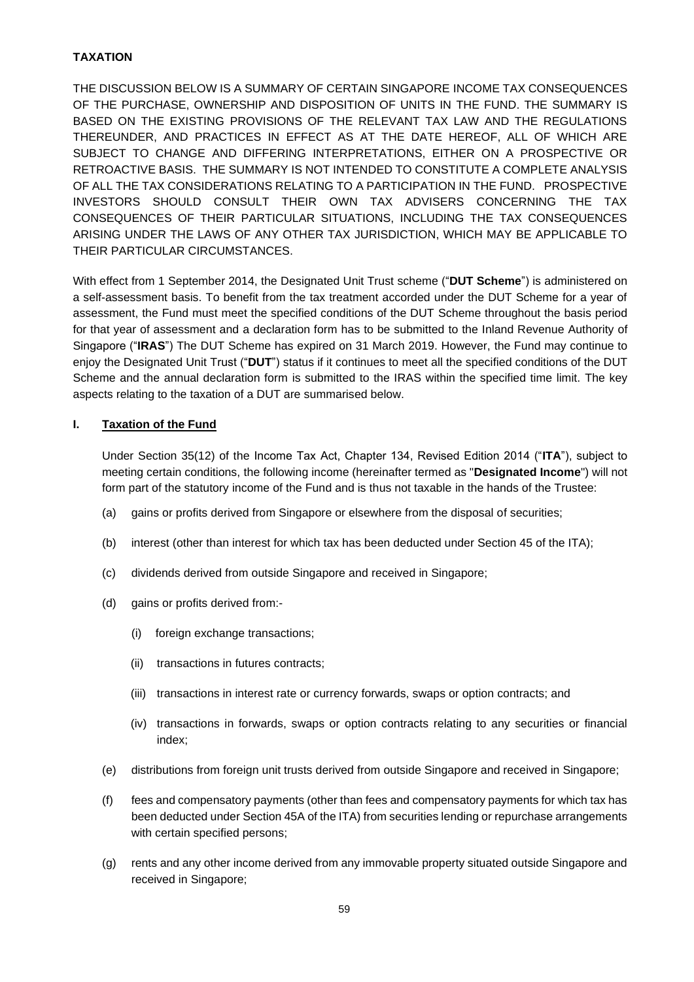# **TAXATION**

THE DISCUSSION BELOW IS A SUMMARY OF CERTAIN SINGAPORE INCOME TAX CONSEQUENCES OF THE PURCHASE, OWNERSHIP AND DISPOSITION OF UNITS IN THE FUND. THE SUMMARY IS BASED ON THE EXISTING PROVISIONS OF THE RELEVANT TAX LAW AND THE REGULATIONS THEREUNDER, AND PRACTICES IN EFFECT AS AT THE DATE HEREOF, ALL OF WHICH ARE SUBJECT TO CHANGE AND DIFFERING INTERPRETATIONS, EITHER ON A PROSPECTIVE OR RETROACTIVE BASIS. THE SUMMARY IS NOT INTENDED TO CONSTITUTE A COMPLETE ANALYSIS OF ALL THE TAX CONSIDERATIONS RELATING TO A PARTICIPATION IN THE FUND. PROSPECTIVE INVESTORS SHOULD CONSULT THEIR OWN TAX ADVISERS CONCERNING THE TAX CONSEQUENCES OF THEIR PARTICULAR SITUATIONS, INCLUDING THE TAX CONSEQUENCES ARISING UNDER THE LAWS OF ANY OTHER TAX JURISDICTION, WHICH MAY BE APPLICABLE TO THEIR PARTICULAR CIRCUMSTANCES.

With effect from 1 September 2014, the Designated Unit Trust scheme ("**DUT Scheme**") is administered on a self-assessment basis. To benefit from the tax treatment accorded under the DUT Scheme for a year of assessment, the Fund must meet the specified conditions of the DUT Scheme throughout the basis period for that year of assessment and a declaration form has to be submitted to the Inland Revenue Authority of Singapore ("**IRAS**") The DUT Scheme has expired on 31 March 2019. However, the Fund may continue to enjoy the Designated Unit Trust ("**DUT**") status if it continues to meet all the specified conditions of the DUT Scheme and the annual declaration form is submitted to the IRAS within the specified time limit. The key aspects relating to the taxation of a DUT are summarised below.

## **I. Taxation of the Fund**

Under Section 35(12) of the Income Tax Act, Chapter 134, Revised Edition 2014 ("**ITA**"), subject to meeting certain conditions, the following income (hereinafter termed as "**Designated Income**") will not form part of the statutory income of the Fund and is thus not taxable in the hands of the Trustee:

- (a) gains or profits derived from Singapore or elsewhere from the disposal of securities;
- (b) interest (other than interest for which tax has been deducted under Section 45 of the ITA);
- (c) dividends derived from outside Singapore and received in Singapore;
- (d) gains or profits derived from:-
	- (i) foreign exchange transactions;
	- (ii) transactions in futures contracts;
	- (iii) transactions in interest rate or currency forwards, swaps or option contracts; and
	- (iv) transactions in forwards, swaps or option contracts relating to any securities or financial index;
- (e) distributions from foreign unit trusts derived from outside Singapore and received in Singapore;
- (f) fees and compensatory payments (other than fees and compensatory payments for which tax has been deducted under Section 45A of the ITA) from securities lending or repurchase arrangements with certain specified persons;
- (g) rents and any other income derived from any immovable property situated outside Singapore and received in Singapore;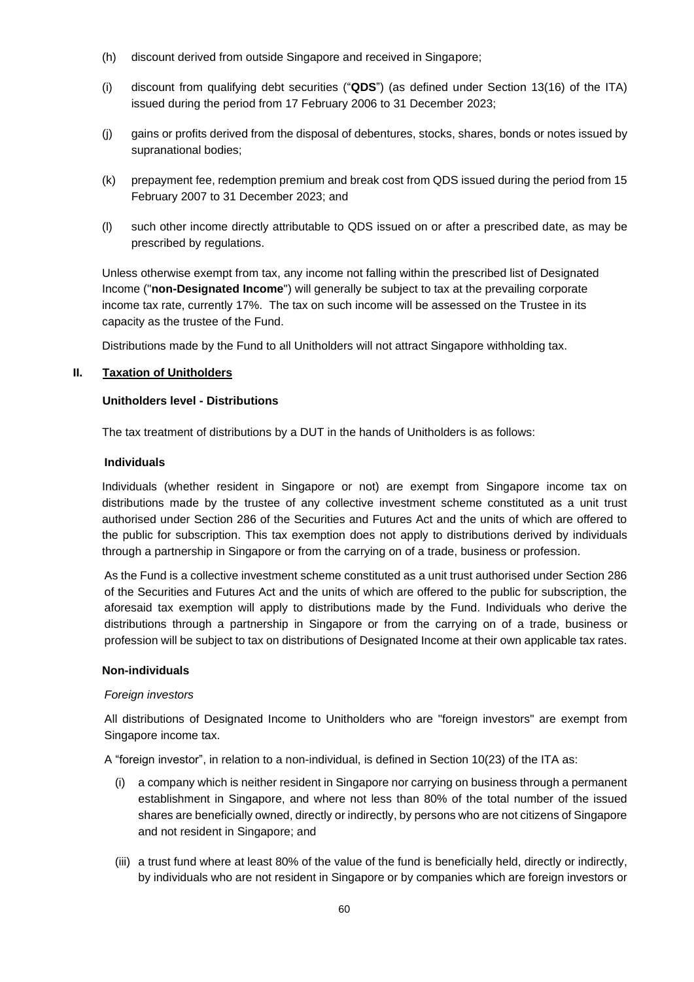- (h) discount derived from outside Singapore and received in Singapore;
- (i) discount from qualifying debt securities ("**QDS**") (as defined under Section 13(16) of the ITA) issued during the period from 17 February 2006 to 31 December 2023;
- (j) gains or profits derived from the disposal of debentures, stocks, shares, bonds or notes issued by supranational bodies;
- (k) prepayment fee, redemption premium and break cost from QDS issued during the period from 15 February 2007 to 31 December 2023; and
- (l) such other income directly attributable to QDS issued on or after a prescribed date, as may be prescribed by regulations.

Unless otherwise exempt from tax, any income not falling within the prescribed list of Designated Income ("**non-Designated Income**") will generally be subject to tax at the prevailing corporate income tax rate, currently 17%. The tax on such income will be assessed on the Trustee in its capacity as the trustee of the Fund.

Distributions made by the Fund to all Unitholders will not attract Singapore withholding tax.

## **II. Taxation of Unitholders**

## **Unitholders level - Distributions**

The tax treatment of distributions by a DUT in the hands of Unitholders is as follows:

#### **Individuals**

Individuals (whether resident in Singapore or not) are exempt from Singapore income tax on distributions made by the trustee of any collective investment scheme constituted as a unit trust authorised under Section 286 of the Securities and Futures Act and the units of which are offered to the public for subscription. This tax exemption does not apply to distributions derived by individuals through a partnership in Singapore or from the carrying on of a trade, business or profession.

As the Fund is a collective investment scheme constituted as a unit trust authorised under Section 286 of the Securities and Futures Act and the units of which are offered to the public for subscription, the aforesaid tax exemption will apply to distributions made by the Fund. Individuals who derive the distributions through a partnership in Singapore or from the carrying on of a trade, business or profession will be subject to tax on distributions of Designated Income at their own applicable tax rates.

#### **Non-individuals**

#### *Foreign investors*

All distributions of Designated Income to Unitholders who are "foreign investors" are exempt from Singapore income tax.

A "foreign investor", in relation to a non-individual, is defined in Section 10(23) of the ITA as:

- (i) a company which is neither resident in Singapore nor carrying on business through a permanent establishment in Singapore, and where not less than 80% of the total number of the issued shares are beneficially owned, directly or indirectly, by persons who are not citizens of Singapore and not resident in Singapore; and
- (iii) a trust fund where at least 80% of the value of the fund is beneficially held, directly or indirectly, by individuals who are not resident in Singapore or by companies which are foreign investors or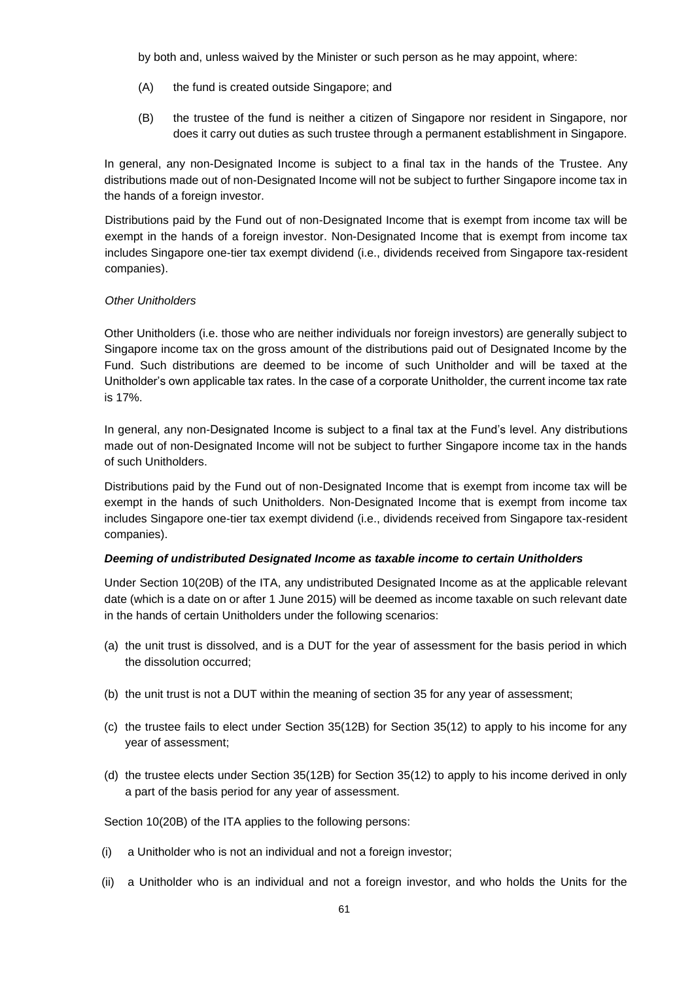by both and, unless waived by the Minister or such person as he may appoint, where:

- (A) the fund is created outside Singapore; and
- (B) the trustee of the fund is neither a citizen of Singapore nor resident in Singapore, nor does it carry out duties as such trustee through a permanent establishment in Singapore.

In general, any non-Designated Income is subject to a final tax in the hands of the Trustee. Any distributions made out of non-Designated Income will not be subject to further Singapore income tax in the hands of a foreign investor.

Distributions paid by the Fund out of non-Designated Income that is exempt from income tax will be exempt in the hands of a foreign investor. Non-Designated Income that is exempt from income tax includes Singapore one-tier tax exempt dividend (i.e., dividends received from Singapore tax-resident companies).

#### *Other Unitholders*

Other Unitholders (i.e. those who are neither individuals nor foreign investors) are generally subject to Singapore income tax on the gross amount of the distributions paid out of Designated Income by the Fund. Such distributions are deemed to be income of such Unitholder and will be taxed at the Unitholder's own applicable tax rates. In the case of a corporate Unitholder, the current income tax rate is 17%.

In general, any non-Designated Income is subject to a final tax at the Fund's level. Any distributions made out of non-Designated Income will not be subject to further Singapore income tax in the hands of such Unitholders.

Distributions paid by the Fund out of non-Designated Income that is exempt from income tax will be exempt in the hands of such Unitholders. Non-Designated Income that is exempt from income tax includes Singapore one-tier tax exempt dividend (i.e., dividends received from Singapore tax-resident companies).

#### *Deeming of undistributed Designated Income as taxable income to certain Unitholders*

Under Section 10(20B) of the ITA, any undistributed Designated Income as at the applicable relevant date (which is a date on or after 1 June 2015) will be deemed as income taxable on such relevant date in the hands of certain Unitholders under the following scenarios:

- (a) the unit trust is dissolved, and is a DUT for the year of assessment for the basis period in which the dissolution occurred;
- (b) the unit trust is not a DUT within the meaning of section 35 for any year of assessment;
- (c) the trustee fails to elect under Section 35(12B) for Section 35(12) to apply to his income for any year of assessment;
- (d) the trustee elects under Section 35(12B) for Section 35(12) to apply to his income derived in only a part of the basis period for any year of assessment.

Section 10(20B) of the ITA applies to the following persons:

- (i) a Unitholder who is not an individual and not a foreign investor;
- (ii) a Unitholder who is an individual and not a foreign investor, and who holds the Units for the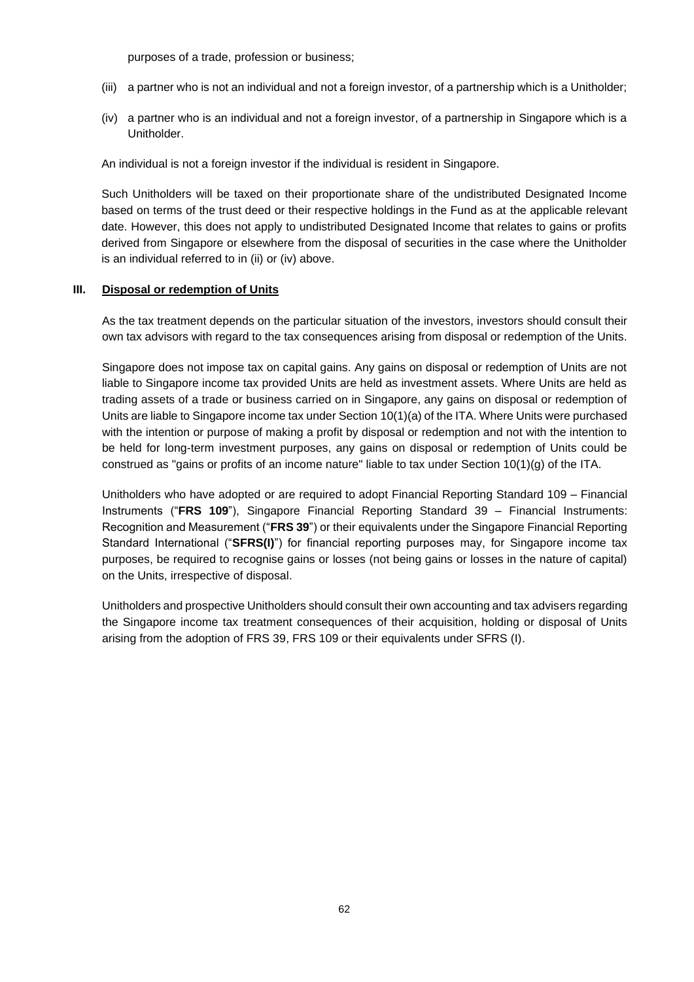purposes of a trade, profession or business;

- (iii) a partner who is not an individual and not a foreign investor, of a partnership which is a Unitholder;
- (iv) a partner who is an individual and not a foreign investor, of a partnership in Singapore which is a Unitholder.

An individual is not a foreign investor if the individual is resident in Singapore.

Such Unitholders will be taxed on their proportionate share of the undistributed Designated Income based on terms of the trust deed or their respective holdings in the Fund as at the applicable relevant date. However, this does not apply to undistributed Designated Income that relates to gains or profits derived from Singapore or elsewhere from the disposal of securities in the case where the Unitholder is an individual referred to in (ii) or (iv) above.

## **III. Disposal or redemption of Units**

As the tax treatment depends on the particular situation of the investors, investors should consult their own tax advisors with regard to the tax consequences arising from disposal or redemption of the Units.

Singapore does not impose tax on capital gains. Any gains on disposal or redemption of Units are not liable to Singapore income tax provided Units are held as investment assets. Where Units are held as trading assets of a trade or business carried on in Singapore, any gains on disposal or redemption of Units are liable to Singapore income tax under Section 10(1)(a) of the ITA. Where Units were purchased with the intention or purpose of making a profit by disposal or redemption and not with the intention to be held for long-term investment purposes, any gains on disposal or redemption of Units could be construed as "gains or profits of an income nature" liable to tax under Section 10(1)(g) of the ITA.

Unitholders who have adopted or are required to adopt Financial Reporting Standard 109 – Financial Instruments ("**FRS 109**"), Singapore Financial Reporting Standard 39 – Financial Instruments: Recognition and Measurement ("**FRS 39**") or their equivalents under the Singapore Financial Reporting Standard International ("**SFRS(I)**") for financial reporting purposes may, for Singapore income tax purposes, be required to recognise gains or losses (not being gains or losses in the nature of capital) on the Units, irrespective of disposal.

Unitholders and prospective Unitholders should consult their own accounting and tax advisers regarding the Singapore income tax treatment consequences of their acquisition, holding or disposal of Units arising from the adoption of FRS 39, FRS 109 or their equivalents under SFRS (I).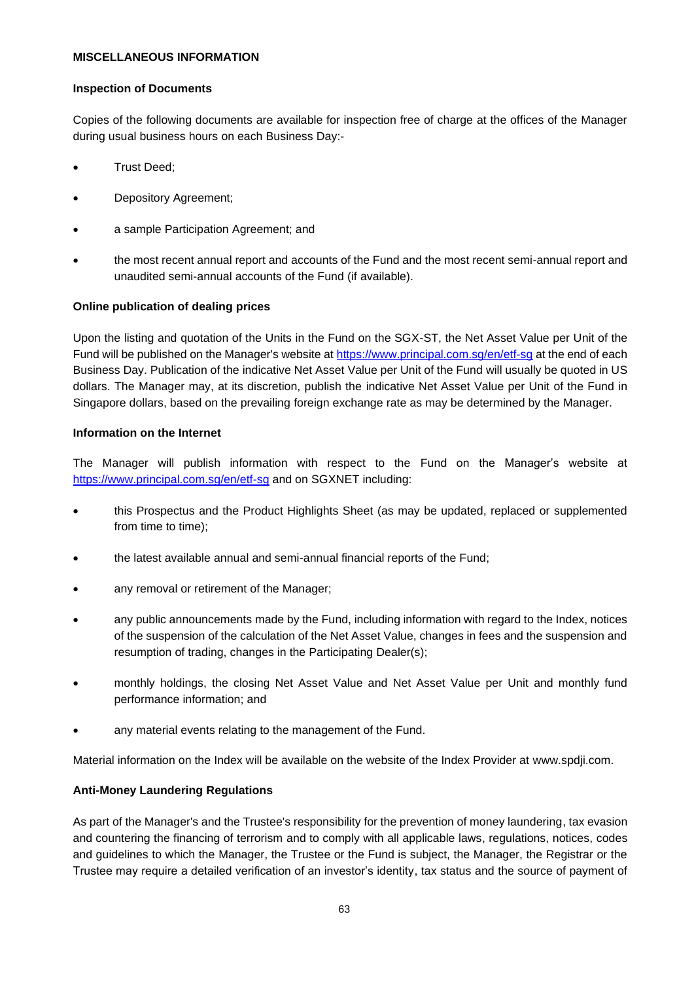## **MISCELLANEOUS INFORMATION**

#### **Inspection of Documents**

Copies of the following documents are available for inspection free of charge at the offices of the Manager during usual business hours on each Business Day:-

- Trust Deed;
- Depository Agreement;
- a sample Participation Agreement; and
- the most recent annual report and accounts of the Fund and the most recent semi-annual report and unaudited semi-annual accounts of the Fund (if available).

#### **Online publication of dealing prices**

Upon the listing and quotation of the Units in the Fund on the SGX-ST, the Net Asset Value per Unit of the Fund will be published on the Manager's website at<https://www.principal.com.sg/en/etf-sg> at the end of each Business Day. Publication of the indicative Net Asset Value per Unit of the Fund will usually be quoted in US dollars. The Manager may, at its discretion, publish the indicative Net Asset Value per Unit of the Fund in Singapore dollars, based on the prevailing foreign exchange rate as may be determined by the Manager.

#### **Information on the Internet**

The Manager will publish information with respect to the Fund on the Manager's website at <https://www.principal.com.sg/en/etf-sg> and on SGXNET including:

- this Prospectus and the Product Highlights Sheet (as may be updated, replaced or supplemented from time to time);
- the latest available annual and semi-annual financial reports of the Fund;
- any removal or retirement of the Manager;
- any public announcements made by the Fund, including information with regard to the Index, notices of the suspension of the calculation of the Net Asset Value, changes in fees and the suspension and resumption of trading, changes in the Participating Dealer(s);
- monthly holdings, the closing Net Asset Value and Net Asset Value per Unit and monthly fund performance information; and
- any material events relating to the management of the Fund.

Material information on the Index will be available on the website of the Index Provider at www.spdji.com.

# **Anti-Money Laundering Regulations**

As part of the Manager's and the Trustee's responsibility for the prevention of money laundering, tax evasion and countering the financing of terrorism and to comply with all applicable laws, regulations, notices, codes and guidelines to which the Manager, the Trustee or the Fund is subject, the Manager, the Registrar or the Trustee may require a detailed verification of an investor's identity, tax status and the source of payment of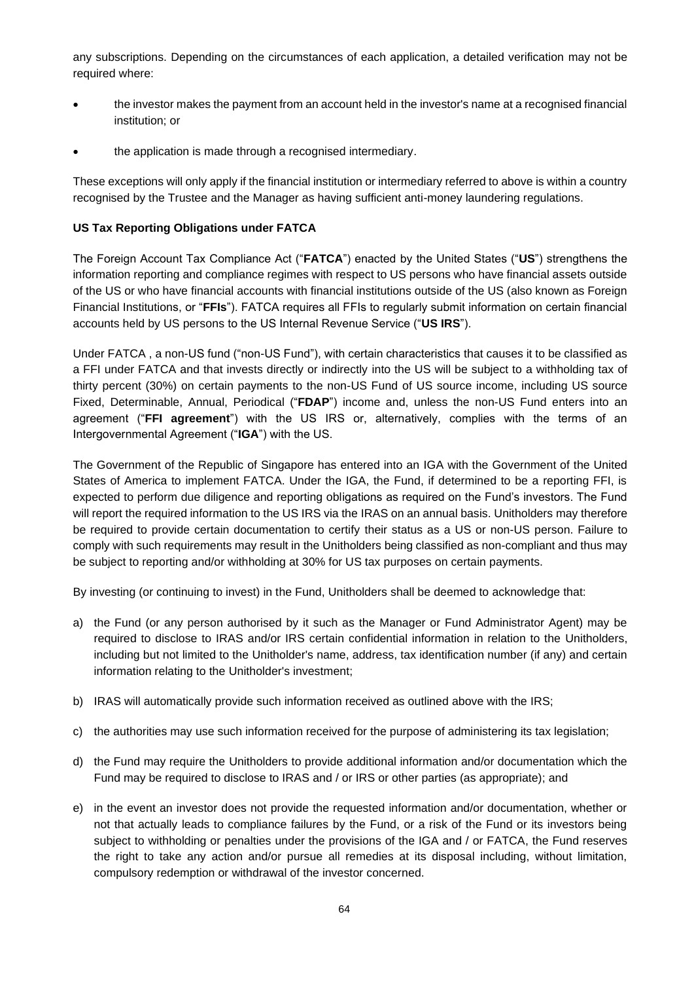any subscriptions. Depending on the circumstances of each application, a detailed verification may not be required where:

- the investor makes the payment from an account held in the investor's name at a recognised financial institution; or
- the application is made through a recognised intermediary.

These exceptions will only apply if the financial institution or intermediary referred to above is within a country recognised by the Trustee and the Manager as having sufficient anti-money laundering regulations.

## **US Tax Reporting Obligations under FATCA**

The Foreign Account Tax Compliance Act ("**FATCA**") enacted by the United States ("**US**") strengthens the information reporting and compliance regimes with respect to US persons who have financial assets outside of the US or who have financial accounts with financial institutions outside of the US (also known as Foreign Financial Institutions, or "**FFIs**"). FATCA requires all FFIs to regularly submit information on certain financial accounts held by US persons to the US Internal Revenue Service ("**US IRS**").

Under FATCA , a non-US fund ("non-US Fund"), with certain characteristics that causes it to be classified as a FFI under FATCA and that invests directly or indirectly into the US will be subject to a withholding tax of thirty percent (30%) on certain payments to the non-US Fund of US source income, including US source Fixed, Determinable, Annual, Periodical ("**FDAP**") income and, unless the non-US Fund enters into an agreement ("**FFI agreement**") with the US IRS or, alternatively, complies with the terms of an Intergovernmental Agreement ("**IGA**") with the US.

The Government of the Republic of Singapore has entered into an IGA with the Government of the United States of America to implement FATCA. Under the IGA, the Fund, if determined to be a reporting FFI, is expected to perform due diligence and reporting obligations as required on the Fund's investors. The Fund will report the required information to the US IRS via the IRAS on an annual basis. Unitholders may therefore be required to provide certain documentation to certify their status as a US or non-US person. Failure to comply with such requirements may result in the Unitholders being classified as non-compliant and thus may be subject to reporting and/or withholding at 30% for US tax purposes on certain payments.

By investing (or continuing to invest) in the Fund, Unitholders shall be deemed to acknowledge that:

- a) the Fund (or any person authorised by it such as the Manager or Fund Administrator Agent) may be required to disclose to IRAS and/or IRS certain confidential information in relation to the Unitholders, including but not limited to the Unitholder's name, address, tax identification number (if any) and certain information relating to the Unitholder's investment;
- b) IRAS will automatically provide such information received as outlined above with the IRS;
- c) the authorities may use such information received for the purpose of administering its tax legislation;
- d) the Fund may require the Unitholders to provide additional information and/or documentation which the Fund may be required to disclose to IRAS and / or IRS or other parties (as appropriate); and
- e) in the event an investor does not provide the requested information and/or documentation, whether or not that actually leads to compliance failures by the Fund, or a risk of the Fund or its investors being subject to withholding or penalties under the provisions of the IGA and / or FATCA, the Fund reserves the right to take any action and/or pursue all remedies at its disposal including, without limitation, compulsory redemption or withdrawal of the investor concerned.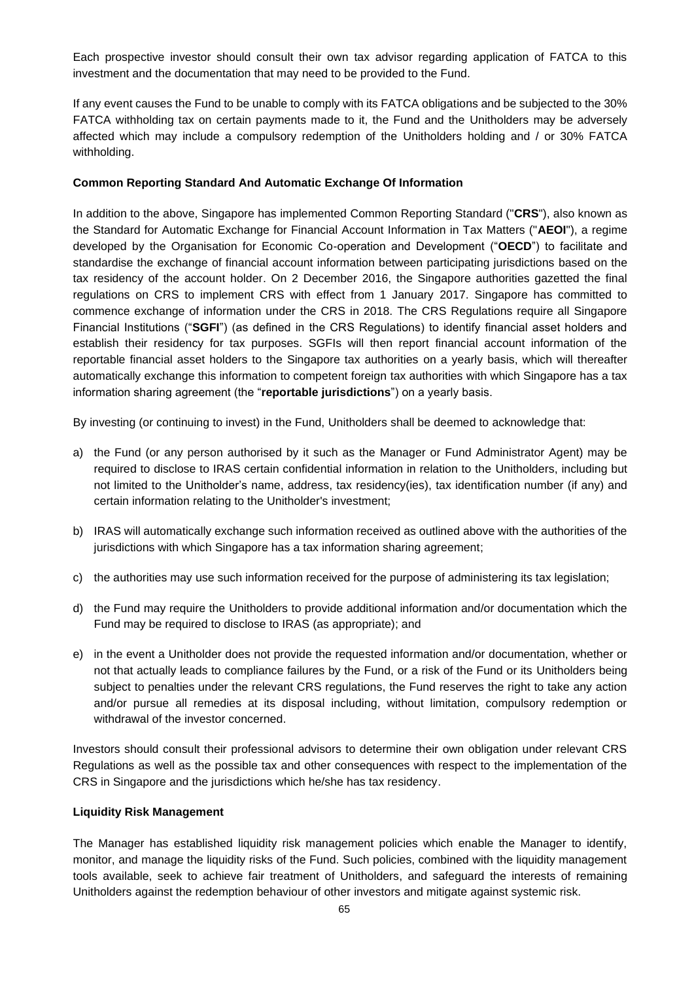Each prospective investor should consult their own tax advisor regarding application of FATCA to this investment and the documentation that may need to be provided to the Fund.

If any event causes the Fund to be unable to comply with its FATCA obligations and be subjected to the 30% FATCA withholding tax on certain payments made to it, the Fund and the Unitholders may be adversely affected which may include a compulsory redemption of the Unitholders holding and / or 30% FATCA withholding.

#### **Common Reporting Standard And Automatic Exchange Of Information**

In addition to the above, Singapore has implemented Common Reporting Standard ("**CRS**"), also known as the Standard for Automatic Exchange for Financial Account Information in Tax Matters ("**AEOI**"), a regime developed by the Organisation for Economic Co-operation and Development ("**OECD**") to facilitate and standardise the exchange of financial account information between participating jurisdictions based on the tax residency of the account holder. On 2 December 2016, the Singapore authorities gazetted the final regulations on CRS to implement CRS with effect from 1 January 2017. Singapore has committed to commence exchange of information under the CRS in 2018. The CRS Regulations require all Singapore Financial Institutions ("**SGFI**") (as defined in the CRS Regulations) to identify financial asset holders and establish their residency for tax purposes. SGFIs will then report financial account information of the reportable financial asset holders to the Singapore tax authorities on a yearly basis, which will thereafter automatically exchange this information to competent foreign tax authorities with which Singapore has a tax information sharing agreement (the "**reportable jurisdictions**") on a yearly basis.

By investing (or continuing to invest) in the Fund, Unitholders shall be deemed to acknowledge that:

- a) the Fund (or any person authorised by it such as the Manager or Fund Administrator Agent) may be required to disclose to IRAS certain confidential information in relation to the Unitholders, including but not limited to the Unitholder's name, address, tax residency(ies), tax identification number (if any) and certain information relating to the Unitholder's investment;
- b) IRAS will automatically exchange such information received as outlined above with the authorities of the jurisdictions with which Singapore has a tax information sharing agreement;
- c) the authorities may use such information received for the purpose of administering its tax legislation;
- d) the Fund may require the Unitholders to provide additional information and/or documentation which the Fund may be required to disclose to IRAS (as appropriate); and
- e) in the event a Unitholder does not provide the requested information and/or documentation, whether or not that actually leads to compliance failures by the Fund, or a risk of the Fund or its Unitholders being subject to penalties under the relevant CRS regulations, the Fund reserves the right to take any action and/or pursue all remedies at its disposal including, without limitation, compulsory redemption or withdrawal of the investor concerned.

Investors should consult their professional advisors to determine their own obligation under relevant CRS Regulations as well as the possible tax and other consequences with respect to the implementation of the CRS in Singapore and the jurisdictions which he/she has tax residency.

#### **Liquidity Risk Management**

The Manager has established liquidity risk management policies which enable the Manager to identify, monitor, and manage the liquidity risks of the Fund. Such policies, combined with the liquidity management tools available, seek to achieve fair treatment of Unitholders, and safeguard the interests of remaining Unitholders against the redemption behaviour of other investors and mitigate against systemic risk.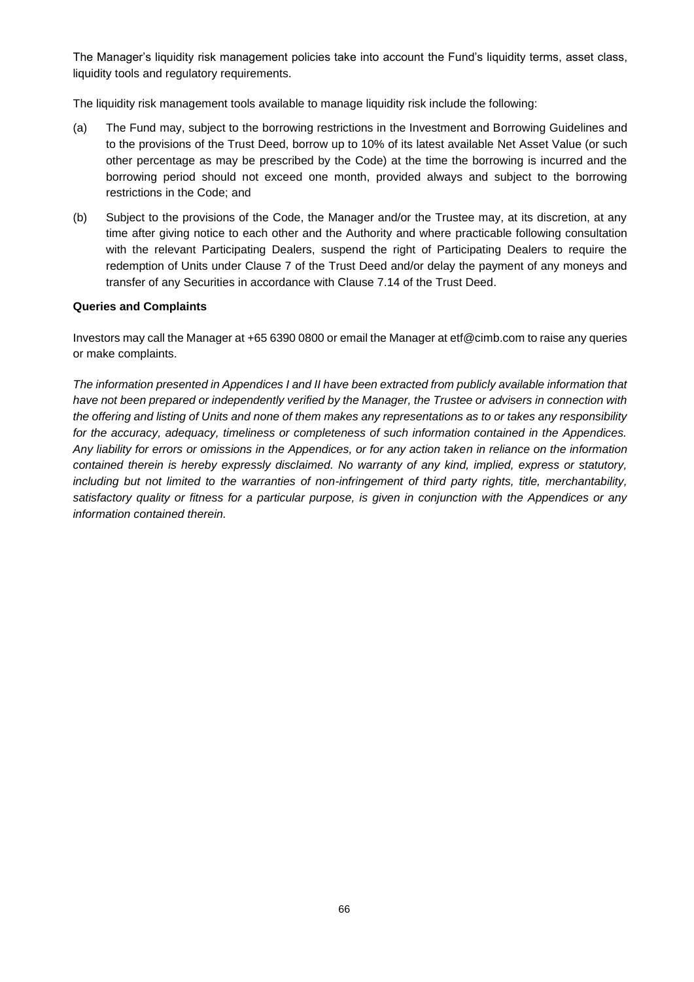The Manager's liquidity risk management policies take into account the Fund's liquidity terms, asset class, liquidity tools and regulatory requirements.

The liquidity risk management tools available to manage liquidity risk include the following:

- (a) The Fund may, subject to the borrowing restrictions in the Investment and Borrowing Guidelines and to the provisions of the Trust Deed, borrow up to 10% of its latest available Net Asset Value (or such other percentage as may be prescribed by the Code) at the time the borrowing is incurred and the borrowing period should not exceed one month, provided always and subject to the borrowing restrictions in the Code; and
- (b) Subject to the provisions of the Code, the Manager and/or the Trustee may, at its discretion, at any time after giving notice to each other and the Authority and where practicable following consultation with the relevant Participating Dealers, suspend the right of Participating Dealers to require the redemption of Units under Clause 7 of the Trust Deed and/or delay the payment of any moneys and transfer of any Securities in accordance with Clause 7.14 of the Trust Deed.

#### **Queries and Complaints**

Investors may call the Manager at +65 6390 0800 or email the Manager at etf@cimb.com to raise any queries or make complaints.

*The information presented in Appendices I and II have been extracted from publicly available information that have not been prepared or independently verified by the Manager, the Trustee or advisers in connection with the offering and listing of Units and none of them makes any representations as to or takes any responsibility for the accuracy, adequacy, timeliness or completeness of such information contained in the Appendices. Any liability for errors or omissions in the Appendices, or for any action taken in reliance on the information contained therein is hereby expressly disclaimed. No warranty of any kind, implied, express or statutory, including but not limited to the warranties of non-infringement of third party rights, title, merchantability, satisfactory quality or fitness for a particular purpose, is given in conjunction with the Appendices or any information contained therein.*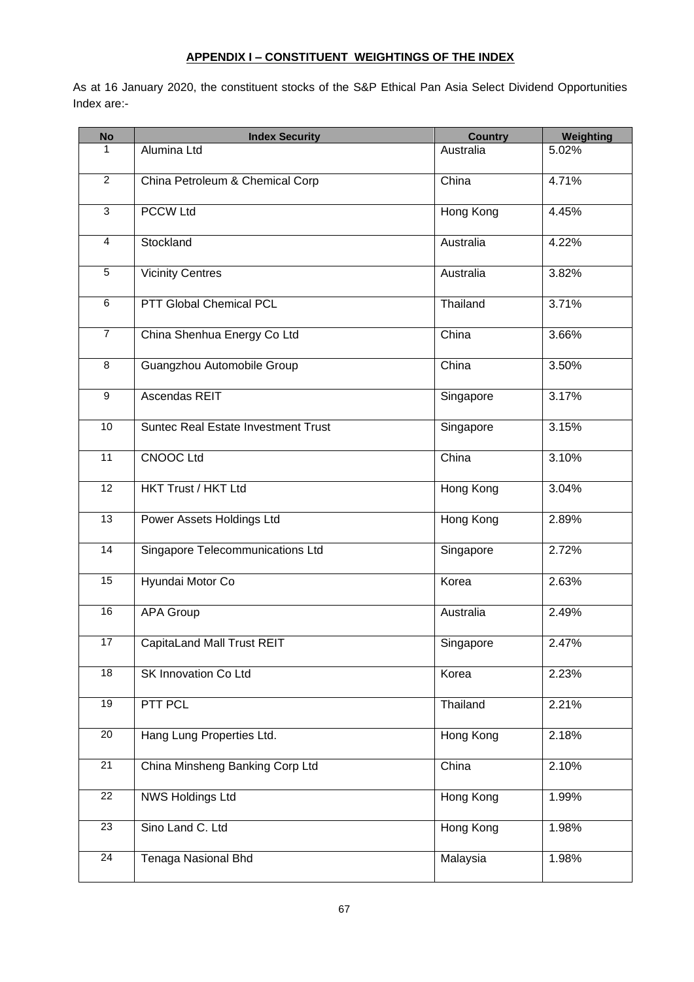## **APPENDIX I – CONSTITUENT WEIGHTINGS OF THE INDEX**

As at 16 January 2020, the constituent stocks of the S&P Ethical Pan Asia Select Dividend Opportunities Index are:-

| <b>No</b>       | <b>Index Security</b>                      | <b>Country</b> | Weighting |
|-----------------|--------------------------------------------|----------------|-----------|
| 1               | Alumina Ltd                                | Australia      | 5.02%     |
| $\overline{2}$  | China Petroleum & Chemical Corp            | China          | 4.71%     |
| $\overline{3}$  | <b>PCCW Ltd</b>                            | Hong Kong      | 4.45%     |
| $\overline{4}$  | Stockland                                  | Australia      | 4.22%     |
| $\overline{5}$  | <b>Vicinity Centres</b>                    | Australia      | 3.82%     |
| $6\overline{6}$ | PTT Global Chemical PCL                    | Thailand       | 3.71%     |
| $\overline{7}$  | China Shenhua Energy Co Ltd                | China          | 3.66%     |
| 8               | Guangzhou Automobile Group                 | China          | 3.50%     |
| 9               | Ascendas REIT                              | Singapore      | 3.17%     |
| $\overline{10}$ | <b>Suntec Real Estate Investment Trust</b> | Singapore      | 3.15%     |
| $\overline{11}$ | <b>CNOOC Ltd</b>                           | China          | 3.10%     |
| $\overline{12}$ | <b>HKT Trust / HKT Ltd</b>                 | Hong Kong      | 3.04%     |
| $\overline{13}$ | Power Assets Holdings Ltd                  | Hong Kong      | 2.89%     |
| 14              | Singapore Telecommunications Ltd           | Singapore      | 2.72%     |
| $\overline{15}$ | Hyundai Motor Co                           | Korea          | 2.63%     |
| 16              | <b>APA Group</b>                           | Australia      | 2.49%     |
| 17              | <b>CapitaLand Mall Trust REIT</b>          | Singapore      | 2.47%     |
| 18              | SK Innovation Co Ltd                       | Korea          | 2.23%     |
| 19              | PTT PCL                                    | Thailand       | 2.21%     |
| $\overline{20}$ | Hang Lung Properties Ltd.                  | Hong Kong      | 2.18%     |
| 21              | China Minsheng Banking Corp Ltd            | China          | 2.10%     |
| 22              | <b>NWS Holdings Ltd</b>                    | Hong Kong      | $1.99\%$  |
| 23              | Sino Land C. Ltd                           | Hong Kong      | 1.98%     |
| 24              | Tenaga Nasional Bhd                        | Malaysia       | 1.98%     |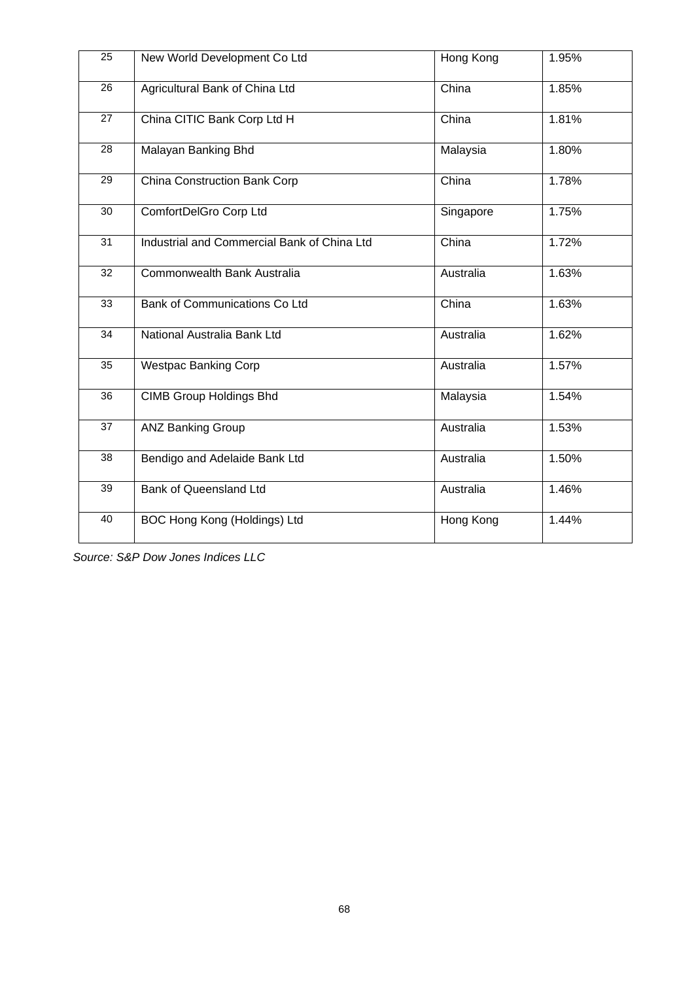| 25              | New World Development Co Ltd                | Hong Kong | 1.95% |
|-----------------|---------------------------------------------|-----------|-------|
| 26              | Agricultural Bank of China Ltd              | China     | 1.85% |
| 27              | China CITIC Bank Corp Ltd H                 | China     | 1.81% |
| 28              | Malayan Banking Bhd                         | Malaysia  | 1.80% |
| 29              | China Construction Bank Corp                | China     | 1.78% |
| 30              | ComfortDelGro Corp Ltd                      | Singapore | 1.75% |
| $\overline{31}$ | Industrial and Commercial Bank of China Ltd | China     | 1.72% |
| 32              | Commonwealth Bank Australia                 | Australia | 1.63% |
| 33              | Bank of Communications Co Ltd               | China     | 1.63% |
| $\overline{34}$ | National Australia Bank Ltd                 | Australia | 1.62% |
| 35              | <b>Westpac Banking Corp</b>                 | Australia | 1.57% |
| 36              | <b>CIMB Group Holdings Bhd</b>              | Malaysia  | 1.54% |
| 37              | <b>ANZ Banking Group</b>                    | Australia | 1.53% |
| 38              | Bendigo and Adelaide Bank Ltd               | Australia | 1.50% |
| 39              | Bank of Queensland Ltd                      | Australia | 1.46% |
| 40              | BOC Hong Kong (Holdings) Ltd                | Hong Kong | 1.44% |

*Source: S&P Dow Jones Indices LLC*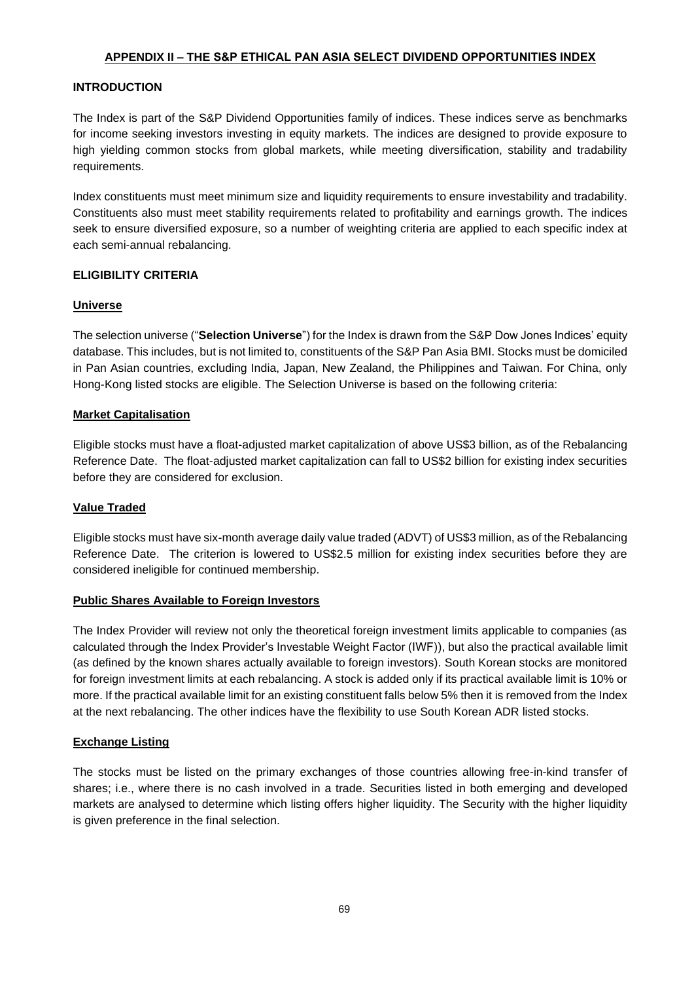## **APPENDIX II – THE S&P ETHICAL PAN ASIA SELECT DIVIDEND OPPORTUNITIES INDEX**

## **INTRODUCTION**

The Index is part of the S&P Dividend Opportunities family of indices. These indices serve as benchmarks for income seeking investors investing in equity markets. The indices are designed to provide exposure to high yielding common stocks from global markets, while meeting diversification, stability and tradability requirements.

Index constituents must meet minimum size and liquidity requirements to ensure investability and tradability. Constituents also must meet stability requirements related to profitability and earnings growth. The indices seek to ensure diversified exposure, so a number of weighting criteria are applied to each specific index at each semi-annual rebalancing.

## **ELIGIBILITY CRITERIA**

## **Universe**

The selection universe ("**Selection Universe**") for the Index is drawn from the S&P Dow Jones Indices' equity database. This includes, but is not limited to, constituents of the S&P Pan Asia BMI. Stocks must be domiciled in Pan Asian countries, excluding India, Japan, New Zealand, the Philippines and Taiwan. For China, only Hong-Kong listed stocks are eligible. The Selection Universe is based on the following criteria:

## **Market Capitalisation**

Eligible stocks must have a float-adjusted market capitalization of above US\$3 billion, as of the Rebalancing Reference Date. The float-adjusted market capitalization can fall to US\$2 billion for existing index securities before they are considered for exclusion.

## **Value Traded**

Eligible stocks must have six-month average daily value traded (ADVT) of US\$3 million, as of the Rebalancing Reference Date.The criterion is lowered to US\$2.5 million for existing index securities before they are considered ineligible for continued membership.

## **Public Shares Available to Foreign Investors**

The Index Provider will review not only the theoretical foreign investment limits applicable to companies (as calculated through the Index Provider's Investable Weight Factor (IWF)), but also the practical available limit (as defined by the known shares actually available to foreign investors). South Korean stocks are monitored for foreign investment limits at each rebalancing. A stock is added only if its practical available limit is 10% or more. If the practical available limit for an existing constituent falls below 5% then it is removed from the Index at the next rebalancing. The other indices have the flexibility to use South Korean ADR listed stocks.

## **Exchange Listing**

The stocks must be listed on the primary exchanges of those countries allowing free-in-kind transfer of shares; i.e., where there is no cash involved in a trade. Securities listed in both emerging and developed markets are analysed to determine which listing offers higher liquidity. The Security with the higher liquidity is given preference in the final selection.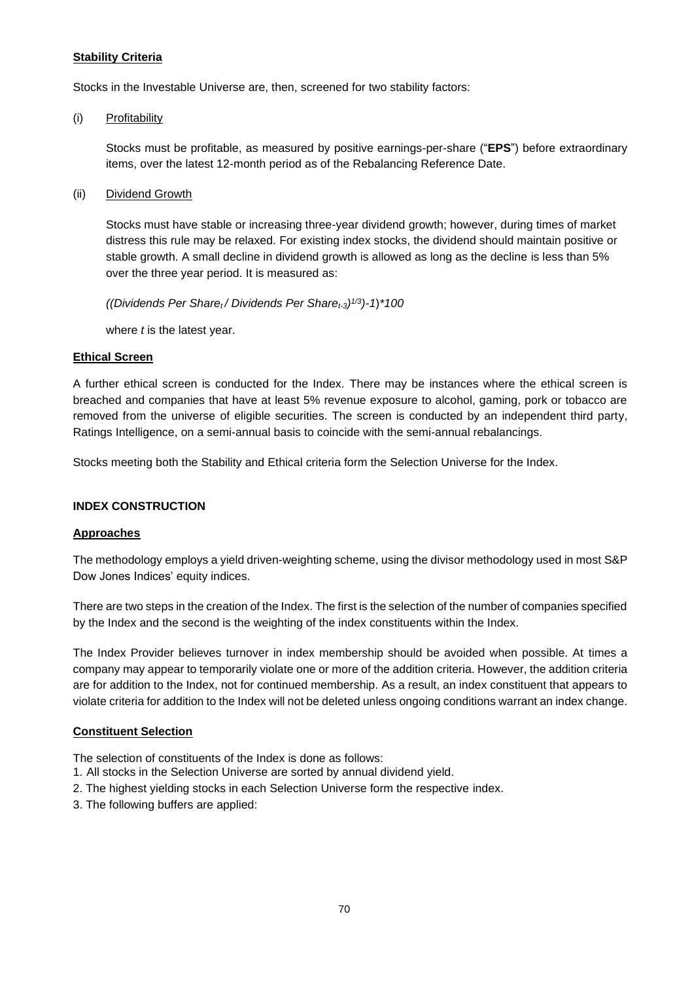#### **Stability Criteria**

Stocks in the Investable Universe are, then, screened for two stability factors:

(i) Profitability

Stocks must be profitable, as measured by positive earnings-per-share ("**EPS**") before extraordinary items, over the latest 12-month period as of the Rebalancing Reference Date.

(ii) Dividend Growth

Stocks must have stable or increasing three-year dividend growth; however, during times of market distress this rule may be relaxed. For existing index stocks, the dividend should maintain positive or stable growth. A small decline in dividend growth is allowed as long as the decline is less than 5% over the three year period. It is measured as:

*((Dividends Per Sharet / Dividends Per Sharet-3) 1/3)-1*)*\*100*

where *t* is the latest year.

#### **Ethical Screen**

A further ethical screen is conducted for the Index. There may be instances where the ethical screen is breached and companies that have at least 5% revenue exposure to alcohol, gaming, pork or tobacco are removed from the universe of eligible securities. The screen is conducted by an independent third party, Ratings Intelligence, on a semi-annual basis to coincide with the semi-annual rebalancings.

Stocks meeting both the Stability and Ethical criteria form the Selection Universe for the Index.

#### **INDEX CONSTRUCTION**

#### **Approaches**

The methodology employs a yield driven-weighting scheme, using the divisor methodology used in most S&P Dow Jones Indices' equity indices.

There are two steps in the creation of the Index. The first is the selection of the number of companies specified by the Index and the second is the weighting of the index constituents within the Index.

The Index Provider believes turnover in index membership should be avoided when possible. At times a company may appear to temporarily violate one or more of the addition criteria. However, the addition criteria are for addition to the Index, not for continued membership. As a result, an index constituent that appears to violate criteria for addition to the Index will not be deleted unless ongoing conditions warrant an index change.

## **Constituent Selection**

The selection of constituents of the Index is done as follows:

- 1. All stocks in the Selection Universe are sorted by annual dividend yield.
- 2. The highest yielding stocks in each Selection Universe form the respective index.
- 3. The following buffers are applied: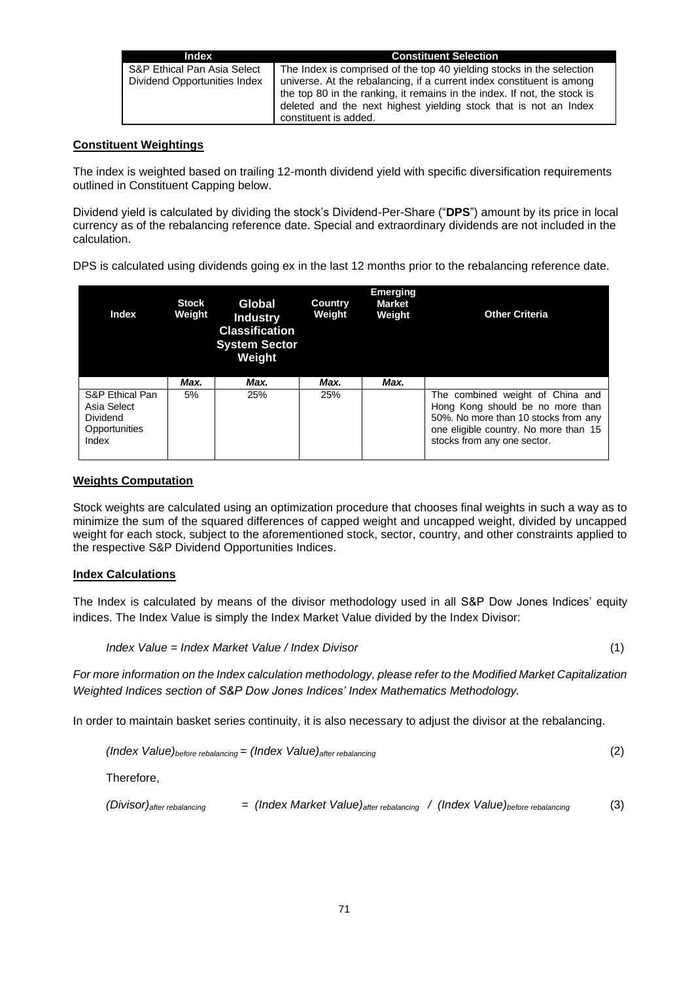| Index                        | <b>Constituent Selection</b>                                                                                                                                                                                                                   |
|------------------------------|------------------------------------------------------------------------------------------------------------------------------------------------------------------------------------------------------------------------------------------------|
| S&P Ethical Pan Asia Select  | The Index is comprised of the top 40 yielding stocks in the selection                                                                                                                                                                          |
| Dividend Opportunities Index | universe. At the rebalancing, if a current index constituent is among<br>the top 80 in the ranking, it remains in the index. If not, the stock is<br>deleted and the next highest yielding stock that is not an Index<br>constituent is added. |

## **Constituent Weightings**

The index is weighted based on trailing 12-month dividend yield with specific diversification requirements outlined in Constituent Capping below.

Dividend yield is calculated by dividing the stock's Dividend-Per-Share ("**DPS**") amount by its price in local currency as of the rebalancing reference date. Special and extraordinary dividends are not included in the calculation.

DPS is calculated using dividends going ex in the last 12 months prior to the rebalancing reference date.

| Index                                                                | <b>Stock</b><br>Weight | Global<br><b>Industry</b><br><b>Classification</b><br><b>System Sector</b><br>Weight | <b>Country</b><br>Weight | <b>Emerging</b><br><b>Market</b><br>Weight | <b>Other Criteria</b>                                                                                                                                                                |
|----------------------------------------------------------------------|------------------------|--------------------------------------------------------------------------------------|--------------------------|--------------------------------------------|--------------------------------------------------------------------------------------------------------------------------------------------------------------------------------------|
|                                                                      | Max.                   | Max.                                                                                 | Max.                     | Max.                                       |                                                                                                                                                                                      |
| S&P Ethical Pan<br>Asia Select<br>Dividend<br>Opportunities<br>Index | 5%                     | 25%                                                                                  | 25%                      |                                            | The combined weight of China and<br>Hong Kong should be no more than<br>50%. No more than 10 stocks from any<br>one eligible country. No more than 15<br>stocks from any one sector. |

#### **Weights Computation**

Stock weights are calculated using an optimization procedure that chooses final weights in such a way as to minimize the sum of the squared differences of capped weight and uncapped weight, divided by uncapped weight for each stock, subject to the aforementioned stock, sector, country, and other constraints applied to the respective S&P Dividend Opportunities Indices.

## **Index Calculations**

The Index is calculated by means of the divisor methodology used in all S&P Dow Jones Indices' equity indices. The Index Value is simply the Index Market Value divided by the Index Divisor:

$$
Index Value = Index Market Value / Index Divisor
$$
\n
$$
(1)
$$

*For more information on the Index calculation methodology, please refer to the Modified Market Capitalization Weighted Indices section of S&P Dow Jones Indices' Index Mathematics Methodology.*

In order to maintain basket series continuity, it is also necessary to adjust the divisor at the rebalancing.

*(Index Value)before rebalancing = (Index Value)after rebalancing* (2) Therefore, *(Divisor)after rebalancing = (Index Market Value)after rebalancing / (Index Value)before rebalancing* (3)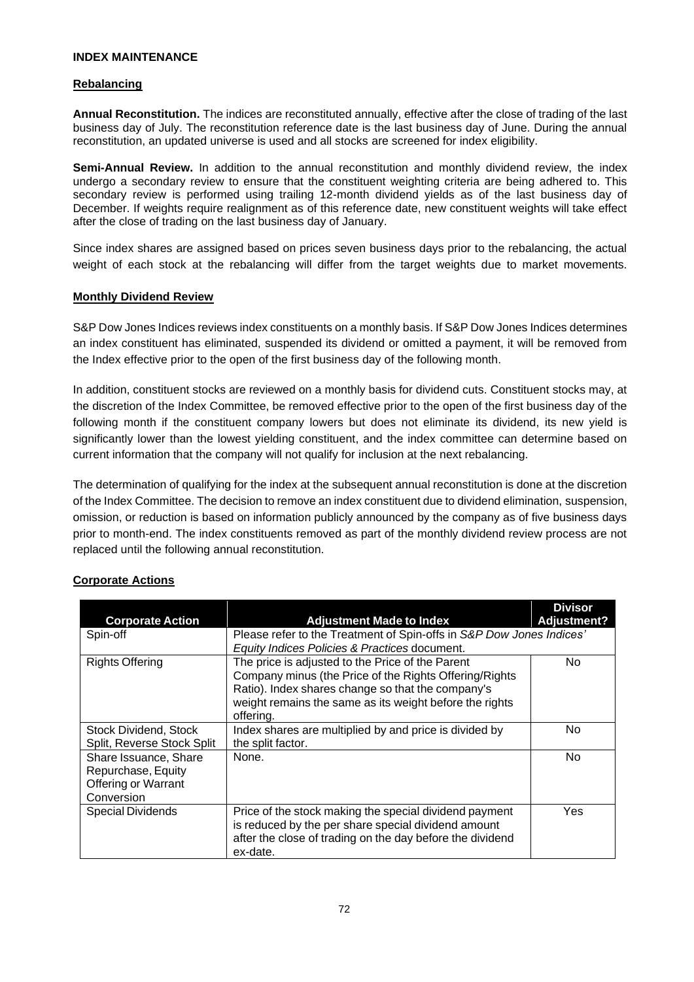#### **INDEX MAINTENANCE**

#### **Rebalancing**

**Annual Reconstitution.** The indices are reconstituted annually, effective after the close of trading of the last business day of July. The reconstitution reference date is the last business day of June. During the annual reconstitution, an updated universe is used and all stocks are screened for index eligibility.

**Semi-Annual Review.** In addition to the annual reconstitution and monthly dividend review, the index undergo a secondary review to ensure that the constituent weighting criteria are being adhered to. This secondary review is performed using trailing 12-month dividend yields as of the last business day of December. If weights require realignment as of this reference date, new constituent weights will take effect after the close of trading on the last business day of January.

Since index shares are assigned based on prices seven business days prior to the rebalancing, the actual weight of each stock at the rebalancing will differ from the target weights due to market movements.

#### **Monthly Dividend Review**

S&P Dow Jones Indices reviews index constituents on a monthly basis. If S&P Dow Jones Indices determines an index constituent has eliminated, suspended its dividend or omitted a payment, it will be removed from the Index effective prior to the open of the first business day of the following month.

In addition, constituent stocks are reviewed on a monthly basis for dividend cuts. Constituent stocks may, at the discretion of the Index Committee, be removed effective prior to the open of the first business day of the following month if the constituent company lowers but does not eliminate its dividend, its new yield is significantly lower than the lowest yielding constituent, and the index committee can determine based on current information that the company will not qualify for inclusion at the next rebalancing.

The determination of qualifying for the index at the subsequent annual reconstitution is done at the discretion of the Index Committee. The decision to remove an index constituent due to dividend elimination, suspension, omission, or reduction is based on information publicly announced by the company as of five business days prior to month-end. The index constituents removed as part of the monthly dividend review process are not replaced until the following annual reconstitution.

|                                                                                  |                                                                                                                                                                                                                                         | <b>Divisor</b>     |  |
|----------------------------------------------------------------------------------|-----------------------------------------------------------------------------------------------------------------------------------------------------------------------------------------------------------------------------------------|--------------------|--|
| <b>Corporate Action</b>                                                          | <b>Adjustment Made to Index</b>                                                                                                                                                                                                         | <b>Adjustment?</b> |  |
| Spin-off                                                                         | Please refer to the Treatment of Spin-offs in S&P Dow Jones Indices'                                                                                                                                                                    |                    |  |
|                                                                                  | Equity Indices Policies & Practices document.                                                                                                                                                                                           |                    |  |
| <b>Rights Offering</b>                                                           | The price is adjusted to the Price of the Parent<br>Company minus (the Price of the Rights Offering/Rights<br>Ratio). Index shares change so that the company's<br>weight remains the same as its weight before the rights<br>offering. | No.                |  |
| Stock Dividend, Stock<br>Split, Reverse Stock Split                              | Index shares are multiplied by and price is divided by<br>the split factor.                                                                                                                                                             | No                 |  |
| Share Issuance, Share<br>Repurchase, Equity<br>Offering or Warrant<br>Conversion | None.                                                                                                                                                                                                                                   | <b>No</b>          |  |
| <b>Special Dividends</b>                                                         | Price of the stock making the special dividend payment<br>is reduced by the per share special dividend amount<br>after the close of trading on the day before the dividend<br>ex-date.                                                  | Yes                |  |

## **Corporate Actions**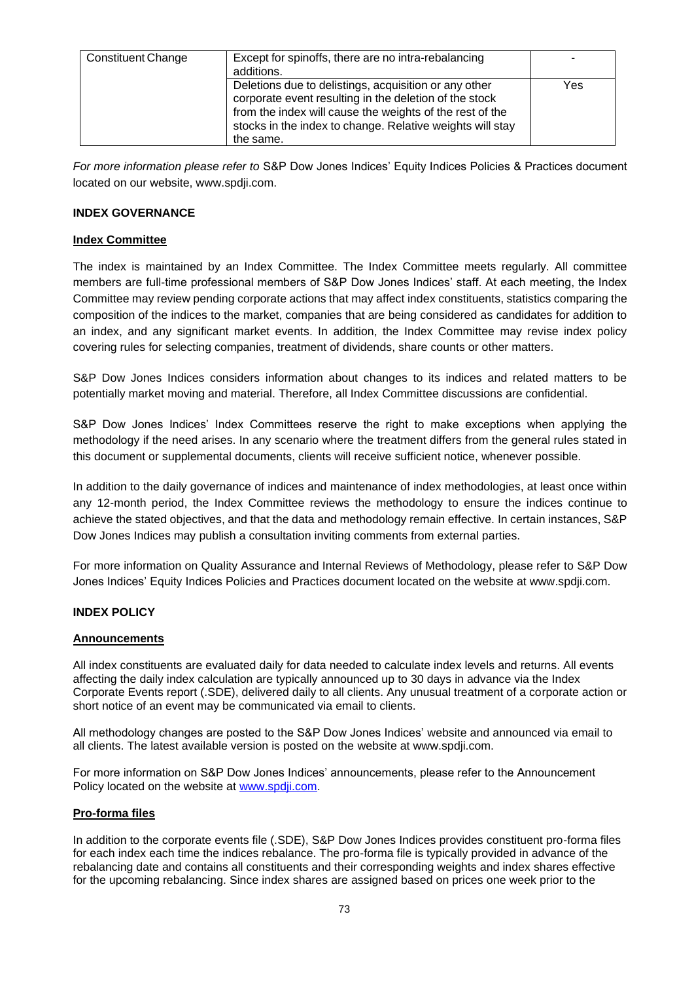| <b>Constituent Change</b> | Except for spinoffs, there are no intra-rebalancing<br>additions.                                                                                                                                                                                     |     |
|---------------------------|-------------------------------------------------------------------------------------------------------------------------------------------------------------------------------------------------------------------------------------------------------|-----|
|                           | Deletions due to delistings, acquisition or any other<br>corporate event resulting in the deletion of the stock<br>from the index will cause the weights of the rest of the<br>stocks in the index to change. Relative weights will stay<br>the same. | Yes |

*For more information please refer to* S&P Dow Jones Indices' Equity Indices Policies & Practices document located on our website, www.spdji.com.

#### **INDEX GOVERNANCE**

#### **Index Committee**

The index is maintained by an Index Committee. The Index Committee meets regularly. All committee members are full-time professional members of S&P Dow Jones Indices' staff. At each meeting, the Index Committee may review pending corporate actions that may affect index constituents, statistics comparing the composition of the indices to the market, companies that are being considered as candidates for addition to an index, and any significant market events. In addition, the Index Committee may revise index policy covering rules for selecting companies, treatment of dividends, share counts or other matters.

S&P Dow Jones Indices considers information about changes to its indices and related matters to be potentially market moving and material. Therefore, all Index Committee discussions are confidential.

S&P Dow Jones Indices' Index Committees reserve the right to make exceptions when applying the methodology if the need arises. In any scenario where the treatment differs from the general rules stated in this document or supplemental documents, clients will receive sufficient notice, whenever possible.

In addition to the daily governance of indices and maintenance of index methodologies, at least once within any 12-month period, the Index Committee reviews the methodology to ensure the indices continue to achieve the stated objectives, and that the data and methodology remain effective. In certain instances, S&P Dow Jones Indices may publish a consultation inviting comments from external parties.

For more information on Quality Assurance and Internal Reviews of Methodology, please refer to S&P Dow Jones Indices' Equity Indices Policies and Practices document located on the website at www.spdji.com.

#### **INDEX POLICY**

#### **Announcements**

All index constituents are evaluated daily for data needed to calculate index levels and returns. All events affecting the daily index calculation are typically announced up to 30 days in advance via the Index Corporate Events report (.SDE), delivered daily to all clients. Any unusual treatment of a corporate action or short notice of an event may be communicated via email to clients.

All methodology changes are posted to the S&P Dow Jones Indices' website and announced via email to all clients. The latest available version is posted on the website at www.spdji.com.

For more information on S&P Dow Jones Indices' announcements, please refer to the Announcement Policy located on the website at [www.spdji.com.](http://www.spdji.com/)

#### **Pro-forma files**

In addition to the corporate events file (.SDE), S&P Dow Jones Indices provides constituent pro-forma files for each index each time the indices rebalance. The pro-forma file is typically provided in advance of the rebalancing date and contains all constituents and their corresponding weights and index shares effective for the upcoming rebalancing. Since index shares are assigned based on prices one week prior to the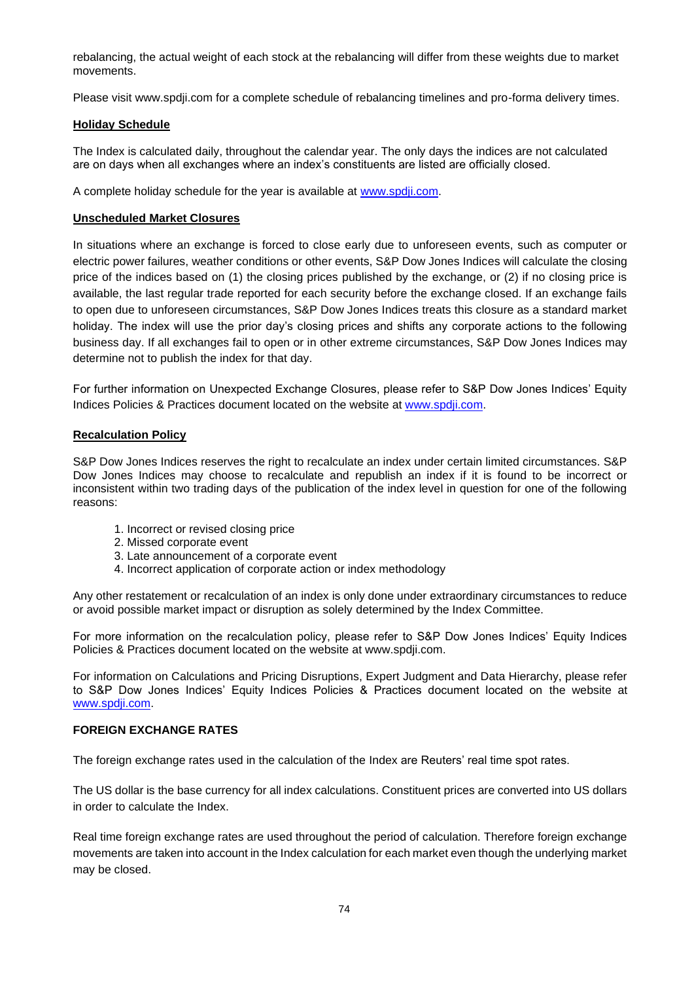rebalancing, the actual weight of each stock at the rebalancing will differ from these weights due to market movements.

Please visit www.spdji.com for a complete schedule of rebalancing timelines and pro-forma delivery times.

## **Holiday Schedule**

The Index is calculated daily, throughout the calendar year. The only days the indices are not calculated are on days when all exchanges where an index's constituents are listed are officially closed.

A complete holiday schedule for the year is available at [www.spdji.com.](http://www.spdji.com/)

## **Unscheduled Market Closures**

In situations where an exchange is forced to close early due to unforeseen events, such as computer or electric power failures, weather conditions or other events, S&P Dow Jones Indices will calculate the closing price of the indices based on (1) the closing prices published by the exchange, or (2) if no closing price is available, the last regular trade reported for each security before the exchange closed. If an exchange fails to open due to unforeseen circumstances, S&P Dow Jones Indices treats this closure as a standard market holiday. The index will use the prior day's closing prices and shifts any corporate actions to the following business day. If all exchanges fail to open or in other extreme circumstances, S&P Dow Jones Indices may determine not to publish the index for that day.

For further information on Unexpected Exchange Closures, please refer to S&P Dow Jones Indices' Equity Indices Policies & Practices document located on the website at [www.spdji.com.](http://www.spdji.com/)

#### **Recalculation Policy**

S&P Dow Jones Indices reserves the right to recalculate an index under certain limited circumstances. S&P Dow Jones Indices may choose to recalculate and republish an index if it is found to be incorrect or inconsistent within two trading days of the publication of the index level in question for one of the following reasons:

- 1. Incorrect or revised closing price
- 2. Missed corporate event
- 3. Late announcement of a corporate event
- 4. Incorrect application of corporate action or index methodology

Any other restatement or recalculation of an index is only done under extraordinary circumstances to reduce or avoid possible market impact or disruption as solely determined by the Index Committee.

For more information on the recalculation policy, please refer to S&P Dow Jones Indices' Equity Indices Policies & Practices document located on the website at www.spdji.com.

For information on Calculations and Pricing Disruptions, Expert Judgment and Data Hierarchy, please refer to S&P Dow Jones Indices' Equity Indices Policies & Practices document located on the website at [www.spdji.com.](http://www.spdji.com/)

## **FOREIGN EXCHANGE RATES**

The foreign exchange rates used in the calculation of the Index are Reuters' real time spot rates.

The US dollar is the base currency for all index calculations. Constituent prices are converted into US dollars in order to calculate the Index.

Real time foreign exchange rates are used throughout the period of calculation. Therefore foreign exchange movements are taken into account in the Index calculation for each market even though the underlying market may be closed.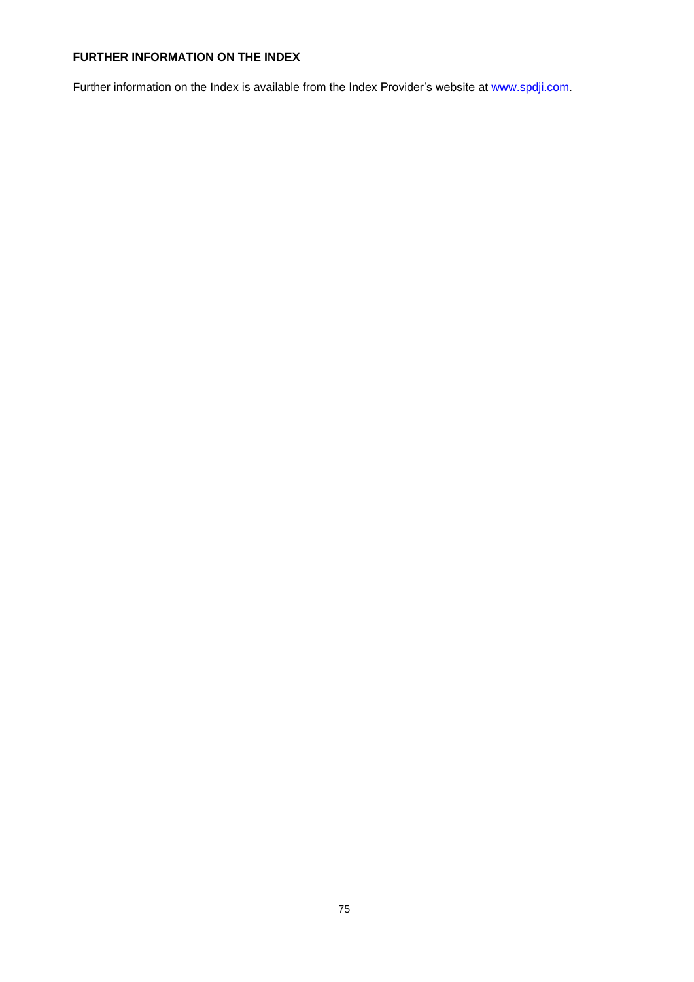## **FURTHER INFORMATION ON THE INDEX**

Further information on the Index is available from the Index Provider's website at www.spdji.com.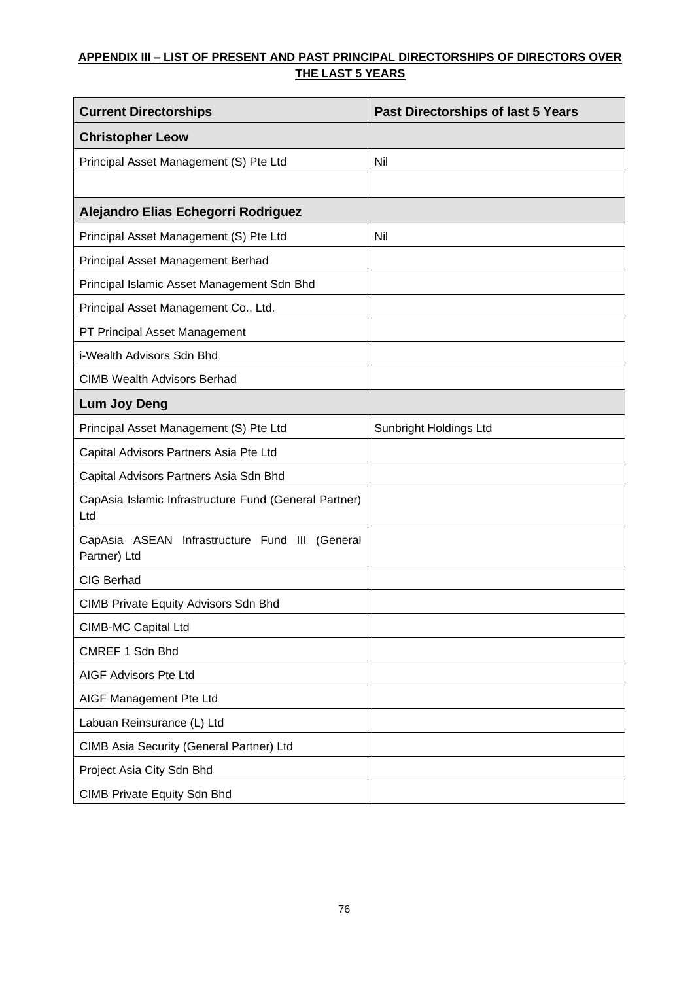# **APPENDIX III – LIST OF PRESENT AND PAST PRINCIPAL DIRECTORSHIPS OF DIRECTORS OVER THE LAST 5 YEARS**

| <b>Current Directorships</b>                                   | <b>Past Directorships of last 5 Years</b> |  |  |  |
|----------------------------------------------------------------|-------------------------------------------|--|--|--|
| <b>Christopher Leow</b>                                        |                                           |  |  |  |
| Principal Asset Management (S) Pte Ltd                         | Nil                                       |  |  |  |
|                                                                |                                           |  |  |  |
| Alejandro Elias Echegorri Rodriguez                            |                                           |  |  |  |
| Principal Asset Management (S) Pte Ltd                         | Nil                                       |  |  |  |
| Principal Asset Management Berhad                              |                                           |  |  |  |
| Principal Islamic Asset Management Sdn Bhd                     |                                           |  |  |  |
| Principal Asset Management Co., Ltd.                           |                                           |  |  |  |
| PT Principal Asset Management                                  |                                           |  |  |  |
| i-Wealth Advisors Sdn Bhd                                      |                                           |  |  |  |
| <b>CIMB Wealth Advisors Berhad</b>                             |                                           |  |  |  |
| <b>Lum Joy Deng</b>                                            |                                           |  |  |  |
| Principal Asset Management (S) Pte Ltd                         | Sunbright Holdings Ltd                    |  |  |  |
| Capital Advisors Partners Asia Pte Ltd                         |                                           |  |  |  |
| Capital Advisors Partners Asia Sdn Bhd                         |                                           |  |  |  |
| CapAsia Islamic Infrastructure Fund (General Partner)<br>Ltd   |                                           |  |  |  |
| CapAsia ASEAN Infrastructure Fund III (General<br>Partner) Ltd |                                           |  |  |  |
| <b>CIG Berhad</b>                                              |                                           |  |  |  |
| <b>CIMB Private Equity Advisors Sdn Bhd</b>                    |                                           |  |  |  |
| <b>CIMB-MC Capital Ltd</b>                                     |                                           |  |  |  |
| CMREF 1 Sdn Bhd                                                |                                           |  |  |  |
| AIGF Advisors Pte Ltd                                          |                                           |  |  |  |
| AIGF Management Pte Ltd                                        |                                           |  |  |  |
| Labuan Reinsurance (L) Ltd                                     |                                           |  |  |  |
| CIMB Asia Security (General Partner) Ltd                       |                                           |  |  |  |
| Project Asia City Sdn Bhd                                      |                                           |  |  |  |
| CIMB Private Equity Sdn Bhd                                    |                                           |  |  |  |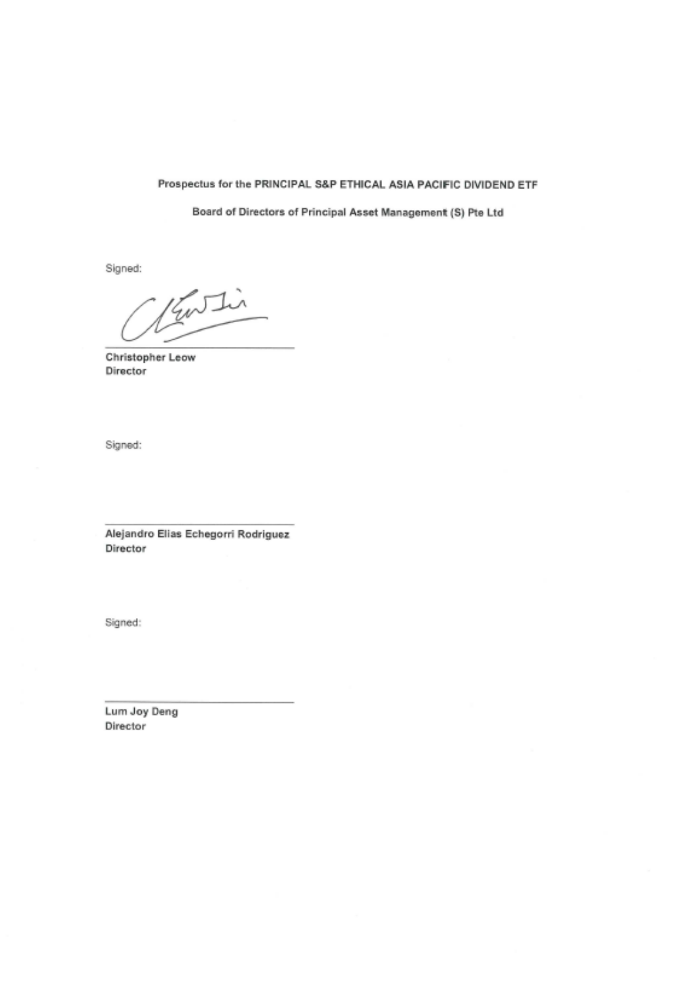#### Prospectus for the PRINCIPAL S&P ETHICAL ASIA PACIFIC DIVIDEND ETF

Board of Directors of Principal Asset Management (S) Pte Ltd

Signed:

Kuthi

**Christopher Leow** Director

Signed:

Alejandro Elias Echegorri Rodriguez Director

Signed:

Lum Joy Deng Director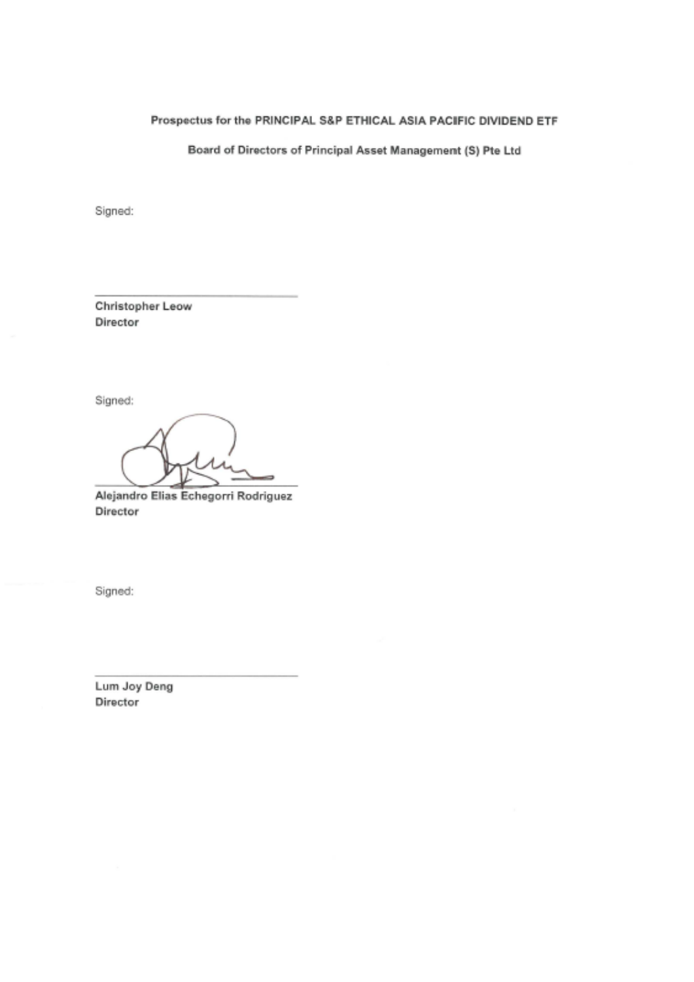# Prospectus for the PRINCIPAL S&P ETHICAL ASIA PACIFIC DIVIDEND ETF

Board of Directors of Principal Asset Management (S) Pte Ltd

Signed:

Christopher Leow Director

Signed:

Alejandro Elias Echegorri Rodriguez Director

Signed:

Lum Joy Deng Director